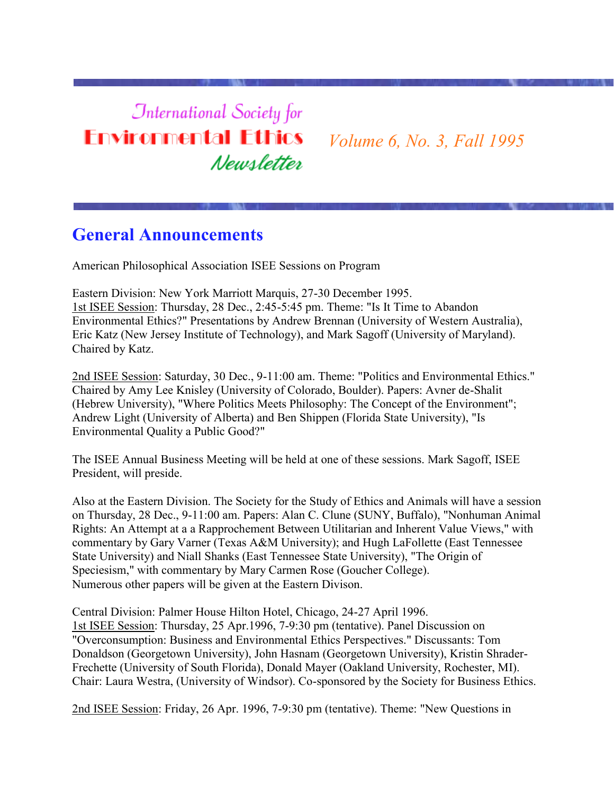# **International Society for Environmental Ethics** Newsletter

*Volume 6, No. 3, Fall 1995*

# **General Announcements**

American Philosophical Association ISEE Sessions on Program

Eastern Division: New York Marriott Marquis, 27-30 December 1995. 1st ISEE Session: Thursday, 28 Dec., 2:45-5:45 pm. Theme: "Is It Time to Abandon Environmental Ethics?" Presentations by Andrew Brennan (University of Western Australia), Eric Katz (New Jersey Institute of Technology), and Mark Sagoff (University of Maryland). Chaired by Katz.

2nd ISEE Session: Saturday, 30 Dec., 9-11:00 am. Theme: "Politics and Environmental Ethics." Chaired by Amy Lee Knisley (University of Colorado, Boulder). Papers: Avner de-Shalit (Hebrew University), "Where Politics Meets Philosophy: The Concept of the Environment"; Andrew Light (University of Alberta) and Ben Shippen (Florida State University), "Is Environmental Quality a Public Good?"

The ISEE Annual Business Meeting will be held at one of these sessions. Mark Sagoff, ISEE President, will preside.

Also at the Eastern Division. The Society for the Study of Ethics and Animals will have a session on Thursday, 28 Dec., 9-11:00 am. Papers: Alan C. Clune (SUNY, Buffalo), "Nonhuman Animal Rights: An Attempt at a a Rapprochement Between Utilitarian and Inherent Value Views," with commentary by Gary Varner (Texas A&M University); and Hugh LaFollette (East Tennessee State University) and Niall Shanks (East Tennessee State University), "The Origin of Speciesism," with commentary by Mary Carmen Rose (Goucher College). Numerous other papers will be given at the Eastern Divison.

Central Division: Palmer House Hilton Hotel, Chicago, 24-27 April 1996. 1st ISEE Session: Thursday, 25 Apr.1996, 7-9:30 pm (tentative). Panel Discussion on "Overconsumption: Business and Environmental Ethics Perspectives." Discussants: Tom Donaldson (Georgetown University), John Hasnam (Georgetown University), Kristin Shrader-Frechette (University of South Florida), Donald Mayer (Oakland University, Rochester, MI). Chair: Laura Westra, (University of Windsor). Co-sponsored by the Society for Business Ethics.

2nd ISEE Session: Friday, 26 Apr. 1996, 7-9:30 pm (tentative). Theme: "New Questions in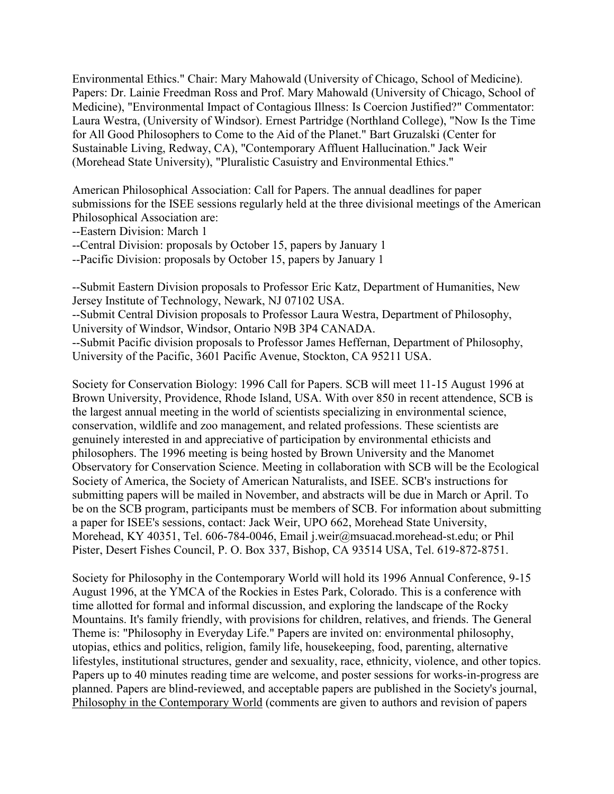Environmental Ethics." Chair: Mary Mahowald (University of Chicago, School of Medicine). Papers: Dr. Lainie Freedman Ross and Prof. Mary Mahowald (University of Chicago, School of Medicine), "Environmental Impact of Contagious Illness: Is Coercion Justified?" Commentator: Laura Westra, (University of Windsor). Ernest Partridge (Northland College), "Now Is the Time for All Good Philosophers to Come to the Aid of the Planet." Bart Gruzalski (Center for Sustainable Living, Redway, CA), "Contemporary Affluent Hallucination." Jack Weir (Morehead State University), "Pluralistic Casuistry and Environmental Ethics."

American Philosophical Association: Call for Papers. The annual deadlines for paper submissions for the ISEE sessions regularly held at the three divisional meetings of the American Philosophical Association are:

--Eastern Division: March 1

--Central Division: proposals by October 15, papers by January 1

--Pacific Division: proposals by October 15, papers by January 1

--Submit Eastern Division proposals to Professor Eric Katz, Department of Humanities, New Jersey Institute of Technology, Newark, NJ 07102 USA.

--Submit Central Division proposals to Professor Laura Westra, Department of Philosophy, University of Windsor, Windsor, Ontario N9B 3P4 CANADA.

--Submit Pacific division proposals to Professor James Heffernan, Department of Philosophy, University of the Pacific, 3601 Pacific Avenue, Stockton, CA 95211 USA.

Society for Conservation Biology: 1996 Call for Papers. SCB will meet 11-15 August 1996 at Brown University, Providence, Rhode Island, USA. With over 850 in recent attendence, SCB is the largest annual meeting in the world of scientists specializing in environmental science, conservation, wildlife and zoo management, and related professions. These scientists are genuinely interested in and appreciative of participation by environmental ethicists and philosophers. The 1996 meeting is being hosted by Brown University and the Manomet Observatory for Conservation Science. Meeting in collaboration with SCB will be the Ecological Society of America, the Society of American Naturalists, and ISEE. SCB's instructions for submitting papers will be mailed in November, and abstracts will be due in March or April. To be on the SCB program, participants must be members of SCB. For information about submitting a paper for ISEE's sessions, contact: Jack Weir, UPO 662, Morehead State University, Morehead, KY 40351, Tel. 606-784-0046, Email j.weir@msuacad.morehead-st.edu; or Phil Pister, Desert Fishes Council, P. O. Box 337, Bishop, CA 93514 USA, Tel. 619-872-8751.

Society for Philosophy in the Contemporary World will hold its 1996 Annual Conference, 9-15 August 1996, at the YMCA of the Rockies in Estes Park, Colorado. This is a conference with time allotted for formal and informal discussion, and exploring the landscape of the Rocky Mountains. It's family friendly, with provisions for children, relatives, and friends. The General Theme is: "Philosophy in Everyday Life." Papers are invited on: environmental philosophy, utopias, ethics and politics, religion, family life, housekeeping, food, parenting, alternative lifestyles, institutional structures, gender and sexuality, race, ethnicity, violence, and other topics. Papers up to 40 minutes reading time are welcome, and poster sessions for works-in-progress are planned. Papers are blind-reviewed, and acceptable papers are published in the Society's journal, Philosophy in the Contemporary World (comments are given to authors and revision of papers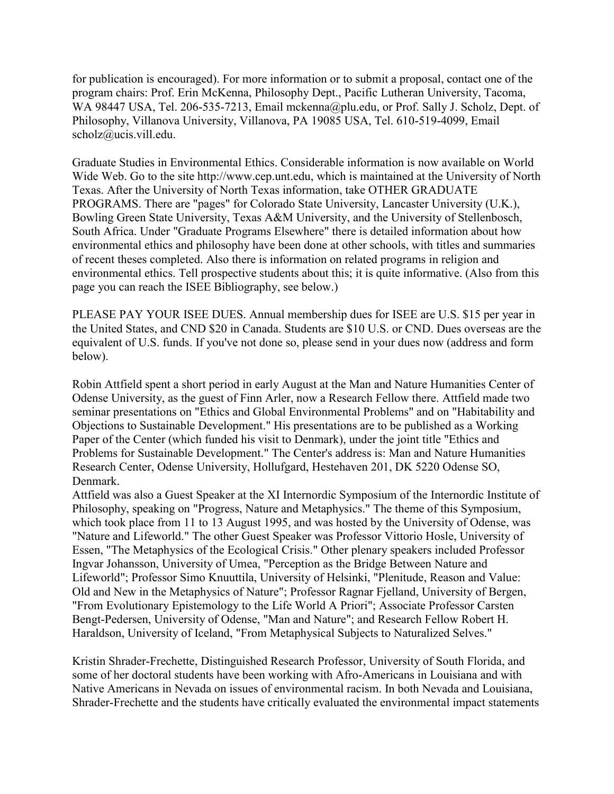for publication is encouraged). For more information or to submit a proposal, contact one of the program chairs: Prof. Erin McKenna, Philosophy Dept., Pacific Lutheran University, Tacoma, WA 98447 USA, Tel. 206-535-7213, Email mckenna@plu.edu, or Prof. Sally J. Scholz, Dept. of Philosophy, Villanova University, Villanova, PA 19085 USA, Tel. 610-519-4099, Email scholz@ucis.vill.edu.

Graduate Studies in Environmental Ethics. Considerable information is now available on World Wide Web. Go to the site http://www.cep.unt.edu, which is maintained at the University of North Texas. After the University of North Texas information, take OTHER GRADUATE PROGRAMS. There are "pages" for Colorado State University, Lancaster University (U.K.), Bowling Green State University, Texas A&M University, and the University of Stellenbosch, South Africa. Under "Graduate Programs Elsewhere" there is detailed information about how environmental ethics and philosophy have been done at other schools, with titles and summaries of recent theses completed. Also there is information on related programs in religion and environmental ethics. Tell prospective students about this; it is quite informative. (Also from this page you can reach the ISEE Bibliography, see below.)

PLEASE PAY YOUR ISEE DUES. Annual membership dues for ISEE are U.S. \$15 per year in the United States, and CND \$20 in Canada. Students are \$10 U.S. or CND. Dues overseas are the equivalent of U.S. funds. If you've not done so, please send in your dues now (address and form below).

Robin Attfield spent a short period in early August at the Man and Nature Humanities Center of Odense University, as the guest of Finn Arler, now a Research Fellow there. Attfield made two seminar presentations on "Ethics and Global Environmental Problems" and on "Habitability and Objections to Sustainable Development." His presentations are to be published as a Working Paper of the Center (which funded his visit to Denmark), under the joint title "Ethics and Problems for Sustainable Development." The Center's address is: Man and Nature Humanities Research Center, Odense University, Hollufgard, Hestehaven 201, DK 5220 Odense SO, Denmark.

Attfield was also a Guest Speaker at the XI Internordic Symposium of the Internordic Institute of Philosophy, speaking on "Progress, Nature and Metaphysics." The theme of this Symposium, which took place from 11 to 13 August 1995, and was hosted by the University of Odense, was "Nature and Lifeworld." The other Guest Speaker was Professor Vittorio Hosle, University of Essen, "The Metaphysics of the Ecological Crisis." Other plenary speakers included Professor Ingvar Johansson, University of Umea, "Perception as the Bridge Between Nature and Lifeworld"; Professor Simo Knuuttila, University of Helsinki, "Plenitude, Reason and Value: Old and New in the Metaphysics of Nature"; Professor Ragnar Fjelland, University of Bergen, "From Evolutionary Epistemology to the Life World A Priori"; Associate Professor Carsten Bengt-Pedersen, University of Odense, "Man and Nature"; and Research Fellow Robert H. Haraldson, University of Iceland, "From Metaphysical Subjects to Naturalized Selves."

Kristin Shrader-Frechette, Distinguished Research Professor, University of South Florida, and some of her doctoral students have been working with Afro-Americans in Louisiana and with Native Americans in Nevada on issues of environmental racism. In both Nevada and Louisiana, Shrader-Frechette and the students have critically evaluated the environmental impact statements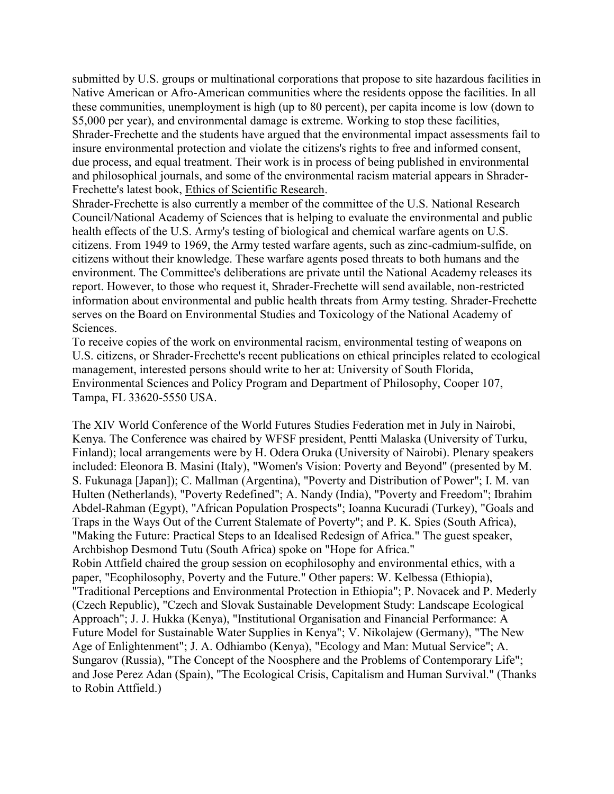submitted by U.S. groups or multinational corporations that propose to site hazardous facilities in Native American or Afro-American communities where the residents oppose the facilities. In all these communities, unemployment is high (up to 80 percent), per capita income is low (down to \$5,000 per year), and environmental damage is extreme. Working to stop these facilities, Shrader-Frechette and the students have argued that the environmental impact assessments fail to insure environmental protection and violate the citizens's rights to free and informed consent, due process, and equal treatment. Their work is in process of being published in environmental and philosophical journals, and some of the environmental racism material appears in Shrader-Frechette's latest book, Ethics of Scientific Research.

Shrader-Frechette is also currently a member of the committee of the U.S. National Research Council/National Academy of Sciences that is helping to evaluate the environmental and public health effects of the U.S. Army's testing of biological and chemical warfare agents on U.S. citizens. From 1949 to 1969, the Army tested warfare agents, such as zinc-cadmium-sulfide, on citizens without their knowledge. These warfare agents posed threats to both humans and the environment. The Committee's deliberations are private until the National Academy releases its report. However, to those who request it, Shrader-Frechette will send available, non-restricted information about environmental and public health threats from Army testing. Shrader-Frechette serves on the Board on Environmental Studies and Toxicology of the National Academy of Sciences.

To receive copies of the work on environmental racism, environmental testing of weapons on U.S. citizens, or Shrader-Frechette's recent publications on ethical principles related to ecological management, interested persons should write to her at: University of South Florida, Environmental Sciences and Policy Program and Department of Philosophy, Cooper 107, Tampa, FL 33620-5550 USA.

The XIV World Conference of the World Futures Studies Federation met in July in Nairobi, Kenya. The Conference was chaired by WFSF president, Pentti Malaska (University of Turku, Finland); local arrangements were by H. Odera Oruka (University of Nairobi). Plenary speakers included: Eleonora B. Masini (Italy), "Women's Vision: Poverty and Beyond" (presented by M. S. Fukunaga [Japan]); C. Mallman (Argentina), "Poverty and Distribution of Power"; I. M. van Hulten (Netherlands), "Poverty Redefined"; A. Nandy (India), "Poverty and Freedom"; Ibrahim Abdel-Rahman (Egypt), "African Population Prospects"; Ioanna Kucuradi (Turkey), "Goals and Traps in the Ways Out of the Current Stalemate of Poverty"; and P. K. Spies (South Africa), "Making the Future: Practical Steps to an Idealised Redesign of Africa." The guest speaker, Archbishop Desmond Tutu (South Africa) spoke on "Hope for Africa." Robin Attfield chaired the group session on ecophilosophy and environmental ethics, with a paper, "Ecophilosophy, Poverty and the Future." Other papers: W. Kelbessa (Ethiopia), "Traditional Perceptions and Environmental Protection in Ethiopia"; P. Novacek and P. Mederly (Czech Republic), "Czech and Slovak Sustainable Development Study: Landscape Ecological Approach"; J. J. Hukka (Kenya), "Institutional Organisation and Financial Performance: A Future Model for Sustainable Water Supplies in Kenya"; V. Nikolajew (Germany), "The New Age of Enlightenment"; J. A. Odhiambo (Kenya), "Ecology and Man: Mutual Service"; A. Sungarov (Russia), "The Concept of the Noosphere and the Problems of Contemporary Life";

and Jose Perez Adan (Spain), "The Ecological Crisis, Capitalism and Human Survival." (Thanks to Robin Attfield.)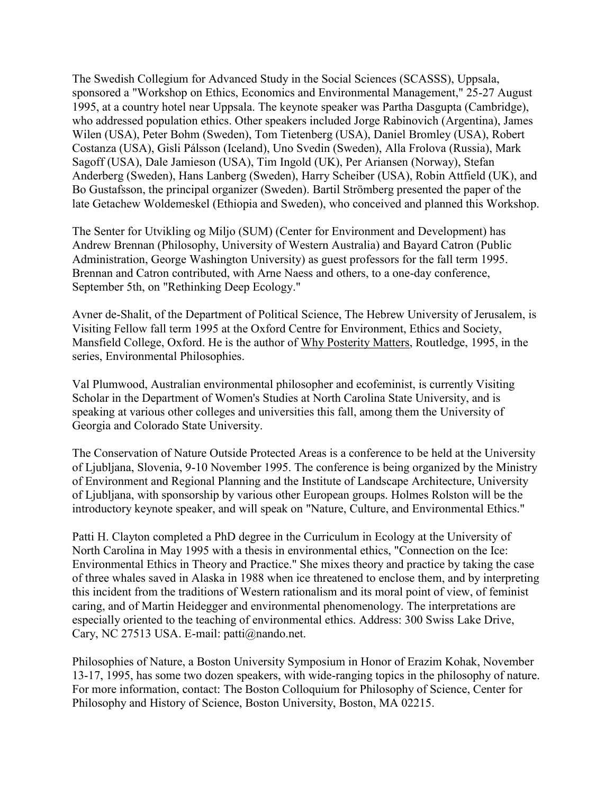The Swedish Collegium for Advanced Study in the Social Sciences (SCASSS), Uppsala, sponsored a "Workshop on Ethics, Economics and Environmental Management," 25-27 August 1995, at a country hotel near Uppsala. The keynote speaker was Partha Dasgupta (Cambridge), who addressed population ethics. Other speakers included Jorge Rabinovich (Argentina), James Wilen (USA), Peter Bohm (Sweden), Tom Tietenberg (USA), Daniel Bromley (USA), Robert Costanza (USA), Gisli Pálsson (Iceland), Uno Svedin (Sweden), Alla Frolova (Russia), Mark Sagoff (USA), Dale Jamieson (USA), Tim Ingold (UK), Per Ariansen (Norway), Stefan Anderberg (Sweden), Hans Lanberg (Sweden), Harry Scheiber (USA), Robin Attfield (UK), and Bo Gustafsson, the principal organizer (Sweden). Bartil Strömberg presented the paper of the late Getachew Woldemeskel (Ethiopia and Sweden), who conceived and planned this Workshop.

The Senter for Utvikling og Miljo (SUM) (Center for Environment and Development) has Andrew Brennan (Philosophy, University of Western Australia) and Bayard Catron (Public Administration, George Washington University) as guest professors for the fall term 1995. Brennan and Catron contributed, with Arne Naess and others, to a one-day conference, September 5th, on "Rethinking Deep Ecology."

Avner de-Shalit, of the Department of Political Science, The Hebrew University of Jerusalem, is Visiting Fellow fall term 1995 at the Oxford Centre for Environment, Ethics and Society, Mansfield College, Oxford. He is the author of Why Posterity Matters, Routledge, 1995, in the series, Environmental Philosophies.

Val Plumwood, Australian environmental philosopher and ecofeminist, is currently Visiting Scholar in the Department of Women's Studies at North Carolina State University, and is speaking at various other colleges and universities this fall, among them the University of Georgia and Colorado State University.

The Conservation of Nature Outside Protected Areas is a conference to be held at the University of Ljubljana, Slovenia, 9-10 November 1995. The conference is being organized by the Ministry of Environment and Regional Planning and the Institute of Landscape Architecture, University of Ljubljana, with sponsorship by various other European groups. Holmes Rolston will be the introductory keynote speaker, and will speak on "Nature, Culture, and Environmental Ethics."

Patti H. Clayton completed a PhD degree in the Curriculum in Ecology at the University of North Carolina in May 1995 with a thesis in environmental ethics, "Connection on the Ice: Environmental Ethics in Theory and Practice." She mixes theory and practice by taking the case of three whales saved in Alaska in 1988 when ice threatened to enclose them, and by interpreting this incident from the traditions of Western rationalism and its moral point of view, of feminist caring, and of Martin Heidegger and environmental phenomenology. The interpretations are especially oriented to the teaching of environmental ethics. Address: 300 Swiss Lake Drive, Cary, NC 27513 USA. E-mail: patti@nando.net.

Philosophies of Nature, a Boston University Symposium in Honor of Erazim Kohak, November 13-17, 1995, has some two dozen speakers, with wide-ranging topics in the philosophy of nature. For more information, contact: The Boston Colloquium for Philosophy of Science, Center for Philosophy and History of Science, Boston University, Boston, MA 02215.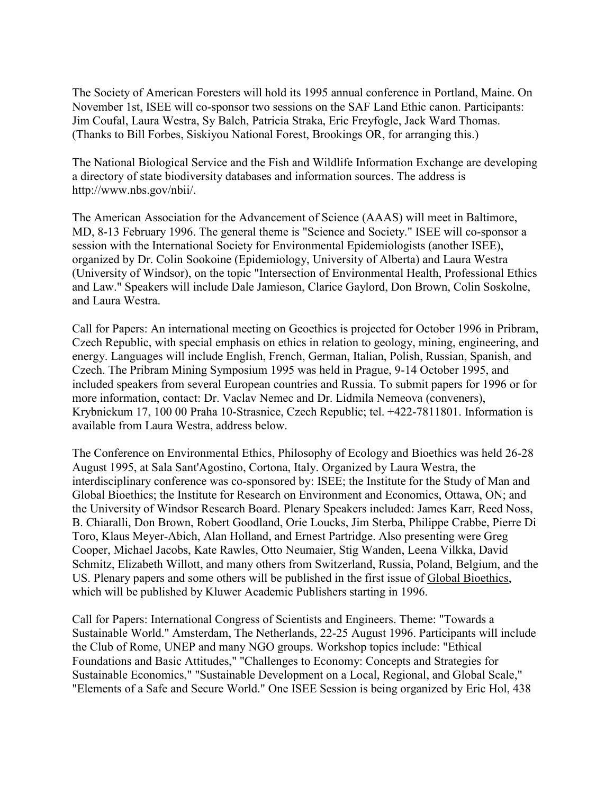The Society of American Foresters will hold its 1995 annual conference in Portland, Maine. On November 1st, ISEE will co-sponsor two sessions on the SAF Land Ethic canon. Participants: Jim Coufal, Laura Westra, Sy Balch, Patricia Straka, Eric Freyfogle, Jack Ward Thomas. (Thanks to Bill Forbes, Siskiyou National Forest, Brookings OR, for arranging this.)

The National Biological Service and the Fish and Wildlife Information Exchange are developing a directory of state biodiversity databases and information sources. The address is http://www.nbs.gov/nbii/.

The American Association for the Advancement of Science (AAAS) will meet in Baltimore, MD, 8-13 February 1996. The general theme is "Science and Society." ISEE will co-sponsor a session with the International Society for Environmental Epidemiologists (another ISEE), organized by Dr. Colin Sookoine (Epidemiology, University of Alberta) and Laura Westra (University of Windsor), on the topic "Intersection of Environmental Health, Professional Ethics and Law." Speakers will include Dale Jamieson, Clarice Gaylord, Don Brown, Colin Soskolne, and Laura Westra.

Call for Papers: An international meeting on Geoethics is projected for October 1996 in Pribram, Czech Republic, with special emphasis on ethics in relation to geology, mining, engineering, and energy. Languages will include English, French, German, Italian, Polish, Russian, Spanish, and Czech. The Pribram Mining Symposium 1995 was held in Prague, 9-14 October 1995, and included speakers from several European countries and Russia. To submit papers for 1996 or for more information, contact: Dr. Vaclav Nemec and Dr. Lidmila Nemeova (conveners), Krybnickum 17, 100 00 Praha 10-Strasnice, Czech Republic; tel. +422-7811801. Information is available from Laura Westra, address below.

The Conference on Environmental Ethics, Philosophy of Ecology and Bioethics was held 26-28 August 1995, at Sala Sant'Agostino, Cortona, Italy. Organized by Laura Westra, the interdisciplinary conference was co-sponsored by: ISEE; the Institute for the Study of Man and Global Bioethics; the Institute for Research on Environment and Economics, Ottawa, ON; and the University of Windsor Research Board. Plenary Speakers included: James Karr, Reed Noss, B. Chiaralli, Don Brown, Robert Goodland, Orie Loucks, Jim Sterba, Philippe Crabbe, Pierre Di Toro, Klaus Meyer-Abich, Alan Holland, and Ernest Partridge. Also presenting were Greg Cooper, Michael Jacobs, Kate Rawles, Otto Neumaier, Stig Wanden, Leena Vilkka, David Schmitz, Elizabeth Willott, and many others from Switzerland, Russia, Poland, Belgium, and the US. Plenary papers and some others will be published in the first issue of Global Bioethics, which will be published by Kluwer Academic Publishers starting in 1996.

Call for Papers: International Congress of Scientists and Engineers. Theme: "Towards a Sustainable World." Amsterdam, The Netherlands, 22-25 August 1996. Participants will include the Club of Rome, UNEP and many NGO groups. Workshop topics include: "Ethical Foundations and Basic Attitudes," "Challenges to Economy: Concepts and Strategies for Sustainable Economics," "Sustainable Development on a Local, Regional, and Global Scale," "Elements of a Safe and Secure World." One ISEE Session is being organized by Eric Hol, 438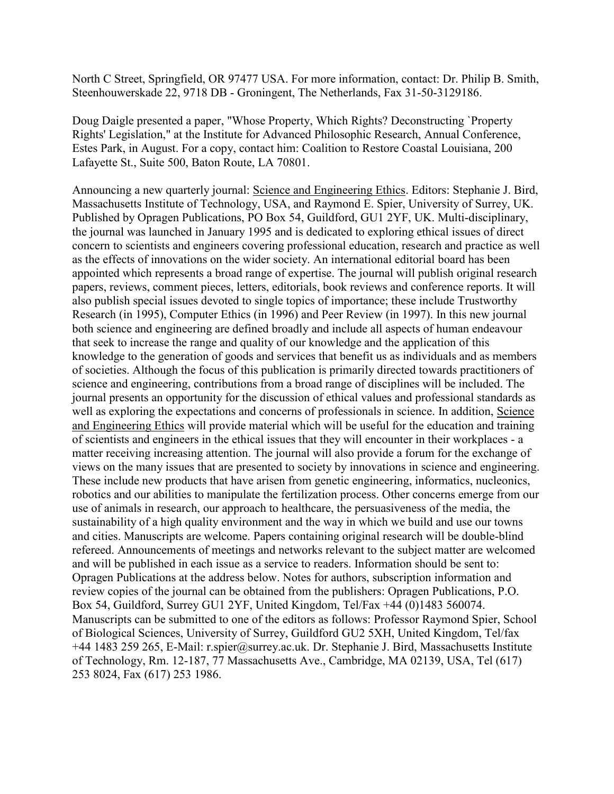North C Street, Springfield, OR 97477 USA. For more information, contact: Dr. Philip B. Smith, Steenhouwerskade 22, 9718 DB - Groningent, The Netherlands, Fax 31-50-3129186.

Doug Daigle presented a paper, "Whose Property, Which Rights? Deconstructing `Property Rights' Legislation," at the Institute for Advanced Philosophic Research, Annual Conference, Estes Park, in August. For a copy, contact him: Coalition to Restore Coastal Louisiana, 200 Lafayette St., Suite 500, Baton Route, LA 70801.

Announcing a new quarterly journal: Science and Engineering Ethics. Editors: Stephanie J. Bird, Massachusetts Institute of Technology, USA, and Raymond E. Spier, University of Surrey, UK. Published by Opragen Publications, PO Box 54, Guildford, GU1 2YF, UK. Multi-disciplinary, the journal was launched in January 1995 and is dedicated to exploring ethical issues of direct concern to scientists and engineers covering professional education, research and practice as well as the effects of innovations on the wider society. An international editorial board has been appointed which represents a broad range of expertise. The journal will publish original research papers, reviews, comment pieces, letters, editorials, book reviews and conference reports. It will also publish special issues devoted to single topics of importance; these include Trustworthy Research (in 1995), Computer Ethics (in 1996) and Peer Review (in 1997). In this new journal both science and engineering are defined broadly and include all aspects of human endeavour that seek to increase the range and quality of our knowledge and the application of this knowledge to the generation of goods and services that benefit us as individuals and as members of societies. Although the focus of this publication is primarily directed towards practitioners of science and engineering, contributions from a broad range of disciplines will be included. The journal presents an opportunity for the discussion of ethical values and professional standards as well as exploring the expectations and concerns of professionals in science. In addition, Science and Engineering Ethics will provide material which will be useful for the education and training of scientists and engineers in the ethical issues that they will encounter in their workplaces - a matter receiving increasing attention. The journal will also provide a forum for the exchange of views on the many issues that are presented to society by innovations in science and engineering. These include new products that have arisen from genetic engineering, informatics, nucleonics, robotics and our abilities to manipulate the fertilization process. Other concerns emerge from our use of animals in research, our approach to healthcare, the persuasiveness of the media, the sustainability of a high quality environment and the way in which we build and use our towns and cities. Manuscripts are welcome. Papers containing original research will be double-blind refereed. Announcements of meetings and networks relevant to the subject matter are welcomed and will be published in each issue as a service to readers. Information should be sent to: Opragen Publications at the address below. Notes for authors, subscription information and review copies of the journal can be obtained from the publishers: Opragen Publications, P.O. Box 54, Guildford, Surrey GU1 2YF, United Kingdom, Tel/Fax +44 (0)1483 560074. Manuscripts can be submitted to one of the editors as follows: Professor Raymond Spier, School of Biological Sciences, University of Surrey, Guildford GU2 5XH, United Kingdom, Tel/fax +44 1483 259 265, E-Mail: r.spier@surrey.ac.uk. Dr. Stephanie J. Bird, Massachusetts Institute of Technology, Rm. 12-187, 77 Massachusetts Ave., Cambridge, MA 02139, USA, Tel (617) 253 8024, Fax (617) 253 1986.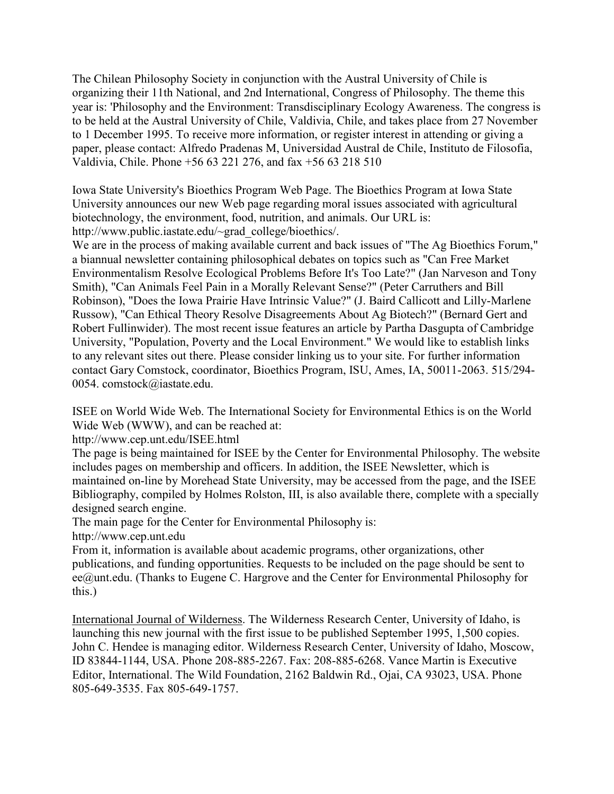The Chilean Philosophy Society in conjunction with the Austral University of Chile is organizing their 11th National, and 2nd International, Congress of Philosophy. The theme this year is: 'Philosophy and the Environment: Transdisciplinary Ecology Awareness. The congress is to be held at the Austral University of Chile, Valdivia, Chile, and takes place from 27 November to 1 December 1995. To receive more information, or register interest in attending or giving a paper, please contact: Alfredo Pradenas M, Universidad Austral de Chile, Instituto de Filosofia, Valdivia, Chile. Phone +56 63 221 276, and fax +56 63 218 510

Iowa State University's Bioethics Program Web Page. The Bioethics Program at Iowa State University announces our new Web page regarding moral issues associated with agricultural biotechnology, the environment, food, nutrition, and animals. Our URL is: http://www.public.iastate.edu/~grad\_college/bioethics/.

We are in the process of making available current and back issues of "The Ag Bioethics Forum," a biannual newsletter containing philosophical debates on topics such as "Can Free Market Environmentalism Resolve Ecological Problems Before It's Too Late?" (Jan Narveson and Tony Smith), "Can Animals Feel Pain in a Morally Relevant Sense?" (Peter Carruthers and Bill Robinson), "Does the Iowa Prairie Have Intrinsic Value?" (J. Baird Callicott and Lilly-Marlene Russow), "Can Ethical Theory Resolve Disagreements About Ag Biotech?" (Bernard Gert and Robert Fullinwider). The most recent issue features an article by Partha Dasgupta of Cambridge University, "Population, Poverty and the Local Environment." We would like to establish links to any relevant sites out there. Please consider linking us to your site. For further information contact Gary Comstock, coordinator, Bioethics Program, ISU, Ames, IA, 50011-2063. 515/294- 0054. comstock@iastate.edu.

ISEE on World Wide Web. The International Society for Environmental Ethics is on the World Wide Web (WWW), and can be reached at:

http://www.cep.unt.edu/ISEE.html

The page is being maintained for ISEE by the Center for Environmental Philosophy. The website includes pages on membership and officers. In addition, the ISEE Newsletter, which is maintained on-line by Morehead State University, may be accessed from the page, and the ISEE Bibliography, compiled by Holmes Rolston, III, is also available there, complete with a specially designed search engine.

The main page for the Center for Environmental Philosophy is:

http://www.cep.unt.edu

From it, information is available about academic programs, other organizations, other publications, and funding opportunities. Requests to be included on the page should be sent to ee@unt.edu. (Thanks to Eugene C. Hargrove and the Center for Environmental Philosophy for this.)

International Journal of Wilderness. The Wilderness Research Center, University of Idaho, is launching this new journal with the first issue to be published September 1995, 1,500 copies. John C. Hendee is managing editor. Wilderness Research Center, University of Idaho, Moscow, ID 83844-1144, USA. Phone 208-885-2267. Fax: 208-885-6268. Vance Martin is Executive Editor, International. The Wild Foundation, 2162 Baldwin Rd., Ojai, CA 93023, USA. Phone 805-649-3535. Fax 805-649-1757.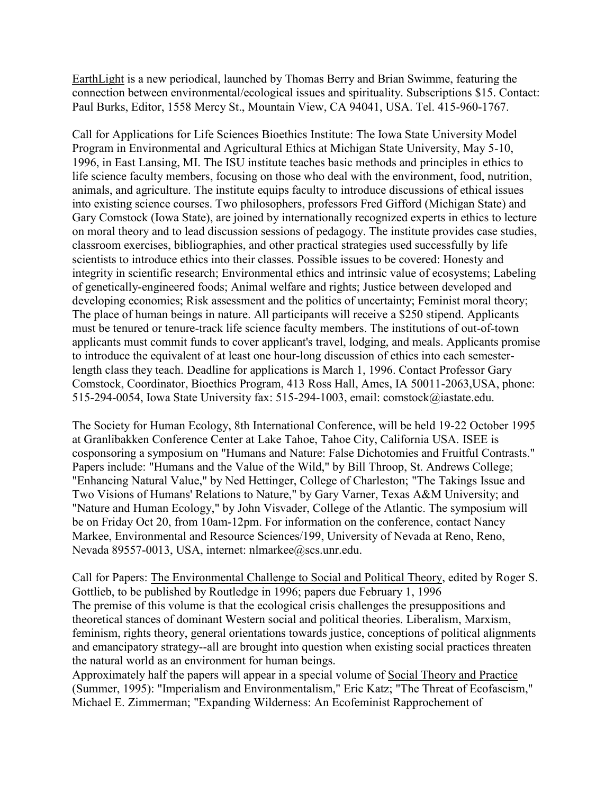EarthLight is a new periodical, launched by Thomas Berry and Brian Swimme, featuring the connection between environmental/ecological issues and spirituality. Subscriptions \$15. Contact: Paul Burks, Editor, 1558 Mercy St., Mountain View, CA 94041, USA. Tel. 415-960-1767.

Call for Applications for Life Sciences Bioethics Institute: The Iowa State University Model Program in Environmental and Agricultural Ethics at Michigan State University, May 5-10, 1996, in East Lansing, MI. The ISU institute teaches basic methods and principles in ethics to life science faculty members, focusing on those who deal with the environment, food, nutrition, animals, and agriculture. The institute equips faculty to introduce discussions of ethical issues into existing science courses. Two philosophers, professors Fred Gifford (Michigan State) and Gary Comstock (Iowa State), are joined by internationally recognized experts in ethics to lecture on moral theory and to lead discussion sessions of pedagogy. The institute provides case studies, classroom exercises, bibliographies, and other practical strategies used successfully by life scientists to introduce ethics into their classes. Possible issues to be covered: Honesty and integrity in scientific research; Environmental ethics and intrinsic value of ecosystems; Labeling of genetically-engineered foods; Animal welfare and rights; Justice between developed and developing economies; Risk assessment and the politics of uncertainty; Feminist moral theory; The place of human beings in nature. All participants will receive a \$250 stipend. Applicants must be tenured or tenure-track life science faculty members. The institutions of out-of-town applicants must commit funds to cover applicant's travel, lodging, and meals. Applicants promise to introduce the equivalent of at least one hour-long discussion of ethics into each semesterlength class they teach. Deadline for applications is March 1, 1996. Contact Professor Gary Comstock, Coordinator, Bioethics Program, 413 Ross Hall, Ames, IA 50011-2063,USA, phone: 515-294-0054, Iowa State University fax: 515-294-1003, email: comstock@iastate.edu.

The Society for Human Ecology, 8th International Conference, will be held 19-22 October 1995 at Granlibakken Conference Center at Lake Tahoe, Tahoe City, California USA. ISEE is cosponsoring a symposium on "Humans and Nature: False Dichotomies and Fruitful Contrasts." Papers include: "Humans and the Value of the Wild," by Bill Throop, St. Andrews College; "Enhancing Natural Value," by Ned Hettinger, College of Charleston; "The Takings Issue and Two Visions of Humans' Relations to Nature," by Gary Varner, Texas A&M University; and "Nature and Human Ecology," by John Visvader, College of the Atlantic. The symposium will be on Friday Oct 20, from 10am-12pm. For information on the conference, contact Nancy Markee, Environmental and Resource Sciences/199, University of Nevada at Reno, Reno, Nevada 89557-0013, USA, internet: nlmarkee@scs.unr.edu.

Call for Papers: The Environmental Challenge to Social and Political Theory, edited by Roger S. Gottlieb, to be published by Routledge in 1996; papers due February 1, 1996 The premise of this volume is that the ecological crisis challenges the presuppositions and theoretical stances of dominant Western social and political theories. Liberalism, Marxism, feminism, rights theory, general orientations towards justice, conceptions of political alignments and emancipatory strategy--all are brought into question when existing social practices threaten the natural world as an environment for human beings.

Approximately half the papers will appear in a special volume of Social Theory and Practice (Summer, 1995): "Imperialism and Environmentalism," Eric Katz; "The Threat of Ecofascism," Michael E. Zimmerman; "Expanding Wilderness: An Ecofeminist Rapprochement of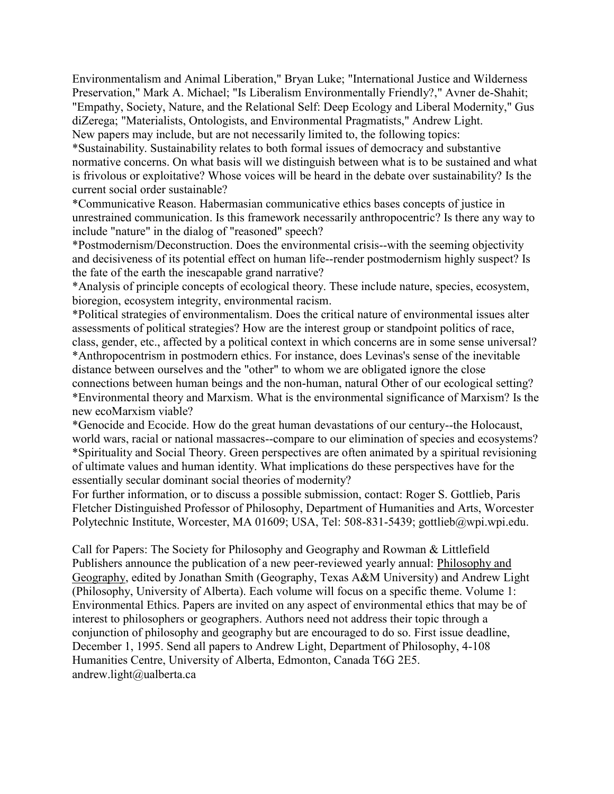Environmentalism and Animal Liberation," Bryan Luke; "International Justice and Wilderness Preservation," Mark A. Michael; "Is Liberalism Environmentally Friendly?," Avner de-Shahit; "Empathy, Society, Nature, and the Relational Self: Deep Ecology and Liberal Modernity," Gus diZerega; "Materialists, Ontologists, and Environmental Pragmatists," Andrew Light. New papers may include, but are not necessarily limited to, the following topics:

\*Sustainability. Sustainability relates to both formal issues of democracy and substantive normative concerns. On what basis will we distinguish between what is to be sustained and what is frivolous or exploitative? Whose voices will be heard in the debate over sustainability? Is the current social order sustainable?

\*Communicative Reason. Habermasian communicative ethics bases concepts of justice in unrestrained communication. Is this framework necessarily anthropocentric? Is there any way to include "nature" in the dialog of "reasoned" speech?

\*Postmodernism/Deconstruction. Does the environmental crisis--with the seeming objectivity and decisiveness of its potential effect on human life--render postmodernism highly suspect? Is the fate of the earth the inescapable grand narrative?

\*Analysis of principle concepts of ecological theory. These include nature, species, ecosystem, bioregion, ecosystem integrity, environmental racism.

\*Political strategies of environmentalism. Does the critical nature of environmental issues alter assessments of political strategies? How are the interest group or standpoint politics of race, class, gender, etc., affected by a political context in which concerns are in some sense universal? \*Anthropocentrism in postmodern ethics. For instance, does Levinas's sense of the inevitable distance between ourselves and the "other" to whom we are obligated ignore the close connections between human beings and the non-human, natural Other of our ecological setting? \*Environmental theory and Marxism. What is the environmental significance of Marxism? Is the new ecoMarxism viable?

\*Genocide and Ecocide. How do the great human devastations of our century--the Holocaust, world wars, racial or national massacres--compare to our elimination of species and ecosystems? \*Spirituality and Social Theory. Green perspectives are often animated by a spiritual revisioning of ultimate values and human identity. What implications do these perspectives have for the essentially secular dominant social theories of modernity?

For further information, or to discuss a possible submission, contact: Roger S. Gottlieb, Paris Fletcher Distinguished Professor of Philosophy, Department of Humanities and Arts, Worcester Polytechnic Institute, Worcester, MA 01609; USA, Tel: 508-831-5439; gottlieb@wpi.wpi.edu.

Call for Papers: The Society for Philosophy and Geography and Rowman & Littlefield Publishers announce the publication of a new peer-reviewed yearly annual: Philosophy and Geography, edited by Jonathan Smith (Geography, Texas A&M University) and Andrew Light (Philosophy, University of Alberta). Each volume will focus on a specific theme. Volume 1: Environmental Ethics. Papers are invited on any aspect of environmental ethics that may be of interest to philosophers or geographers. Authors need not address their topic through a conjunction of philosophy and geography but are encouraged to do so. First issue deadline, December 1, 1995. Send all papers to Andrew Light, Department of Philosophy, 4-108 Humanities Centre, University of Alberta, Edmonton, Canada T6G 2E5. andrew.light@ualberta.ca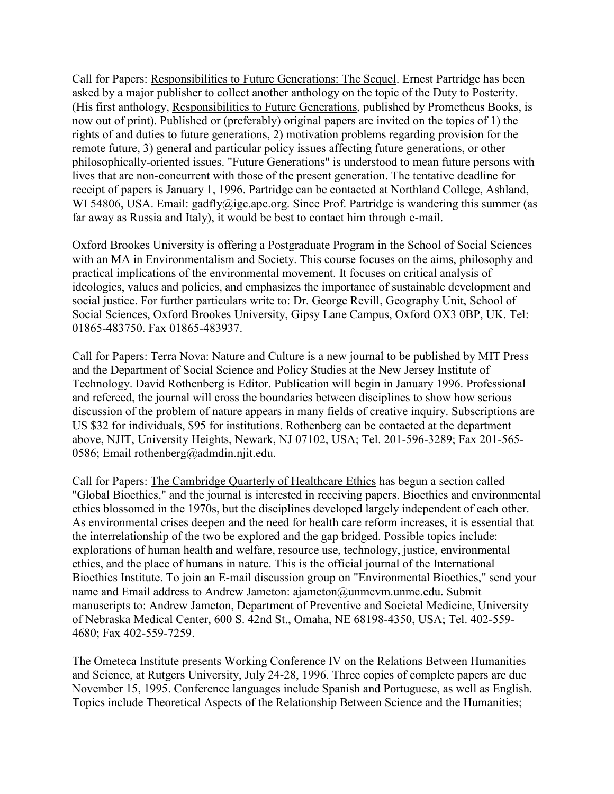Call for Papers: Responsibilities to Future Generations: The Sequel. Ernest Partridge has been asked by a major publisher to collect another anthology on the topic of the Duty to Posterity. (His first anthology, Responsibilities to Future Generations, published by Prometheus Books, is now out of print). Published or (preferably) original papers are invited on the topics of 1) the rights of and duties to future generations, 2) motivation problems regarding provision for the remote future, 3) general and particular policy issues affecting future generations, or other philosophically-oriented issues. "Future Generations" is understood to mean future persons with lives that are non-concurrent with those of the present generation. The tentative deadline for receipt of papers is January 1, 1996. Partridge can be contacted at Northland College, Ashland, WI 54806, USA. Email: gadfly@igc.apc.org. Since Prof. Partridge is wandering this summer (as far away as Russia and Italy), it would be best to contact him through e-mail.

Oxford Brookes University is offering a Postgraduate Program in the School of Social Sciences with an MA in Environmentalism and Society. This course focuses on the aims, philosophy and practical implications of the environmental movement. It focuses on critical analysis of ideologies, values and policies, and emphasizes the importance of sustainable development and social justice. For further particulars write to: Dr. George Revill, Geography Unit, School of Social Sciences, Oxford Brookes University, Gipsy Lane Campus, Oxford OX3 0BP, UK. Tel: 01865-483750. Fax 01865-483937.

Call for Papers: Terra Nova: Nature and Culture is a new journal to be published by MIT Press and the Department of Social Science and Policy Studies at the New Jersey Institute of Technology. David Rothenberg is Editor. Publication will begin in January 1996. Professional and refereed, the journal will cross the boundaries between disciplines to show how serious discussion of the problem of nature appears in many fields of creative inquiry. Subscriptions are US \$32 for individuals, \$95 for institutions. Rothenberg can be contacted at the department above, NJIT, University Heights, Newark, NJ 07102, USA; Tel. 201-596-3289; Fax 201-565- 0586; Email rothenberg@admdin.njit.edu.

Call for Papers: The Cambridge Quarterly of Healthcare Ethics has begun a section called "Global Bioethics," and the journal is interested in receiving papers. Bioethics and environmental ethics blossomed in the 1970s, but the disciplines developed largely independent of each other. As environmental crises deepen and the need for health care reform increases, it is essential that the interrelationship of the two be explored and the gap bridged. Possible topics include: explorations of human health and welfare, resource use, technology, justice, environmental ethics, and the place of humans in nature. This is the official journal of the International Bioethics Institute. To join an E-mail discussion group on "Environmental Bioethics," send your name and Email address to Andrew Jameton: ajameton@unmcvm.unmc.edu. Submit manuscripts to: Andrew Jameton, Department of Preventive and Societal Medicine, University of Nebraska Medical Center, 600 S. 42nd St., Omaha, NE 68198-4350, USA; Tel. 402-559- 4680; Fax 402-559-7259.

The Ometeca Institute presents Working Conference IV on the Relations Between Humanities and Science, at Rutgers University, July 24-28, 1996. Three copies of complete papers are due November 15, 1995. Conference languages include Spanish and Portuguese, as well as English. Topics include Theoretical Aspects of the Relationship Between Science and the Humanities;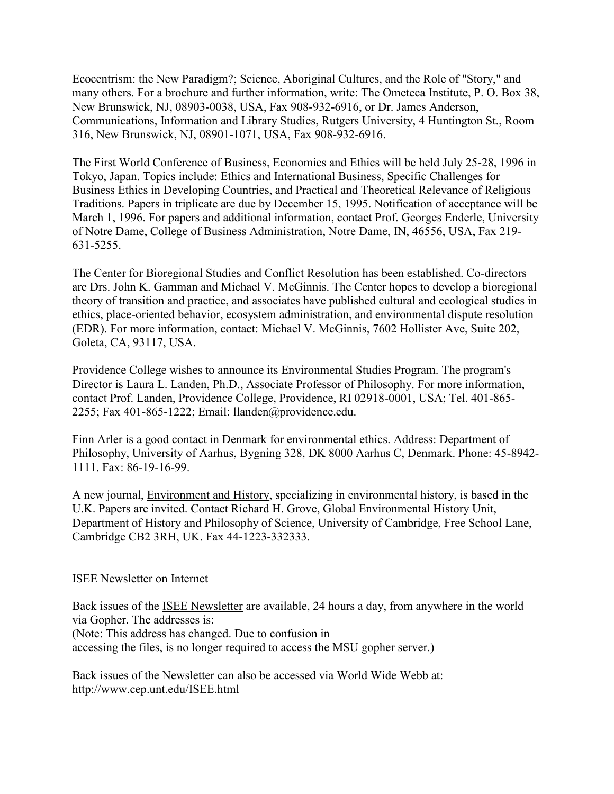Ecocentrism: the New Paradigm?; Science, Aboriginal Cultures, and the Role of "Story," and many others. For a brochure and further information, write: The Ometeca Institute, P. O. Box 38, New Brunswick, NJ, 08903-0038, USA, Fax 908-932-6916, or Dr. James Anderson, Communications, Information and Library Studies, Rutgers University, 4 Huntington St., Room 316, New Brunswick, NJ, 08901-1071, USA, Fax 908-932-6916.

The First World Conference of Business, Economics and Ethics will be held July 25-28, 1996 in Tokyo, Japan. Topics include: Ethics and International Business, Specific Challenges for Business Ethics in Developing Countries, and Practical and Theoretical Relevance of Religious Traditions. Papers in triplicate are due by December 15, 1995. Notification of acceptance will be March 1, 1996. For papers and additional information, contact Prof. Georges Enderle, University of Notre Dame, College of Business Administration, Notre Dame, IN, 46556, USA, Fax 219- 631-5255.

The Center for Bioregional Studies and Conflict Resolution has been established. Co-directors are Drs. John K. Gamman and Michael V. McGinnis. The Center hopes to develop a bioregional theory of transition and practice, and associates have published cultural and ecological studies in ethics, place-oriented behavior, ecosystem administration, and environmental dispute resolution (EDR). For more information, contact: Michael V. McGinnis, 7602 Hollister Ave, Suite 202, Goleta, CA, 93117, USA.

Providence College wishes to announce its Environmental Studies Program. The program's Director is Laura L. Landen, Ph.D., Associate Professor of Philosophy. For more information, contact Prof. Landen, Providence College, Providence, RI 02918-0001, USA; Tel. 401-865- 2255; Fax 401-865-1222; Email: llanden@providence.edu.

Finn Arler is a good contact in Denmark for environmental ethics. Address: Department of Philosophy, University of Aarhus, Bygning 328, DK 8000 Aarhus C, Denmark. Phone: 45-8942- 1111. Fax: 86-19-16-99.

A new journal, Environment and History, specializing in environmental history, is based in the U.K. Papers are invited. Contact Richard H. Grove, Global Environmental History Unit, Department of History and Philosophy of Science, University of Cambridge, Free School Lane, Cambridge CB2 3RH, UK. Fax 44-1223-332333.

#### ISEE Newsletter on Internet

Back issues of the ISEE Newsletter are available, 24 hours a day, from anywhere in the world via Gopher. The addresses is: (Note: This address has changed. Due to confusion in accessing the files, is no longer required to access the MSU gopher server.)

Back issues of the Newsletter can also be accessed via World Wide Webb at: http://www.cep.unt.edu/ISEE.html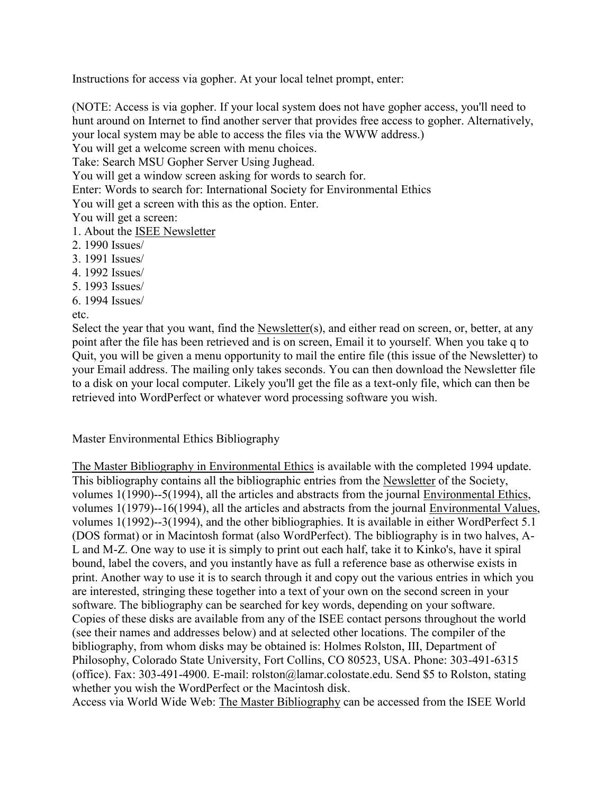Instructions for access via gopher. At your local telnet prompt, enter:

(NOTE: Access is via gopher. If your local system does not have gopher access, you'll need to hunt around on Internet to find another server that provides free access to gopher. Alternatively, your local system may be able to access the files via the WWW address.)

You will get a welcome screen with menu choices.

Take: Search MSU Gopher Server Using Jughead.

You will get a window screen asking for words to search for.

Enter: Words to search for: International Society for Environmental Ethics

You will get a screen with this as the option. Enter.

You will get a screen:

- 1. About the ISEE Newsletter
- 2. 1990 Issues/
- 3. 1991 Issues/
- 4. 1992 Issues/
- 5. 1993 Issues/
- 6. 1994 Issues/

etc.

Select the year that you want, find the Newsletter $(s)$ , and either read on screen, or, better, at any point after the file has been retrieved and is on screen, Email it to yourself. When you take q to Quit, you will be given a menu opportunity to mail the entire file (this issue of the Newsletter) to your Email address. The mailing only takes seconds. You can then download the Newsletter file to a disk on your local computer. Likely you'll get the file as a text-only file, which can then be retrieved into WordPerfect or whatever word processing software you wish.

#### Master Environmental Ethics Bibliography

The Master Bibliography in Environmental Ethics is available with the completed 1994 update. This bibliography contains all the bibliographic entries from the Newsletter of the Society, volumes 1(1990)--5(1994), all the articles and abstracts from the journal Environmental Ethics, volumes 1(1979)--16(1994), all the articles and abstracts from the journal Environmental Values, volumes 1(1992)--3(1994), and the other bibliographies. It is available in either WordPerfect 5.1 (DOS format) or in Macintosh format (also WordPerfect). The bibliography is in two halves, A-L and M-Z. One way to use it is simply to print out each half, take it to Kinko's, have it spiral bound, label the covers, and you instantly have as full a reference base as otherwise exists in print. Another way to use it is to search through it and copy out the various entries in which you are interested, stringing these together into a text of your own on the second screen in your software. The bibliography can be searched for key words, depending on your software. Copies of these disks are available from any of the ISEE contact persons throughout the world (see their names and addresses below) and at selected other locations. The compiler of the bibliography, from whom disks may be obtained is: Holmes Rolston, III, Department of Philosophy, Colorado State University, Fort Collins, CO 80523, USA. Phone: 303-491-6315 (office). Fax: 303-491-4900. E-mail: rolston@lamar.colostate.edu. Send \$5 to Rolston, stating whether you wish the WordPerfect or the Macintosh disk.

Access via World Wide Web: The Master Bibliography can be accessed from the ISEE World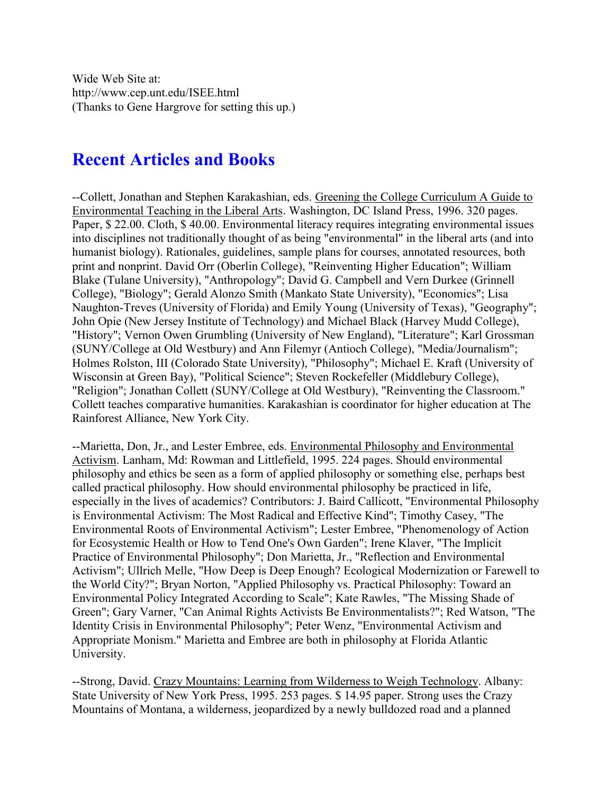Wide Web Site at: http://www.cep.unt.edu/ISEE.html (Thanks to Gene Hargrove for setting this up.)

### **Recent Articles and Books**

--Collett, Jonathan and Stephen Karakashian, eds. Greening the College Curriculum A Guide to Environmental Teaching in the Liberal Arts. Washington, DC Island Press, 1996. 320 pages. Paper, \$ 22.00. Cloth, \$ 40.00. Environmental literacy requires integrating environmental issues into disciplines not traditionally thought of as being "environmental" in the liberal arts (and into humanist biology). Rationales, guidelines, sample plans for courses, annotated resources, both print and nonprint. David Orr (Oberlin College), "Reinventing Higher Education"; William Blake (Tulane University), "Anthropology"; David G. Campbell and Vern Durkee (Grinnell College), "Biology"; Gerald Alonzo Smith (Mankato State University), "Economics"; Lisa Naughton-Treves (University of Florida) and Emily Young (University of Texas), "Geography"; John Opie (New Jersey Institute of Technology) and Michael Black (Harvey Mudd College), "History"; Vernon Owen Grumbling (University of New England), "Literature"; Karl Grossman (SUNY/College at Old Westbury) and Ann Filemyr (Antioch College), "Media/Journalism"; Holmes Rolston, III (Colorado State University), "Philosophy"; Michael E. Kraft (University of Wisconsin at Green Bay), "Political Science"; Steven Rockefeller (Middlebury College), "Religion"; Jonathan Collett (SUNY/College at Old Westbury), "Reinventing the Classroom." Collett teaches comparative humanities. Karakashian is coordinator for higher education at The Rainforest Alliance, New York City.

--Marietta, Don, Jr., and Lester Embree, eds. Environmental Philosophy and Environmental Activism. Lanham, Md: Rowman and Littlefield, 1995. 224 pages. Should environmental philosophy and ethics be seen as a form of applied philosophy or something else, perhaps best called practical philosophy. How should environmental philosophy be practiced in life, especially in the lives of academics? Contributors: J. Baird Callicott, "Environmental Philosophy is Environmental Activism: The Most Radical and Effective Kind"; Timothy Casey, "The Environmental Roots of Environmental Activism"; Lester Embree, "Phenomenology of Action for Ecosystemic Health or How to Tend One's Own Garden"; Irene Klaver, "The Implicit Practice of Environmental Philosophy"; Don Marietta, Jr., "Reflection and Environmental Activism"; Ullrich Melle, "How Deep is Deep Enough? Ecological Modernization or Farewell to the World City?"; Bryan Norton, "Applied Philosophy vs. Practical Philosophy: Toward an Environmental Policy Integrated According to Scale"; Kate Rawles, "The Missing Shade of Green"; Gary Varner, "Can Animal Rights Activists Be Environmentalists?"; Red Watson, "The Identity Crisis in Environmental Philosophy"; Peter Wenz, "Environmental Activism and Appropriate Monism." Marietta and Embree are both in philosophy at Florida Atlantic University.

--Strong, David. Crazy Mountains: Learning from Wilderness to Weigh Technology. Albany: State University of New York Press, 1995. 253 pages. \$ 14.95 paper. Strong uses the Crazy Mountains of Montana, a wilderness, jeopardized by a newly bulldozed road and a planned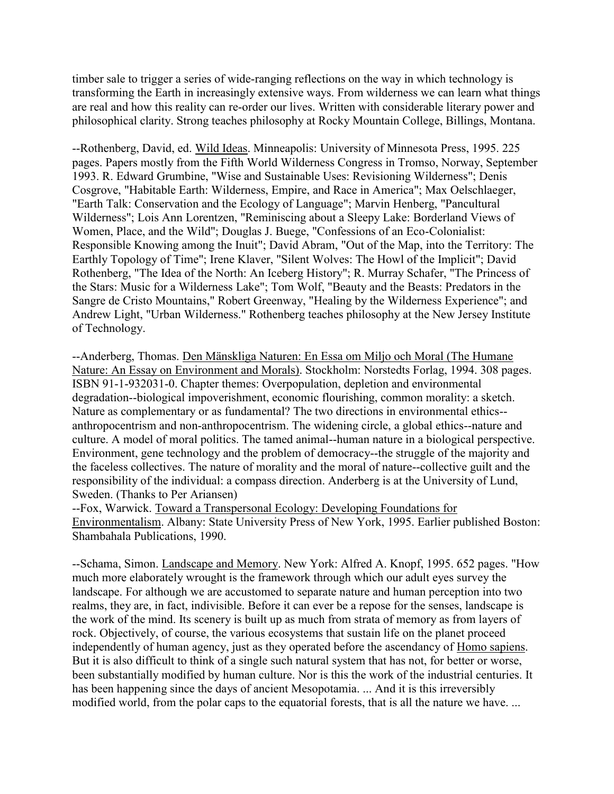timber sale to trigger a series of wide-ranging reflections on the way in which technology is transforming the Earth in increasingly extensive ways. From wilderness we can learn what things are real and how this reality can re-order our lives. Written with considerable literary power and philosophical clarity. Strong teaches philosophy at Rocky Mountain College, Billings, Montana.

--Rothenberg, David, ed. Wild Ideas. Minneapolis: University of Minnesota Press, 1995. 225 pages. Papers mostly from the Fifth World Wilderness Congress in Tromso, Norway, September 1993. R. Edward Grumbine, "Wise and Sustainable Uses: Revisioning Wilderness"; Denis Cosgrove, "Habitable Earth: Wilderness, Empire, and Race in America"; Max Oelschlaeger, "Earth Talk: Conservation and the Ecology of Language"; Marvin Henberg, "Pancultural Wilderness"; Lois Ann Lorentzen, "Reminiscing about a Sleepy Lake: Borderland Views of Women, Place, and the Wild"; Douglas J. Buege, "Confessions of an Eco-Colonialist: Responsible Knowing among the Inuit"; David Abram, "Out of the Map, into the Territory: The Earthly Topology of Time"; Irene Klaver, "Silent Wolves: The Howl of the Implicit"; David Rothenberg, "The Idea of the North: An Iceberg History"; R. Murray Schafer, "The Princess of the Stars: Music for a Wilderness Lake"; Tom Wolf, "Beauty and the Beasts: Predators in the Sangre de Cristo Mountains," Robert Greenway, "Healing by the Wilderness Experience"; and Andrew Light, "Urban Wilderness." Rothenberg teaches philosophy at the New Jersey Institute of Technology.

--Anderberg, Thomas. Den Mänskliga Naturen: En Essa om Miljo och Moral (The Humane Nature: An Essay on Environment and Morals). Stockholm: Norstedts Forlag, 1994. 308 pages. ISBN 91-1-932031-0. Chapter themes: Overpopulation, depletion and environmental degradation--biological impoverishment, economic flourishing, common morality: a sketch. Nature as complementary or as fundamental? The two directions in environmental ethics- anthropocentrism and non-anthropocentrism. The widening circle, a global ethics--nature and culture. A model of moral politics. The tamed animal--human nature in a biological perspective. Environment, gene technology and the problem of democracy--the struggle of the majority and the faceless collectives. The nature of morality and the moral of nature--collective guilt and the responsibility of the individual: a compass direction. Anderberg is at the University of Lund, Sweden. (Thanks to Per Ariansen)

--Fox, Warwick. Toward a Transpersonal Ecology: Developing Foundations for Environmentalism. Albany: State University Press of New York, 1995. Earlier published Boston: Shambahala Publications, 1990.

--Schama, Simon. Landscape and Memory. New York: Alfred A. Knopf, 1995. 652 pages. "How much more elaborately wrought is the framework through which our adult eyes survey the landscape. For although we are accustomed to separate nature and human perception into two realms, they are, in fact, indivisible. Before it can ever be a repose for the senses, landscape is the work of the mind. Its scenery is built up as much from strata of memory as from layers of rock. Objectively, of course, the various ecosystems that sustain life on the planet proceed independently of human agency, just as they operated before the ascendancy of Homo sapiens. But it is also difficult to think of a single such natural system that has not, for better or worse, been substantially modified by human culture. Nor is this the work of the industrial centuries. It has been happening since the days of ancient Mesopotamia. ... And it is this irreversibly modified world, from the polar caps to the equatorial forests, that is all the nature we have. ...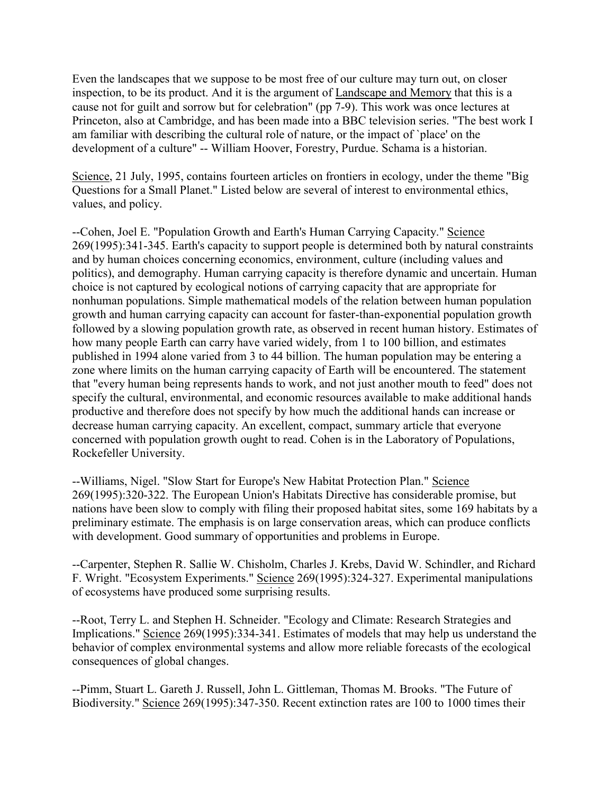Even the landscapes that we suppose to be most free of our culture may turn out, on closer inspection, to be its product. And it is the argument of Landscape and Memory that this is a cause not for guilt and sorrow but for celebration" (pp 7-9). This work was once lectures at Princeton, also at Cambridge, and has been made into a BBC television series. "The best work I am familiar with describing the cultural role of nature, or the impact of `place' on the development of a culture" -- William Hoover, Forestry, Purdue. Schama is a historian.

Science, 21 July, 1995, contains fourteen articles on frontiers in ecology, under the theme "Big Questions for a Small Planet." Listed below are several of interest to environmental ethics, values, and policy.

--Cohen, Joel E. "Population Growth and Earth's Human Carrying Capacity." Science 269(1995):341-345. Earth's capacity to support people is determined both by natural constraints and by human choices concerning economics, environment, culture (including values and politics), and demography. Human carrying capacity is therefore dynamic and uncertain. Human choice is not captured by ecological notions of carrying capacity that are appropriate for nonhuman populations. Simple mathematical models of the relation between human population growth and human carrying capacity can account for faster-than-exponential population growth followed by a slowing population growth rate, as observed in recent human history. Estimates of how many people Earth can carry have varied widely, from 1 to 100 billion, and estimates published in 1994 alone varied from 3 to 44 billion. The human population may be entering a zone where limits on the human carrying capacity of Earth will be encountered. The statement that "every human being represents hands to work, and not just another mouth to feed" does not specify the cultural, environmental, and economic resources available to make additional hands productive and therefore does not specify by how much the additional hands can increase or decrease human carrying capacity. An excellent, compact, summary article that everyone concerned with population growth ought to read. Cohen is in the Laboratory of Populations, Rockefeller University.

--Williams, Nigel. "Slow Start for Europe's New Habitat Protection Plan." Science 269(1995):320-322. The European Union's Habitats Directive has considerable promise, but nations have been slow to comply with filing their proposed habitat sites, some 169 habitats by a preliminary estimate. The emphasis is on large conservation areas, which can produce conflicts with development. Good summary of opportunities and problems in Europe.

--Carpenter, Stephen R. Sallie W. Chisholm, Charles J. Krebs, David W. Schindler, and Richard F. Wright. "Ecosystem Experiments." Science 269(1995):324-327. Experimental manipulations of ecosystems have produced some surprising results.

--Root, Terry L. and Stephen H. Schneider. "Ecology and Climate: Research Strategies and Implications." Science 269(1995):334-341. Estimates of models that may help us understand the behavior of complex environmental systems and allow more reliable forecasts of the ecological consequences of global changes.

--Pimm, Stuart L. Gareth J. Russell, John L. Gittleman, Thomas M. Brooks. "The Future of Biodiversity." Science 269(1995):347-350. Recent extinction rates are 100 to 1000 times their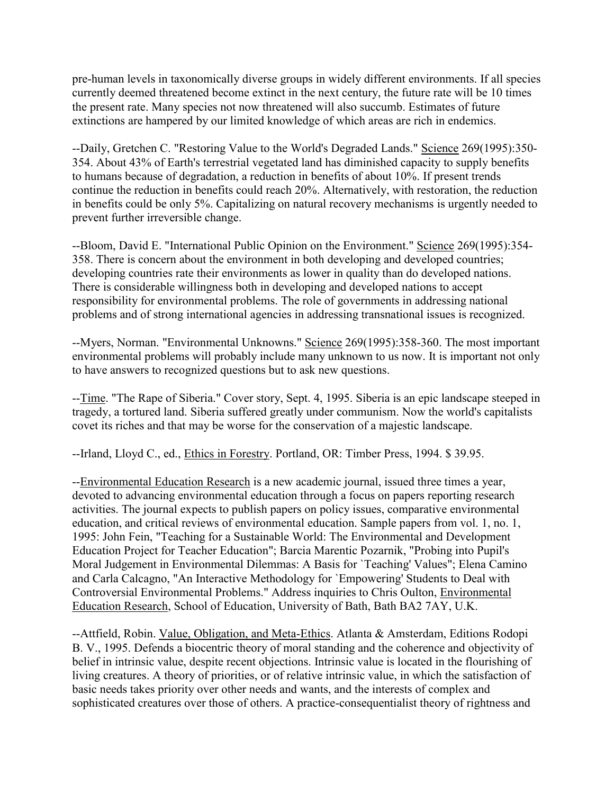pre-human levels in taxonomically diverse groups in widely different environments. If all species currently deemed threatened become extinct in the next century, the future rate will be 10 times the present rate. Many species not now threatened will also succumb. Estimates of future extinctions are hampered by our limited knowledge of which areas are rich in endemics.

--Daily, Gretchen C. "Restoring Value to the World's Degraded Lands." Science 269(1995):350-354. About 43% of Earth's terrestrial vegetated land has diminished capacity to supply benefits to humans because of degradation, a reduction in benefits of about 10%. If present trends continue the reduction in benefits could reach 20%. Alternatively, with restoration, the reduction in benefits could be only 5%. Capitalizing on natural recovery mechanisms is urgently needed to prevent further irreversible change.

--Bloom, David E. "International Public Opinion on the Environment." Science 269(1995):354- 358. There is concern about the environment in both developing and developed countries; developing countries rate their environments as lower in quality than do developed nations. There is considerable willingness both in developing and developed nations to accept responsibility for environmental problems. The role of governments in addressing national problems and of strong international agencies in addressing transnational issues is recognized.

--Myers, Norman. "Environmental Unknowns." Science 269(1995):358-360. The most important environmental problems will probably include many unknown to us now. It is important not only to have answers to recognized questions but to ask new questions.

--Time. "The Rape of Siberia." Cover story, Sept. 4, 1995. Siberia is an epic landscape steeped in tragedy, a tortured land. Siberia suffered greatly under communism. Now the world's capitalists covet its riches and that may be worse for the conservation of a majestic landscape.

--Irland, Lloyd C., ed., Ethics in Forestry. Portland, OR: Timber Press, 1994. \$ 39.95.

--Environmental Education Research is a new academic journal, issued three times a year, devoted to advancing environmental education through a focus on papers reporting research activities. The journal expects to publish papers on policy issues, comparative environmental education, and critical reviews of environmental education. Sample papers from vol. 1, no. 1, 1995: John Fein, "Teaching for a Sustainable World: The Environmental and Development Education Project for Teacher Education"; Barcia Marentic Pozarnik, "Probing into Pupil's Moral Judgement in Environmental Dilemmas: A Basis for `Teaching' Values"; Elena Camino and Carla Calcagno, "An Interactive Methodology for `Empowering' Students to Deal with Controversial Environmental Problems." Address inquiries to Chris Oulton, Environmental Education Research, School of Education, University of Bath, Bath BA2 7AY, U.K.

--Attfield, Robin. Value, Obligation, and Meta-Ethics. Atlanta & Amsterdam, Editions Rodopi B. V., 1995. Defends a biocentric theory of moral standing and the coherence and objectivity of belief in intrinsic value, despite recent objections. Intrinsic value is located in the flourishing of living creatures. A theory of priorities, or of relative intrinsic value, in which the satisfaction of basic needs takes priority over other needs and wants, and the interests of complex and sophisticated creatures over those of others. A practice-consequentialist theory of rightness and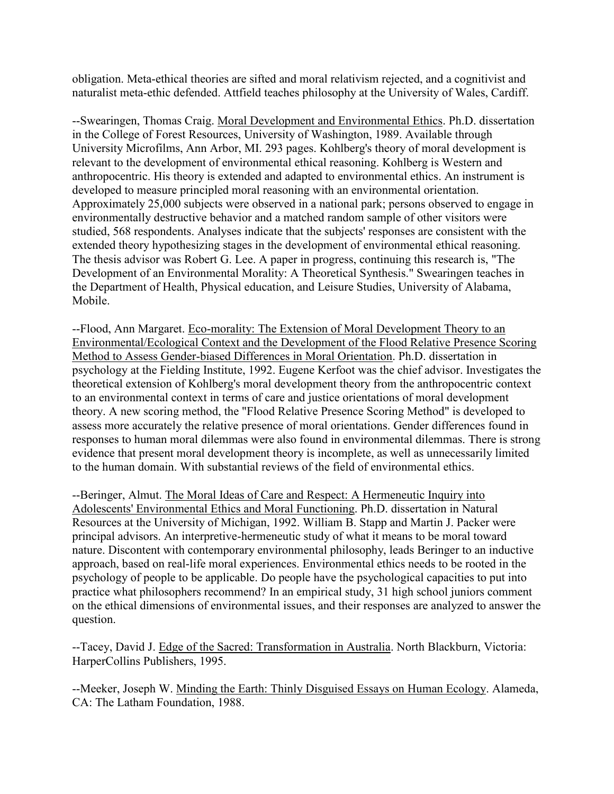obligation. Meta-ethical theories are sifted and moral relativism rejected, and a cognitivist and naturalist meta-ethic defended. Attfield teaches philosophy at the University of Wales, Cardiff.

--Swearingen, Thomas Craig. Moral Development and Environmental Ethics. Ph.D. dissertation in the College of Forest Resources, University of Washington, 1989. Available through University Microfilms, Ann Arbor, MI. 293 pages. Kohlberg's theory of moral development is relevant to the development of environmental ethical reasoning. Kohlberg is Western and anthropocentric. His theory is extended and adapted to environmental ethics. An instrument is developed to measure principled moral reasoning with an environmental orientation. Approximately 25,000 subjects were observed in a national park; persons observed to engage in environmentally destructive behavior and a matched random sample of other visitors were studied, 568 respondents. Analyses indicate that the subjects' responses are consistent with the extended theory hypothesizing stages in the development of environmental ethical reasoning. The thesis advisor was Robert G. Lee. A paper in progress, continuing this research is, "The Development of an Environmental Morality: A Theoretical Synthesis." Swearingen teaches in the Department of Health, Physical education, and Leisure Studies, University of Alabama, Mobile.

--Flood, Ann Margaret. Eco-morality: The Extension of Moral Development Theory to an Environmental/Ecological Context and the Development of the Flood Relative Presence Scoring Method to Assess Gender-biased Differences in Moral Orientation. Ph.D. dissertation in psychology at the Fielding Institute, 1992. Eugene Kerfoot was the chief advisor. Investigates the theoretical extension of Kohlberg's moral development theory from the anthropocentric context to an environmental context in terms of care and justice orientations of moral development theory. A new scoring method, the "Flood Relative Presence Scoring Method" is developed to assess more accurately the relative presence of moral orientations. Gender differences found in responses to human moral dilemmas were also found in environmental dilemmas. There is strong evidence that present moral development theory is incomplete, as well as unnecessarily limited to the human domain. With substantial reviews of the field of environmental ethics.

--Beringer, Almut. The Moral Ideas of Care and Respect: A Hermeneutic Inquiry into Adolescents' Environmental Ethics and Moral Functioning. Ph.D. dissertation in Natural Resources at the University of Michigan, 1992. William B. Stapp and Martin J. Packer were principal advisors. An interpretive-hermeneutic study of what it means to be moral toward nature. Discontent with contemporary environmental philosophy, leads Beringer to an inductive approach, based on real-life moral experiences. Environmental ethics needs to be rooted in the psychology of people to be applicable. Do people have the psychological capacities to put into practice what philosophers recommend? In an empirical study, 31 high school juniors comment on the ethical dimensions of environmental issues, and their responses are analyzed to answer the question.

--Tacey, David J. Edge of the Sacred: Transformation in Australia. North Blackburn, Victoria: HarperCollins Publishers, 1995.

--Meeker, Joseph W. Minding the Earth: Thinly Disguised Essays on Human Ecology. Alameda, CA: The Latham Foundation, 1988.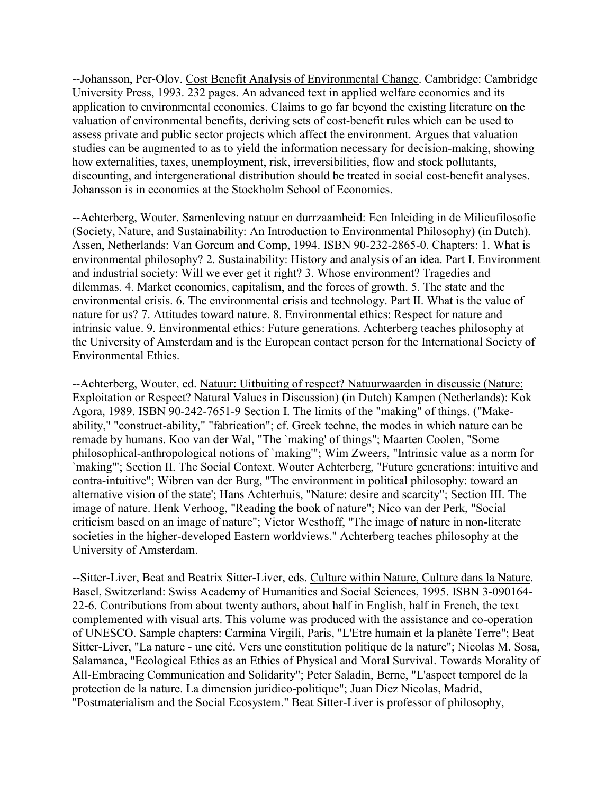--Johansson, Per-Olov. Cost Benefit Analysis of Environmental Change. Cambridge: Cambridge University Press, 1993. 232 pages. An advanced text in applied welfare economics and its application to environmental economics. Claims to go far beyond the existing literature on the valuation of environmental benefits, deriving sets of cost-benefit rules which can be used to assess private and public sector projects which affect the environment. Argues that valuation studies can be augmented to as to yield the information necessary for decision-making, showing how externalities, taxes, unemployment, risk, irreversibilities, flow and stock pollutants, discounting, and intergenerational distribution should be treated in social cost-benefit analyses. Johansson is in economics at the Stockholm School of Economics.

--Achterberg, Wouter. Samenleving natuur en durrzaamheid: Een Inleiding in de Milieufilosofie (Society, Nature, and Sustainability: An Introduction to Environmental Philosophy) (in Dutch). Assen, Netherlands: Van Gorcum and Comp, 1994. ISBN 90-232-2865-0. Chapters: 1. What is environmental philosophy? 2. Sustainability: History and analysis of an idea. Part I. Environment and industrial society: Will we ever get it right? 3. Whose environment? Tragedies and dilemmas. 4. Market economics, capitalism, and the forces of growth. 5. The state and the environmental crisis. 6. The environmental crisis and technology. Part II. What is the value of nature for us? 7. Attitudes toward nature. 8. Environmental ethics: Respect for nature and intrinsic value. 9. Environmental ethics: Future generations. Achterberg teaches philosophy at the University of Amsterdam and is the European contact person for the International Society of Environmental Ethics.

--Achterberg, Wouter, ed. Natuur: Uitbuiting of respect? Natuurwaarden in discussie (Nature: Exploitation or Respect? Natural Values in Discussion) (in Dutch) Kampen (Netherlands): Kok Agora, 1989. ISBN 90-242-7651-9 Section I. The limits of the "making" of things. ("Makeability," "construct-ability," "fabrication"; cf. Greek techne, the modes in which nature can be remade by humans. Koo van der Wal, "The `making' of things"; Maarten Coolen, "Some philosophical-anthropological notions of `making'"; Wim Zweers, "Intrinsic value as a norm for `making'"; Section II. The Social Context. Wouter Achterberg, "Future generations: intuitive and contra-intuitive"; Wibren van der Burg, "The environment in political philosophy: toward an alternative vision of the state'; Hans Achterhuis, "Nature: desire and scarcity"; Section III. The image of nature. Henk Verhoog, "Reading the book of nature"; Nico van der Perk, "Social criticism based on an image of nature"; Victor Westhoff, "The image of nature in non-literate societies in the higher-developed Eastern worldviews." Achterberg teaches philosophy at the University of Amsterdam.

--Sitter-Liver, Beat and Beatrix Sitter-Liver, eds. Culture within Nature, Culture dans la Nature. Basel, Switzerland: Swiss Academy of Humanities and Social Sciences, 1995. ISBN 3-090164- 22-6. Contributions from about twenty authors, about half in English, half in French, the text complemented with visual arts. This volume was produced with the assistance and co-operation of UNESCO. Sample chapters: Carmina Virgili, Paris, "L'Etre humain et la planète Terre"; Beat Sitter-Liver, "La nature - une cité. Vers une constitution politique de la nature"; Nicolas M. Sosa, Salamanca, "Ecological Ethics as an Ethics of Physical and Moral Survival. Towards Morality of All-Embracing Communication and Solidarity"; Peter Saladin, Berne, "L'aspect temporel de la protection de la nature. La dimension juridico-politique"; Juan Diez Nicolas, Madrid, "Postmaterialism and the Social Ecosystem." Beat Sitter-Liver is professor of philosophy,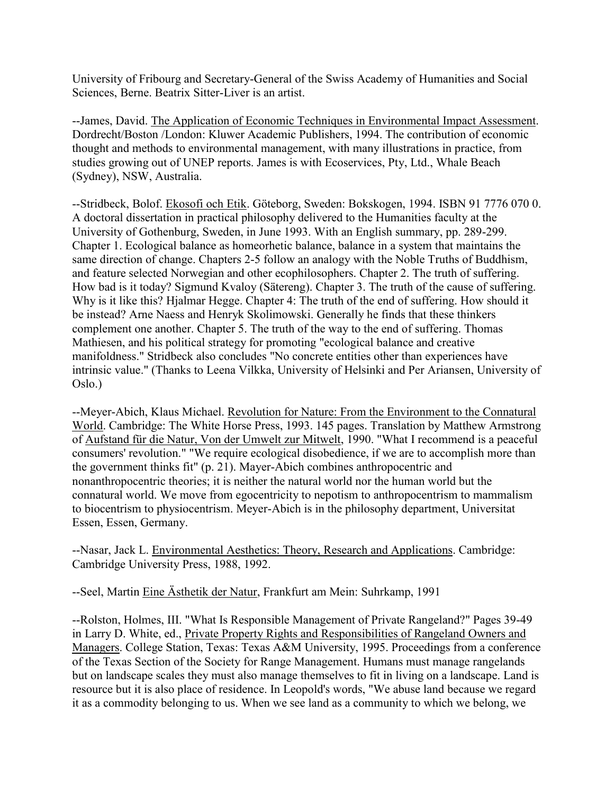University of Fribourg and Secretary-General of the Swiss Academy of Humanities and Social Sciences, Berne. Beatrix Sitter-Liver is an artist.

--James, David. The Application of Economic Techniques in Environmental Impact Assessment. Dordrecht/Boston /London: Kluwer Academic Publishers, 1994. The contribution of economic thought and methods to environmental management, with many illustrations in practice, from studies growing out of UNEP reports. James is with Ecoservices, Pty, Ltd., Whale Beach (Sydney), NSW, Australia.

--Stridbeck, Bolof. Ekosofi och Etik. Göteborg, Sweden: Bokskogen, 1994. ISBN 91 7776 070 0. A doctoral dissertation in practical philosophy delivered to the Humanities faculty at the University of Gothenburg, Sweden, in June 1993. With an English summary, pp. 289-299. Chapter 1. Ecological balance as homeorhetic balance, balance in a system that maintains the same direction of change. Chapters 2-5 follow an analogy with the Noble Truths of Buddhism, and feature selected Norwegian and other ecophilosophers. Chapter 2. The truth of suffering. How bad is it today? Sigmund Kvaloy (Sätereng). Chapter 3. The truth of the cause of suffering. Why is it like this? Hjalmar Hegge. Chapter 4: The truth of the end of suffering. How should it be instead? Arne Naess and Henryk Skolimowski. Generally he finds that these thinkers complement one another. Chapter 5. The truth of the way to the end of suffering. Thomas Mathiesen, and his political strategy for promoting "ecological balance and creative manifoldness." Stridbeck also concludes "No concrete entities other than experiences have intrinsic value." (Thanks to Leena Vilkka, University of Helsinki and Per Ariansen, University of Oslo.)

--Meyer-Abich, Klaus Michael. Revolution for Nature: From the Environment to the Connatural World. Cambridge: The White Horse Press, 1993. 145 pages. Translation by Matthew Armstrong of Aufstand für die Natur, Von der Umwelt zur Mitwelt, 1990. "What I recommend is a peaceful consumers' revolution." "We require ecological disobedience, if we are to accomplish more than the government thinks fit" (p. 21). Mayer-Abich combines anthropocentric and nonanthropocentric theories; it is neither the natural world nor the human world but the connatural world. We move from egocentricity to nepotism to anthropocentrism to mammalism to biocentrism to physiocentrism. Meyer-Abich is in the philosophy department, Universitat Essen, Essen, Germany.

--Nasar, Jack L. Environmental Aesthetics: Theory, Research and Applications. Cambridge: Cambridge University Press, 1988, 1992.

--Seel, Martin Eine Ästhetik der Natur, Frankfurt am Mein: Suhrkamp, 1991

--Rolston, Holmes, III. "What Is Responsible Management of Private Rangeland?" Pages 39-49 in Larry D. White, ed., Private Property Rights and Responsibilities of Rangeland Owners and Managers. College Station, Texas: Texas A&M University, 1995. Proceedings from a conference of the Texas Section of the Society for Range Management. Humans must manage rangelands but on landscape scales they must also manage themselves to fit in living on a landscape. Land is resource but it is also place of residence. In Leopold's words, "We abuse land because we regard it as a commodity belonging to us. When we see land as a community to which we belong, we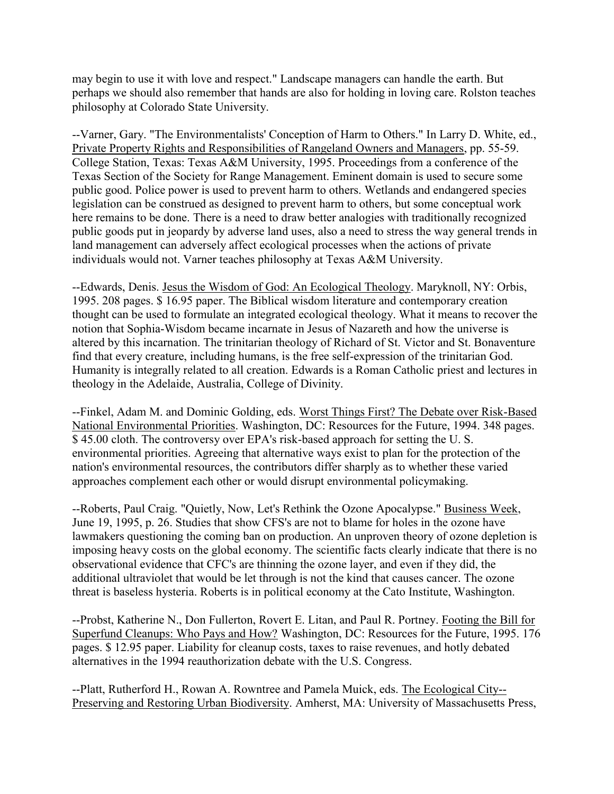may begin to use it with love and respect." Landscape managers can handle the earth. But perhaps we should also remember that hands are also for holding in loving care. Rolston teaches philosophy at Colorado State University.

--Varner, Gary. "The Environmentalists' Conception of Harm to Others." In Larry D. White, ed., Private Property Rights and Responsibilities of Rangeland Owners and Managers, pp. 55-59. College Station, Texas: Texas A&M University, 1995. Proceedings from a conference of the Texas Section of the Society for Range Management. Eminent domain is used to secure some public good. Police power is used to prevent harm to others. Wetlands and endangered species legislation can be construed as designed to prevent harm to others, but some conceptual work here remains to be done. There is a need to draw better analogies with traditionally recognized public goods put in jeopardy by adverse land uses, also a need to stress the way general trends in land management can adversely affect ecological processes when the actions of private individuals would not. Varner teaches philosophy at Texas A&M University.

--Edwards, Denis. Jesus the Wisdom of God: An Ecological Theology. Maryknoll, NY: Orbis, 1995. 208 pages. \$ 16.95 paper. The Biblical wisdom literature and contemporary creation thought can be used to formulate an integrated ecological theology. What it means to recover the notion that Sophia-Wisdom became incarnate in Jesus of Nazareth and how the universe is altered by this incarnation. The trinitarian theology of Richard of St. Victor and St. Bonaventure find that every creature, including humans, is the free self-expression of the trinitarian God. Humanity is integrally related to all creation. Edwards is a Roman Catholic priest and lectures in theology in the Adelaide, Australia, College of Divinity.

--Finkel, Adam M. and Dominic Golding, eds. Worst Things First? The Debate over Risk-Based National Environmental Priorities. Washington, DC: Resources for the Future, 1994. 348 pages. \$ 45.00 cloth. The controversy over EPA's risk-based approach for setting the U. S. environmental priorities. Agreeing that alternative ways exist to plan for the protection of the nation's environmental resources, the contributors differ sharply as to whether these varied approaches complement each other or would disrupt environmental policymaking.

--Roberts, Paul Craig. "Quietly, Now, Let's Rethink the Ozone Apocalypse." Business Week, June 19, 1995, p. 26. Studies that show CFS's are not to blame for holes in the ozone have lawmakers questioning the coming ban on production. An unproven theory of ozone depletion is imposing heavy costs on the global economy. The scientific facts clearly indicate that there is no observational evidence that CFC's are thinning the ozone layer, and even if they did, the additional ultraviolet that would be let through is not the kind that causes cancer. The ozone threat is baseless hysteria. Roberts is in political economy at the Cato Institute, Washington.

--Probst, Katherine N., Don Fullerton, Rovert E. Litan, and Paul R. Portney. Footing the Bill for Superfund Cleanups: Who Pays and How? Washington, DC: Resources for the Future, 1995. 176 pages. \$ 12.95 paper. Liability for cleanup costs, taxes to raise revenues, and hotly debated alternatives in the 1994 reauthorization debate with the U.S. Congress.

--Platt, Rutherford H., Rowan A. Rowntree and Pamela Muick, eds. The Ecological City-- Preserving and Restoring Urban Biodiversity. Amherst, MA: University of Massachusetts Press,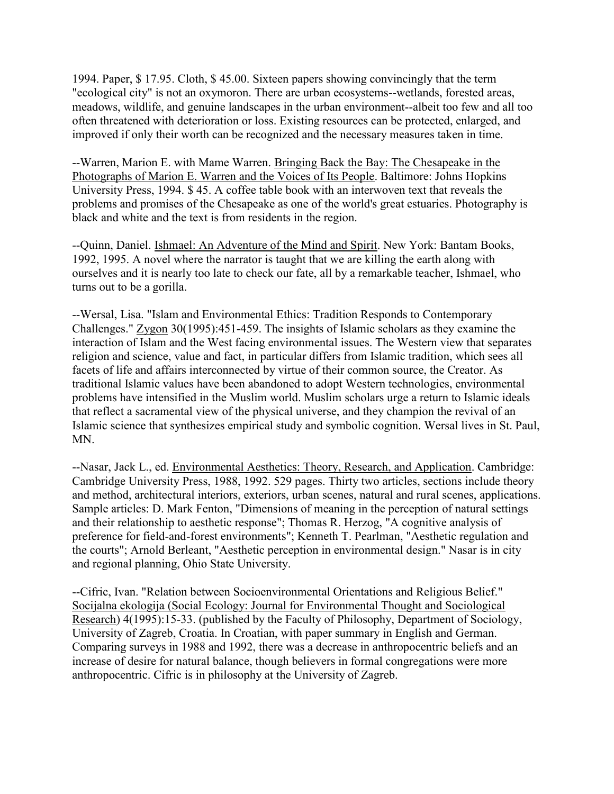1994. Paper, \$ 17.95. Cloth, \$ 45.00. Sixteen papers showing convincingly that the term "ecological city" is not an oxymoron. There are urban ecosystems--wetlands, forested areas, meadows, wildlife, and genuine landscapes in the urban environment--albeit too few and all too often threatened with deterioration or loss. Existing resources can be protected, enlarged, and improved if only their worth can be recognized and the necessary measures taken in time.

--Warren, Marion E. with Mame Warren. Bringing Back the Bay: The Chesapeake in the Photographs of Marion E. Warren and the Voices of Its People. Baltimore: Johns Hopkins University Press, 1994. \$ 45. A coffee table book with an interwoven text that reveals the problems and promises of the Chesapeake as one of the world's great estuaries. Photography is black and white and the text is from residents in the region.

--Quinn, Daniel. Ishmael: An Adventure of the Mind and Spirit. New York: Bantam Books, 1992, 1995. A novel where the narrator is taught that we are killing the earth along with ourselves and it is nearly too late to check our fate, all by a remarkable teacher, Ishmael, who turns out to be a gorilla.

--Wersal, Lisa. "Islam and Environmental Ethics: Tradition Responds to Contemporary Challenges." Zygon 30(1995):451-459. The insights of Islamic scholars as they examine the interaction of Islam and the West facing environmental issues. The Western view that separates religion and science, value and fact, in particular differs from Islamic tradition, which sees all facets of life and affairs interconnected by virtue of their common source, the Creator. As traditional Islamic values have been abandoned to adopt Western technologies, environmental problems have intensified in the Muslim world. Muslim scholars urge a return to Islamic ideals that reflect a sacramental view of the physical universe, and they champion the revival of an Islamic science that synthesizes empirical study and symbolic cognition. Wersal lives in St. Paul, MN.

--Nasar, Jack L., ed. Environmental Aesthetics: Theory, Research, and Application. Cambridge: Cambridge University Press, 1988, 1992. 529 pages. Thirty two articles, sections include theory and method, architectural interiors, exteriors, urban scenes, natural and rural scenes, applications. Sample articles: D. Mark Fenton, "Dimensions of meaning in the perception of natural settings and their relationship to aesthetic response"; Thomas R. Herzog, "A cognitive analysis of preference for field-and-forest environments"; Kenneth T. Pearlman, "Aesthetic regulation and the courts"; Arnold Berleant, "Aesthetic perception in environmental design." Nasar is in city and regional planning, Ohio State University.

--Cifric, Ivan. "Relation between Socioenvironmental Orientations and Religious Belief." Socijalna ekologija (Social Ecology: Journal for Environmental Thought and Sociological Research) 4(1995):15-33. (published by the Faculty of Philosophy, Department of Sociology, University of Zagreb, Croatia. In Croatian, with paper summary in English and German. Comparing surveys in 1988 and 1992, there was a decrease in anthropocentric beliefs and an increase of desire for natural balance, though believers in formal congregations were more anthropocentric. Cifric is in philosophy at the University of Zagreb.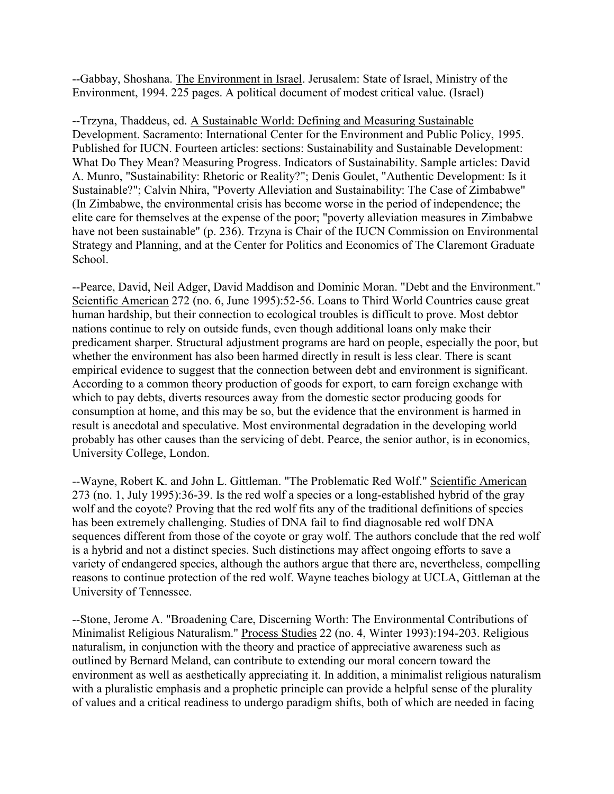--Gabbay, Shoshana. The Environment in Israel. Jerusalem: State of Israel, Ministry of the Environment, 1994. 225 pages. A political document of modest critical value. (Israel)

--Trzyna, Thaddeus, ed. A Sustainable World: Defining and Measuring Sustainable Development. Sacramento: International Center for the Environment and Public Policy, 1995. Published for IUCN. Fourteen articles: sections: Sustainability and Sustainable Development: What Do They Mean? Measuring Progress. Indicators of Sustainability. Sample articles: David A. Munro, "Sustainability: Rhetoric or Reality?"; Denis Goulet, "Authentic Development: Is it Sustainable?"; Calvin Nhira, "Poverty Alleviation and Sustainability: The Case of Zimbabwe" (In Zimbabwe, the environmental crisis has become worse in the period of independence; the elite care for themselves at the expense of the poor; "poverty alleviation measures in Zimbabwe have not been sustainable" (p. 236). Trzyna is Chair of the IUCN Commission on Environmental Strategy and Planning, and at the Center for Politics and Economics of The Claremont Graduate School.

--Pearce, David, Neil Adger, David Maddison and Dominic Moran. "Debt and the Environment." Scientific American 272 (no. 6, June 1995):52-56. Loans to Third World Countries cause great human hardship, but their connection to ecological troubles is difficult to prove. Most debtor nations continue to rely on outside funds, even though additional loans only make their predicament sharper. Structural adjustment programs are hard on people, especially the poor, but whether the environment has also been harmed directly in result is less clear. There is scant empirical evidence to suggest that the connection between debt and environment is significant. According to a common theory production of goods for export, to earn foreign exchange with which to pay debts, diverts resources away from the domestic sector producing goods for consumption at home, and this may be so, but the evidence that the environment is harmed in result is anecdotal and speculative. Most environmental degradation in the developing world probably has other causes than the servicing of debt. Pearce, the senior author, is in economics, University College, London.

--Wayne, Robert K. and John L. Gittleman. "The Problematic Red Wolf." Scientific American 273 (no. 1, July 1995):36-39. Is the red wolf a species or a long-established hybrid of the gray wolf and the coyote? Proving that the red wolf fits any of the traditional definitions of species has been extremely challenging. Studies of DNA fail to find diagnosable red wolf DNA sequences different from those of the coyote or gray wolf. The authors conclude that the red wolf is a hybrid and not a distinct species. Such distinctions may affect ongoing efforts to save a variety of endangered species, although the authors argue that there are, nevertheless, compelling reasons to continue protection of the red wolf. Wayne teaches biology at UCLA, Gittleman at the University of Tennessee.

--Stone, Jerome A. "Broadening Care, Discerning Worth: The Environmental Contributions of Minimalist Religious Naturalism." Process Studies 22 (no. 4, Winter 1993):194-203. Religious naturalism, in conjunction with the theory and practice of appreciative awareness such as outlined by Bernard Meland, can contribute to extending our moral concern toward the environment as well as aesthetically appreciating it. In addition, a minimalist religious naturalism with a pluralistic emphasis and a prophetic principle can provide a helpful sense of the plurality of values and a critical readiness to undergo paradigm shifts, both of which are needed in facing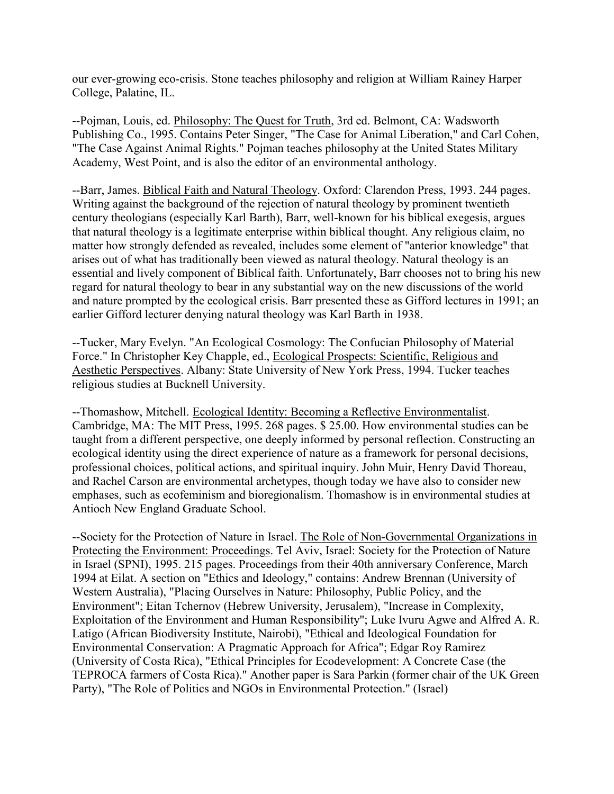our ever-growing eco-crisis. Stone teaches philosophy and religion at William Rainey Harper College, Palatine, IL.

--Pojman, Louis, ed. Philosophy: The Quest for Truth, 3rd ed. Belmont, CA: Wadsworth Publishing Co., 1995. Contains Peter Singer, "The Case for Animal Liberation," and Carl Cohen, "The Case Against Animal Rights." Pojman teaches philosophy at the United States Military Academy, West Point, and is also the editor of an environmental anthology.

--Barr, James. Biblical Faith and Natural Theology. Oxford: Clarendon Press, 1993. 244 pages. Writing against the background of the rejection of natural theology by prominent twentieth century theologians (especially Karl Barth), Barr, well-known for his biblical exegesis, argues that natural theology is a legitimate enterprise within biblical thought. Any religious claim, no matter how strongly defended as revealed, includes some element of "anterior knowledge" that arises out of what has traditionally been viewed as natural theology. Natural theology is an essential and lively component of Biblical faith. Unfortunately, Barr chooses not to bring his new regard for natural theology to bear in any substantial way on the new discussions of the world and nature prompted by the ecological crisis. Barr presented these as Gifford lectures in 1991; an earlier Gifford lecturer denying natural theology was Karl Barth in 1938.

--Tucker, Mary Evelyn. "An Ecological Cosmology: The Confucian Philosophy of Material Force." In Christopher Key Chapple, ed., Ecological Prospects: Scientific, Religious and Aesthetic Perspectives. Albany: State University of New York Press, 1994. Tucker teaches religious studies at Bucknell University.

--Thomashow, Mitchell. Ecological Identity: Becoming a Reflective Environmentalist. Cambridge, MA: The MIT Press, 1995. 268 pages. \$ 25.00. How environmental studies can be taught from a different perspective, one deeply informed by personal reflection. Constructing an ecological identity using the direct experience of nature as a framework for personal decisions, professional choices, political actions, and spiritual inquiry. John Muir, Henry David Thoreau, and Rachel Carson are environmental archetypes, though today we have also to consider new emphases, such as ecofeminism and bioregionalism. Thomashow is in environmental studies at Antioch New England Graduate School.

--Society for the Protection of Nature in Israel. The Role of Non-Governmental Organizations in Protecting the Environment: Proceedings. Tel Aviv, Israel: Society for the Protection of Nature in Israel (SPNI), 1995. 215 pages. Proceedings from their 40th anniversary Conference, March 1994 at Eilat. A section on "Ethics and Ideology," contains: Andrew Brennan (University of Western Australia), "Placing Ourselves in Nature: Philosophy, Public Policy, and the Environment"; Eitan Tchernov (Hebrew University, Jerusalem), "Increase in Complexity, Exploitation of the Environment and Human Responsibility"; Luke Ivuru Agwe and Alfred A. R. Latigo (African Biodiversity Institute, Nairobi), "Ethical and Ideological Foundation for Environmental Conservation: A Pragmatic Approach for Africa"; Edgar Roy Ramirez (University of Costa Rica), "Ethical Principles for Ecodevelopment: A Concrete Case (the TEPROCA farmers of Costa Rica)." Another paper is Sara Parkin (former chair of the UK Green Party), "The Role of Politics and NGOs in Environmental Protection." (Israel)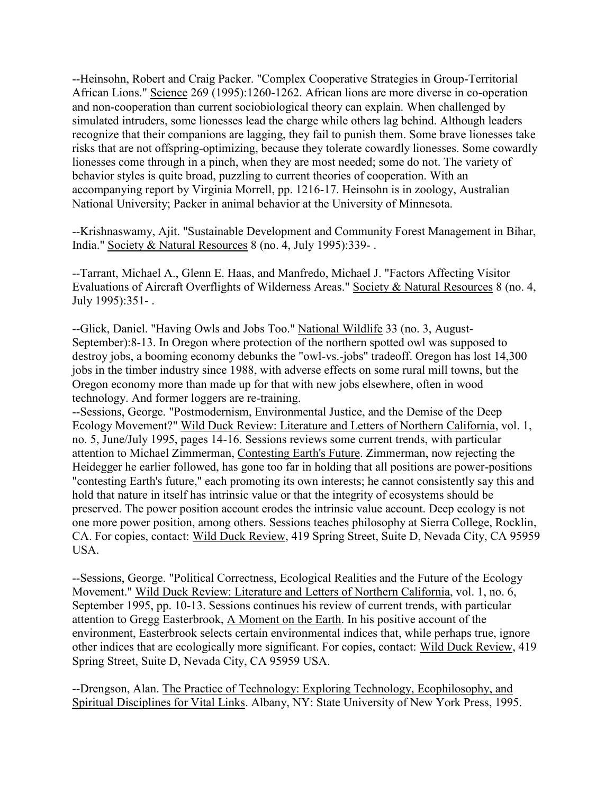--Heinsohn, Robert and Craig Packer. "Complex Cooperative Strategies in Group-Territorial African Lions." Science 269 (1995):1260-1262. African lions are more diverse in co-operation and non-cooperation than current sociobiological theory can explain. When challenged by simulated intruders, some lionesses lead the charge while others lag behind. Although leaders recognize that their companions are lagging, they fail to punish them. Some brave lionesses take risks that are not offspring-optimizing, because they tolerate cowardly lionesses. Some cowardly lionesses come through in a pinch, when they are most needed; some do not. The variety of behavior styles is quite broad, puzzling to current theories of cooperation. With an accompanying report by Virginia Morrell, pp. 1216-17. Heinsohn is in zoology, Australian National University; Packer in animal behavior at the University of Minnesota.

--Krishnaswamy, Ajit. "Sustainable Development and Community Forest Management in Bihar, India." Society & Natural Resources 8 (no. 4, July 1995):339- .

--Tarrant, Michael A., Glenn E. Haas, and Manfredo, Michael J. "Factors Affecting Visitor Evaluations of Aircraft Overflights of Wilderness Areas." Society & Natural Resources 8 (no. 4, July 1995):351- .

--Glick, Daniel. "Having Owls and Jobs Too." National Wildlife 33 (no. 3, August-September):8-13. In Oregon where protection of the northern spotted owl was supposed to destroy jobs, a booming economy debunks the "owl-vs.-jobs" tradeoff. Oregon has lost 14,300 jobs in the timber industry since 1988, with adverse effects on some rural mill towns, but the Oregon economy more than made up for that with new jobs elsewhere, often in wood technology. And former loggers are re-training.

--Sessions, George. "Postmodernism, Environmental Justice, and the Demise of the Deep Ecology Movement?" Wild Duck Review: Literature and Letters of Northern California, vol. 1, no. 5, June/July 1995, pages 14-16. Sessions reviews some current trends, with particular attention to Michael Zimmerman, Contesting Earth's Future. Zimmerman, now rejecting the Heidegger he earlier followed, has gone too far in holding that all positions are power-positions "contesting Earth's future," each promoting its own interests; he cannot consistently say this and hold that nature in itself has intrinsic value or that the integrity of ecosystems should be preserved. The power position account erodes the intrinsic value account. Deep ecology is not one more power position, among others. Sessions teaches philosophy at Sierra College, Rocklin, CA. For copies, contact: Wild Duck Review, 419 Spring Street, Suite D, Nevada City, CA 95959 USA.

--Sessions, George. "Political Correctness, Ecological Realities and the Future of the Ecology Movement." Wild Duck Review: Literature and Letters of Northern California, vol. 1, no. 6, September 1995, pp. 10-13. Sessions continues his review of current trends, with particular attention to Gregg Easterbrook, A Moment on the Earth. In his positive account of the environment, Easterbrook selects certain environmental indices that, while perhaps true, ignore other indices that are ecologically more significant. For copies, contact: Wild Duck Review, 419 Spring Street, Suite D, Nevada City, CA 95959 USA.

--Drengson, Alan. The Practice of Technology: Exploring Technology, Ecophilosophy, and Spiritual Disciplines for Vital Links. Albany, NY: State University of New York Press, 1995.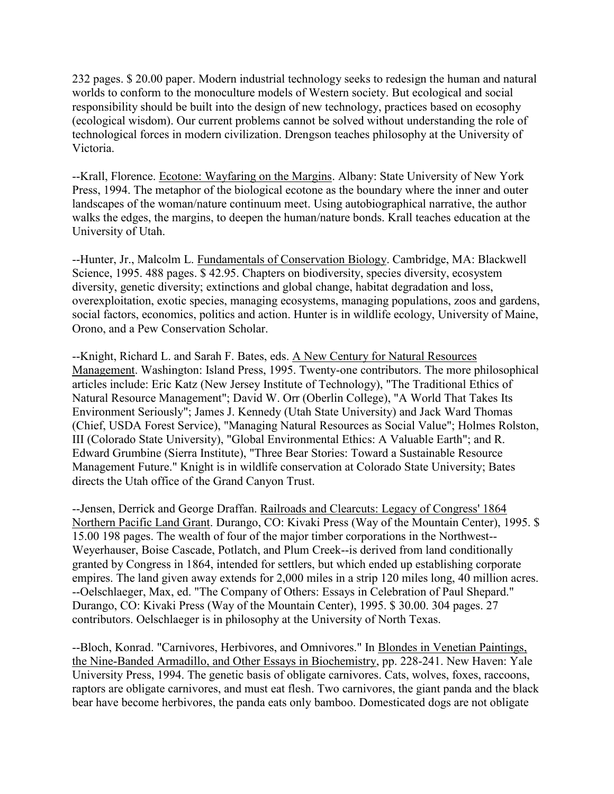232 pages. \$ 20.00 paper. Modern industrial technology seeks to redesign the human and natural worlds to conform to the monoculture models of Western society. But ecological and social responsibility should be built into the design of new technology, practices based on ecosophy (ecological wisdom). Our current problems cannot be solved without understanding the role of technological forces in modern civilization. Drengson teaches philosophy at the University of Victoria.

--Krall, Florence. Ecotone: Wayfaring on the Margins. Albany: State University of New York Press, 1994. The metaphor of the biological ecotone as the boundary where the inner and outer landscapes of the woman/nature continuum meet. Using autobiographical narrative, the author walks the edges, the margins, to deepen the human/nature bonds. Krall teaches education at the University of Utah.

--Hunter, Jr., Malcolm L. Fundamentals of Conservation Biology. Cambridge, MA: Blackwell Science, 1995. 488 pages. \$ 42.95. Chapters on biodiversity, species diversity, ecosystem diversity, genetic diversity; extinctions and global change, habitat degradation and loss, overexploitation, exotic species, managing ecosystems, managing populations, zoos and gardens, social factors, economics, politics and action. Hunter is in wildlife ecology, University of Maine, Orono, and a Pew Conservation Scholar.

--Knight, Richard L. and Sarah F. Bates, eds. A New Century for Natural Resources Management. Washington: Island Press, 1995. Twenty-one contributors. The more philosophical articles include: Eric Katz (New Jersey Institute of Technology), "The Traditional Ethics of Natural Resource Management"; David W. Orr (Oberlin College), "A World That Takes Its Environment Seriously"; James J. Kennedy (Utah State University) and Jack Ward Thomas (Chief, USDA Forest Service), "Managing Natural Resources as Social Value"; Holmes Rolston, III (Colorado State University), "Global Environmental Ethics: A Valuable Earth"; and R. Edward Grumbine (Sierra Institute), "Three Bear Stories: Toward a Sustainable Resource Management Future." Knight is in wildlife conservation at Colorado State University; Bates directs the Utah office of the Grand Canyon Trust.

--Jensen, Derrick and George Draffan. Railroads and Clearcuts: Legacy of Congress' 1864 Northern Pacific Land Grant. Durango, CO: Kivaki Press (Way of the Mountain Center), 1995. \$ 15.00 198 pages. The wealth of four of the major timber corporations in the Northwest-- Weyerhauser, Boise Cascade, Potlatch, and Plum Creek--is derived from land conditionally granted by Congress in 1864, intended for settlers, but which ended up establishing corporate empires. The land given away extends for 2,000 miles in a strip 120 miles long, 40 million acres. --Oelschlaeger, Max, ed. "The Company of Others: Essays in Celebration of Paul Shepard." Durango, CO: Kivaki Press (Way of the Mountain Center), 1995. \$ 30.00. 304 pages. 27 contributors. Oelschlaeger is in philosophy at the University of North Texas.

--Bloch, Konrad. "Carnivores, Herbivores, and Omnivores." In Blondes in Venetian Paintings, the Nine-Banded Armadillo, and Other Essays in Biochemistry, pp. 228-241. New Haven: Yale University Press, 1994. The genetic basis of obligate carnivores. Cats, wolves, foxes, raccoons, raptors are obligate carnivores, and must eat flesh. Two carnivores, the giant panda and the black bear have become herbivores, the panda eats only bamboo. Domesticated dogs are not obligate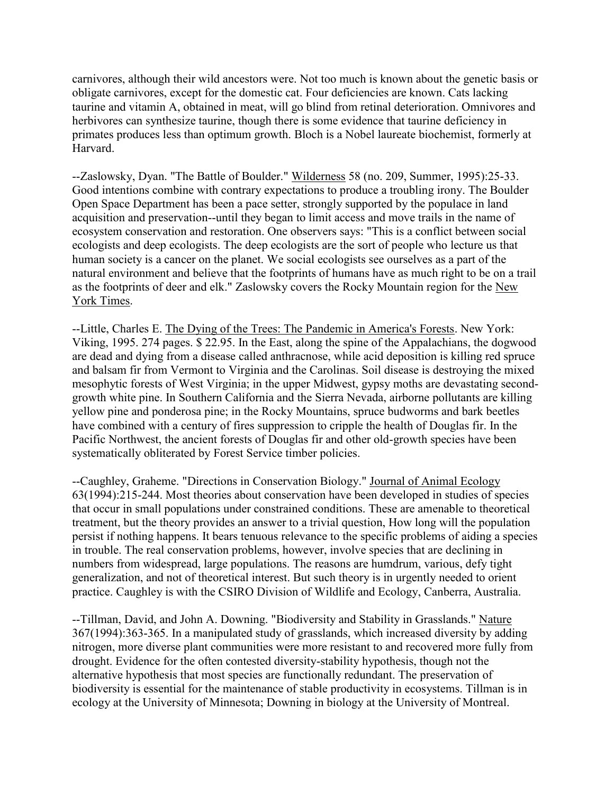carnivores, although their wild ancestors were. Not too much is known about the genetic basis or obligate carnivores, except for the domestic cat. Four deficiencies are known. Cats lacking taurine and vitamin A, obtained in meat, will go blind from retinal deterioration. Omnivores and herbivores can synthesize taurine, though there is some evidence that taurine deficiency in primates produces less than optimum growth. Bloch is a Nobel laureate biochemist, formerly at Harvard.

--Zaslowsky, Dyan. "The Battle of Boulder." Wilderness 58 (no. 209, Summer, 1995):25-33. Good intentions combine with contrary expectations to produce a troubling irony. The Boulder Open Space Department has been a pace setter, strongly supported by the populace in land acquisition and preservation--until they began to limit access and move trails in the name of ecosystem conservation and restoration. One observers says: "This is a conflict between social ecologists and deep ecologists. The deep ecologists are the sort of people who lecture us that human society is a cancer on the planet. We social ecologists see ourselves as a part of the natural environment and believe that the footprints of humans have as much right to be on a trail as the footprints of deer and elk." Zaslowsky covers the Rocky Mountain region for the New York Times.

--Little, Charles E. The Dying of the Trees: The Pandemic in America's Forests. New York: Viking, 1995. 274 pages. \$ 22.95. In the East, along the spine of the Appalachians, the dogwood are dead and dying from a disease called anthracnose, while acid deposition is killing red spruce and balsam fir from Vermont to Virginia and the Carolinas. Soil disease is destroying the mixed mesophytic forests of West Virginia; in the upper Midwest, gypsy moths are devastating secondgrowth white pine. In Southern California and the Sierra Nevada, airborne pollutants are killing yellow pine and ponderosa pine; in the Rocky Mountains, spruce budworms and bark beetles have combined with a century of fires suppression to cripple the health of Douglas fir. In the Pacific Northwest, the ancient forests of Douglas fir and other old-growth species have been systematically obliterated by Forest Service timber policies.

--Caughley, Graheme. "Directions in Conservation Biology." Journal of Animal Ecology 63(1994):215-244. Most theories about conservation have been developed in studies of species that occur in small populations under constrained conditions. These are amenable to theoretical treatment, but the theory provides an answer to a trivial question, How long will the population persist if nothing happens. It bears tenuous relevance to the specific problems of aiding a species in trouble. The real conservation problems, however, involve species that are declining in numbers from widespread, large populations. The reasons are humdrum, various, defy tight generalization, and not of theoretical interest. But such theory is in urgently needed to orient practice. Caughley is with the CSIRO Division of Wildlife and Ecology, Canberra, Australia.

--Tillman, David, and John A. Downing. "Biodiversity and Stability in Grasslands." Nature 367(1994):363-365. In a manipulated study of grasslands, which increased diversity by adding nitrogen, more diverse plant communities were more resistant to and recovered more fully from drought. Evidence for the often contested diversity-stability hypothesis, though not the alternative hypothesis that most species are functionally redundant. The preservation of biodiversity is essential for the maintenance of stable productivity in ecosystems. Tillman is in ecology at the University of Minnesota; Downing in biology at the University of Montreal.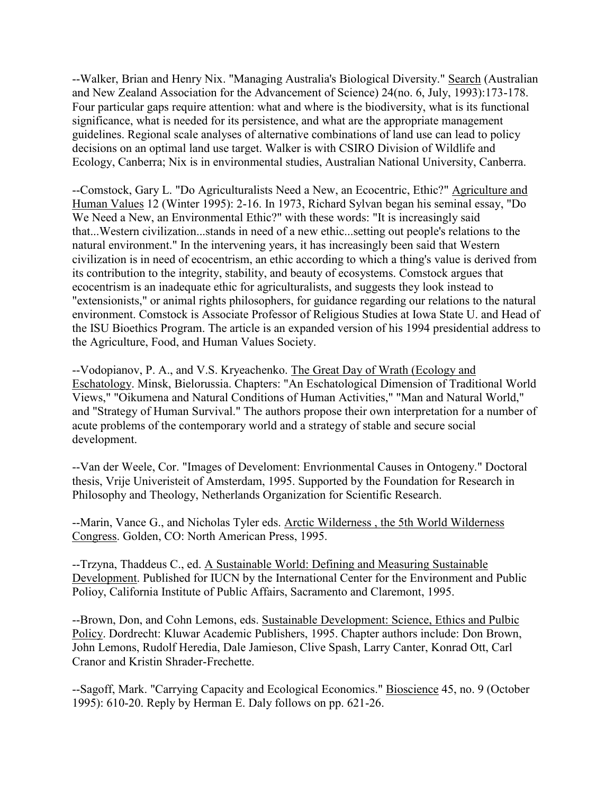--Walker, Brian and Henry Nix. "Managing Australia's Biological Diversity." Search (Australian and New Zealand Association for the Advancement of Science) 24(no. 6, July, 1993):173-178. Four particular gaps require attention: what and where is the biodiversity, what is its functional significance, what is needed for its persistence, and what are the appropriate management guidelines. Regional scale analyses of alternative combinations of land use can lead to policy decisions on an optimal land use target. Walker is with CSIRO Division of Wildlife and Ecology, Canberra; Nix is in environmental studies, Australian National University, Canberra.

--Comstock, Gary L. "Do Agriculturalists Need a New, an Ecocentric, Ethic?" Agriculture and Human Values 12 (Winter 1995): 2-16. In 1973, Richard Sylvan began his seminal essay, "Do We Need a New, an Environmental Ethic?" with these words: "It is increasingly said that...Western civilization...stands in need of a new ethic...setting out people's relations to the natural environment." In the intervening years, it has increasingly been said that Western civilization is in need of ecocentrism, an ethic according to which a thing's value is derived from its contribution to the integrity, stability, and beauty of ecosystems. Comstock argues that ecocentrism is an inadequate ethic for agriculturalists, and suggests they look instead to "extensionists," or animal rights philosophers, for guidance regarding our relations to the natural environment. Comstock is Associate Professor of Religious Studies at Iowa State U. and Head of the ISU Bioethics Program. The article is an expanded version of his 1994 presidential address to the Agriculture, Food, and Human Values Society.

--Vodopianov, P. A., and V.S. Kryeachenko. The Great Day of Wrath (Ecology and Eschatology. Minsk, Bielorussia. Chapters: "An Eschatological Dimension of Traditional World Views," "Oikumena and Natural Conditions of Human Activities," "Man and Natural World," and "Strategy of Human Survival." The authors propose their own interpretation for a number of acute problems of the contemporary world and a strategy of stable and secure social development.

--Van der Weele, Cor. "Images of Develoment: Envrionmental Causes in Ontogeny." Doctoral thesis, Vrije Univeristeit of Amsterdam, 1995. Supported by the Foundation for Research in Philosophy and Theology, Netherlands Organization for Scientific Research.

--Marin, Vance G., and Nicholas Tyler eds. Arctic Wilderness , the 5th World Wilderness Congress. Golden, CO: North American Press, 1995.

--Trzyna, Thaddeus C., ed. A Sustainable World: Defining and Measuring Sustainable Development. Published for IUCN by the International Center for the Environment and Public Polioy, California Institute of Public Affairs, Sacramento and Claremont, 1995.

--Brown, Don, and Cohn Lemons, eds. Sustainable Development: Science, Ethics and Pulbic Policy. Dordrecht: Kluwar Academic Publishers, 1995. Chapter authors include: Don Brown, John Lemons, Rudolf Heredia, Dale Jamieson, Clive Spash, Larry Canter, Konrad Ott, Carl Cranor and Kristin Shrader-Frechette.

--Sagoff, Mark. "Carrying Capacity and Ecological Economics." Bioscience 45, no. 9 (October 1995): 610-20. Reply by Herman E. Daly follows on pp. 621-26.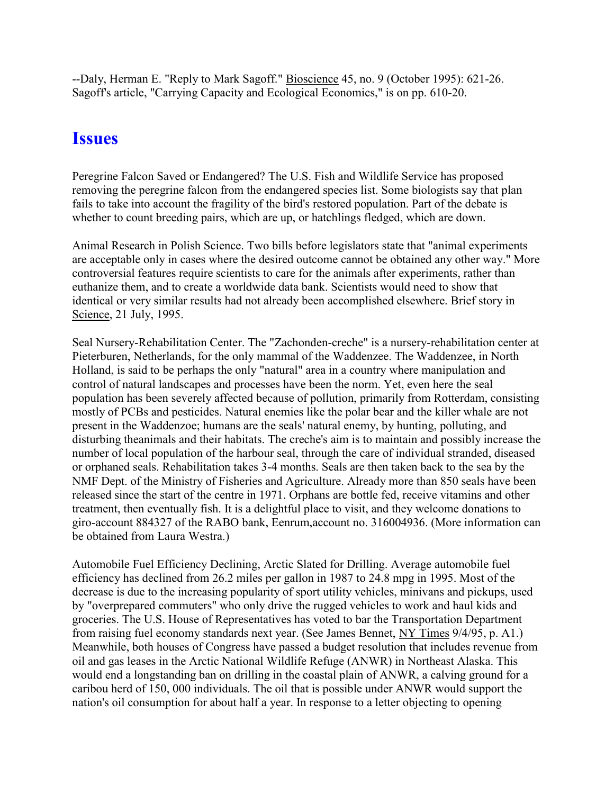--Daly, Herman E. "Reply to Mark Sagoff." Bioscience 45, no. 9 (October 1995): 621-26. Sagoff's article, "Carrying Capacity and Ecological Economics," is on pp. 610-20.

### **Issues**

Peregrine Falcon Saved or Endangered? The U.S. Fish and Wildlife Service has proposed removing the peregrine falcon from the endangered species list. Some biologists say that plan fails to take into account the fragility of the bird's restored population. Part of the debate is whether to count breeding pairs, which are up, or hatchlings fledged, which are down.

Animal Research in Polish Science. Two bills before legislators state that "animal experiments are acceptable only in cases where the desired outcome cannot be obtained any other way." More controversial features require scientists to care for the animals after experiments, rather than euthanize them, and to create a worldwide data bank. Scientists would need to show that identical or very similar results had not already been accomplished elsewhere. Brief story in Science, 21 July, 1995.

Seal Nursery-Rehabilitation Center. The "Zachonden-creche" is a nursery-rehabilitation center at Pieterburen, Netherlands, for the only mammal of the Waddenzee. The Waddenzee, in North Holland, is said to be perhaps the only "natural" area in a country where manipulation and control of natural landscapes and processes have been the norm. Yet, even here the seal population has been severely affected because of pollution, primarily from Rotterdam, consisting mostly of PCBs and pesticides. Natural enemies like the polar bear and the killer whale are not present in the Waddenzoe; humans are the seals' natural enemy, by hunting, polluting, and disturbing theanimals and their habitats. The creche's aim is to maintain and possibly increase the number of local population of the harbour seal, through the care of individual stranded, diseased or orphaned seals. Rehabilitation takes 3-4 months. Seals are then taken back to the sea by the NMF Dept. of the Ministry of Fisheries and Agriculture. Already more than 850 seals have been released since the start of the centre in 1971. Orphans are bottle fed, receive vitamins and other treatment, then eventually fish. It is a delightful place to visit, and they welcome donations to giro-account 884327 of the RABO bank, Eenrum,account no. 316004936. (More information can be obtained from Laura Westra.)

Automobile Fuel Efficiency Declining, Arctic Slated for Drilling. Average automobile fuel efficiency has declined from 26.2 miles per gallon in 1987 to 24.8 mpg in 1995. Most of the decrease is due to the increasing popularity of sport utility vehicles, minivans and pickups, used by "overprepared commuters" who only drive the rugged vehicles to work and haul kids and groceries. The U.S. House of Representatives has voted to bar the Transportation Department from raising fuel economy standards next year. (See James Bennet, NY Times 9/4/95, p. A1.) Meanwhile, both houses of Congress have passed a budget resolution that includes revenue from oil and gas leases in the Arctic National Wildlife Refuge (ANWR) in Northeast Alaska. This would end a longstanding ban on drilling in the coastal plain of ANWR, a calving ground for a caribou herd of 150, 000 individuals. The oil that is possible under ANWR would support the nation's oil consumption for about half a year. In response to a letter objecting to opening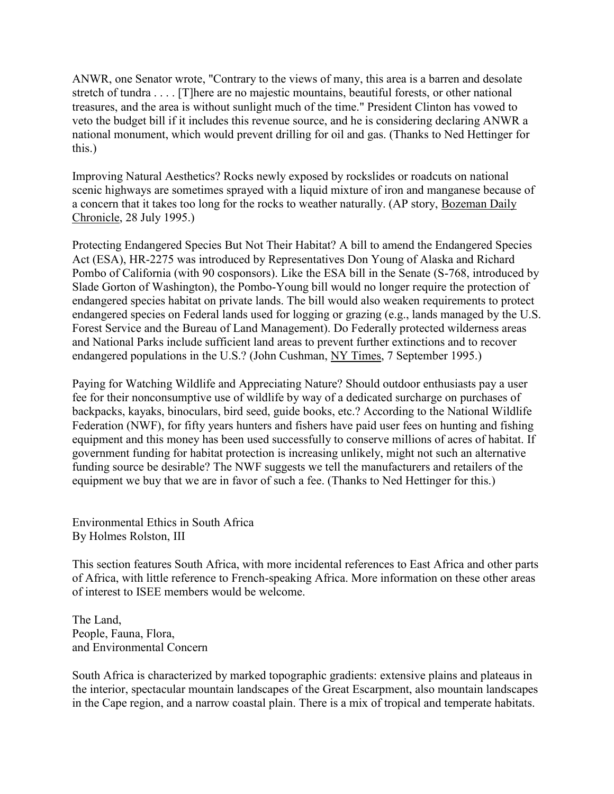ANWR, one Senator wrote, "Contrary to the views of many, this area is a barren and desolate stretch of tundra . . . . [T]here are no majestic mountains, beautiful forests, or other national treasures, and the area is without sunlight much of the time." President Clinton has vowed to veto the budget bill if it includes this revenue source, and he is considering declaring ANWR a national monument, which would prevent drilling for oil and gas. (Thanks to Ned Hettinger for this.)

Improving Natural Aesthetics? Rocks newly exposed by rockslides or roadcuts on national scenic highways are sometimes sprayed with a liquid mixture of iron and manganese because of a concern that it takes too long for the rocks to weather naturally. (AP story, Bozeman Daily Chronicle, 28 July 1995.)

Protecting Endangered Species But Not Their Habitat? A bill to amend the Endangered Species Act (ESA), HR-2275 was introduced by Representatives Don Young of Alaska and Richard Pombo of California (with 90 cosponsors). Like the ESA bill in the Senate (S-768, introduced by Slade Gorton of Washington), the Pombo-Young bill would no longer require the protection of endangered species habitat on private lands. The bill would also weaken requirements to protect endangered species on Federal lands used for logging or grazing (e.g., lands managed by the U.S. Forest Service and the Bureau of Land Management). Do Federally protected wilderness areas and National Parks include sufficient land areas to prevent further extinctions and to recover endangered populations in the U.S.? (John Cushman, NY Times, 7 September 1995.)

Paying for Watching Wildlife and Appreciating Nature? Should outdoor enthusiasts pay a user fee for their nonconsumptive use of wildlife by way of a dedicated surcharge on purchases of backpacks, kayaks, binoculars, bird seed, guide books, etc.? According to the National Wildlife Federation (NWF), for fifty years hunters and fishers have paid user fees on hunting and fishing equipment and this money has been used successfully to conserve millions of acres of habitat. If government funding for habitat protection is increasing unlikely, might not such an alternative funding source be desirable? The NWF suggests we tell the manufacturers and retailers of the equipment we buy that we are in favor of such a fee. (Thanks to Ned Hettinger for this.)

Environmental Ethics in South Africa By Holmes Rolston, III

This section features South Africa, with more incidental references to East Africa and other parts of Africa, with little reference to French-speaking Africa. More information on these other areas of interest to ISEE members would be welcome.

The Land, People, Fauna, Flora, and Environmental Concern

South Africa is characterized by marked topographic gradients: extensive plains and plateaus in the interior, spectacular mountain landscapes of the Great Escarpment, also mountain landscapes in the Cape region, and a narrow coastal plain. There is a mix of tropical and temperate habitats.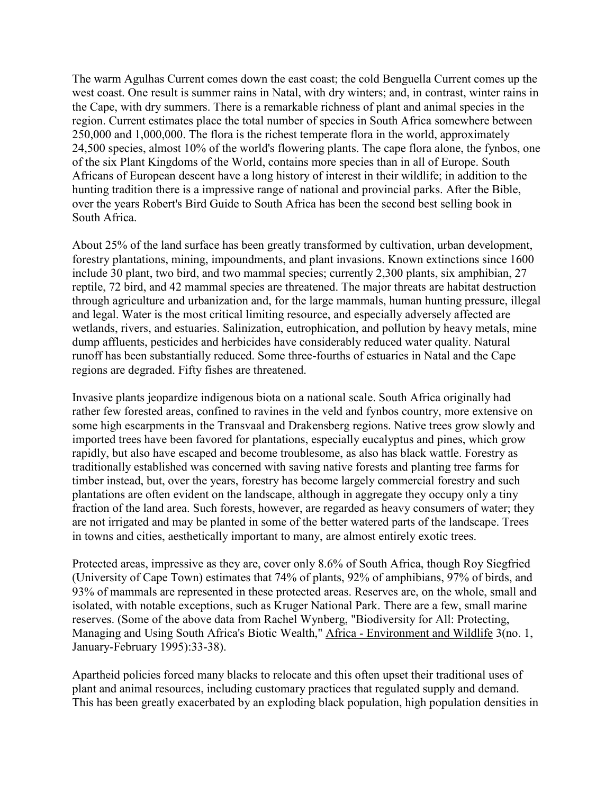The warm Agulhas Current comes down the east coast; the cold Benguella Current comes up the west coast. One result is summer rains in Natal, with dry winters; and, in contrast, winter rains in the Cape, with dry summers. There is a remarkable richness of plant and animal species in the region. Current estimates place the total number of species in South Africa somewhere between 250,000 and 1,000,000. The flora is the richest temperate flora in the world, approximately 24,500 species, almost 10% of the world's flowering plants. The cape flora alone, the fynbos, one of the six Plant Kingdoms of the World, contains more species than in all of Europe. South Africans of European descent have a long history of interest in their wildlife; in addition to the hunting tradition there is a impressive range of national and provincial parks. After the Bible, over the years Robert's Bird Guide to South Africa has been the second best selling book in South Africa.

About 25% of the land surface has been greatly transformed by cultivation, urban development, forestry plantations, mining, impoundments, and plant invasions. Known extinctions since 1600 include 30 plant, two bird, and two mammal species; currently 2,300 plants, six amphibian, 27 reptile, 72 bird, and 42 mammal species are threatened. The major threats are habitat destruction through agriculture and urbanization and, for the large mammals, human hunting pressure, illegal and legal. Water is the most critical limiting resource, and especially adversely affected are wetlands, rivers, and estuaries. Salinization, eutrophication, and pollution by heavy metals, mine dump affluents, pesticides and herbicides have considerably reduced water quality. Natural runoff has been substantially reduced. Some three-fourths of estuaries in Natal and the Cape regions are degraded. Fifty fishes are threatened.

Invasive plants jeopardize indigenous biota on a national scale. South Africa originally had rather few forested areas, confined to ravines in the veld and fynbos country, more extensive on some high escarpments in the Transvaal and Drakensberg regions. Native trees grow slowly and imported trees have been favored for plantations, especially eucalyptus and pines, which grow rapidly, but also have escaped and become troublesome, as also has black wattle. Forestry as traditionally established was concerned with saving native forests and planting tree farms for timber instead, but, over the years, forestry has become largely commercial forestry and such plantations are often evident on the landscape, although in aggregate they occupy only a tiny fraction of the land area. Such forests, however, are regarded as heavy consumers of water; they are not irrigated and may be planted in some of the better watered parts of the landscape. Trees in towns and cities, aesthetically important to many, are almost entirely exotic trees.

Protected areas, impressive as they are, cover only 8.6% of South Africa, though Roy Siegfried (University of Cape Town) estimates that 74% of plants, 92% of amphibians, 97% of birds, and 93% of mammals are represented in these protected areas. Reserves are, on the whole, small and isolated, with notable exceptions, such as Kruger National Park. There are a few, small marine reserves. (Some of the above data from Rachel Wynberg, "Biodiversity for All: Protecting, Managing and Using South Africa's Biotic Wealth," Africa - Environment and Wildlife 3(no. 1, January-February 1995):33-38).

Apartheid policies forced many blacks to relocate and this often upset their traditional uses of plant and animal resources, including customary practices that regulated supply and demand. This has been greatly exacerbated by an exploding black population, high population densities in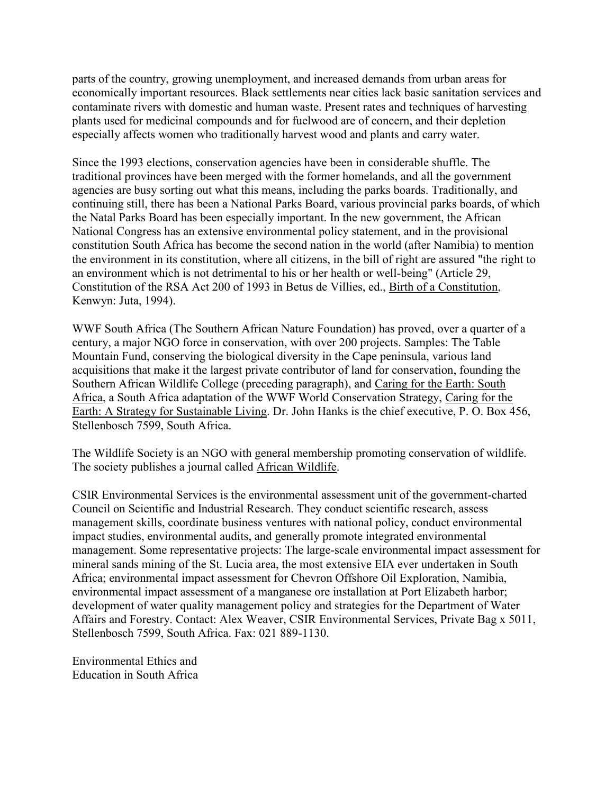parts of the country, growing unemployment, and increased demands from urban areas for economically important resources. Black settlements near cities lack basic sanitation services and contaminate rivers with domestic and human waste. Present rates and techniques of harvesting plants used for medicinal compounds and for fuelwood are of concern, and their depletion especially affects women who traditionally harvest wood and plants and carry water.

Since the 1993 elections, conservation agencies have been in considerable shuffle. The traditional provinces have been merged with the former homelands, and all the government agencies are busy sorting out what this means, including the parks boards. Traditionally, and continuing still, there has been a National Parks Board, various provincial parks boards, of which the Natal Parks Board has been especially important. In the new government, the African National Congress has an extensive environmental policy statement, and in the provisional constitution South Africa has become the second nation in the world (after Namibia) to mention the environment in its constitution, where all citizens, in the bill of right are assured "the right to an environment which is not detrimental to his or her health or well-being" (Article 29, Constitution of the RSA Act 200 of 1993 in Betus de Villies, ed., Birth of a Constitution, Kenwyn: Juta, 1994).

WWF South Africa (The Southern African Nature Foundation) has proved, over a quarter of a century, a major NGO force in conservation, with over 200 projects. Samples: The Table Mountain Fund, conserving the biological diversity in the Cape peninsula, various land acquisitions that make it the largest private contributor of land for conservation, founding the Southern African Wildlife College (preceding paragraph), and Caring for the Earth: South Africa, a South Africa adaptation of the WWF World Conservation Strategy, Caring for the Earth: A Strategy for Sustainable Living. Dr. John Hanks is the chief executive, P. O. Box 456, Stellenbosch 7599, South Africa.

The Wildlife Society is an NGO with general membership promoting conservation of wildlife. The society publishes a journal called African Wildlife.

CSIR Environmental Services is the environmental assessment unit of the government-charted Council on Scientific and Industrial Research. They conduct scientific research, assess management skills, coordinate business ventures with national policy, conduct environmental impact studies, environmental audits, and generally promote integrated environmental management. Some representative projects: The large-scale environmental impact assessment for mineral sands mining of the St. Lucia area, the most extensive EIA ever undertaken in South Africa; environmental impact assessment for Chevron Offshore Oil Exploration, Namibia, environmental impact assessment of a manganese ore installation at Port Elizabeth harbor; development of water quality management policy and strategies for the Department of Water Affairs and Forestry. Contact: Alex Weaver, CSIR Environmental Services, Private Bag x 5011, Stellenbosch 7599, South Africa. Fax: 021 889-1130.

Environmental Ethics and Education in South Africa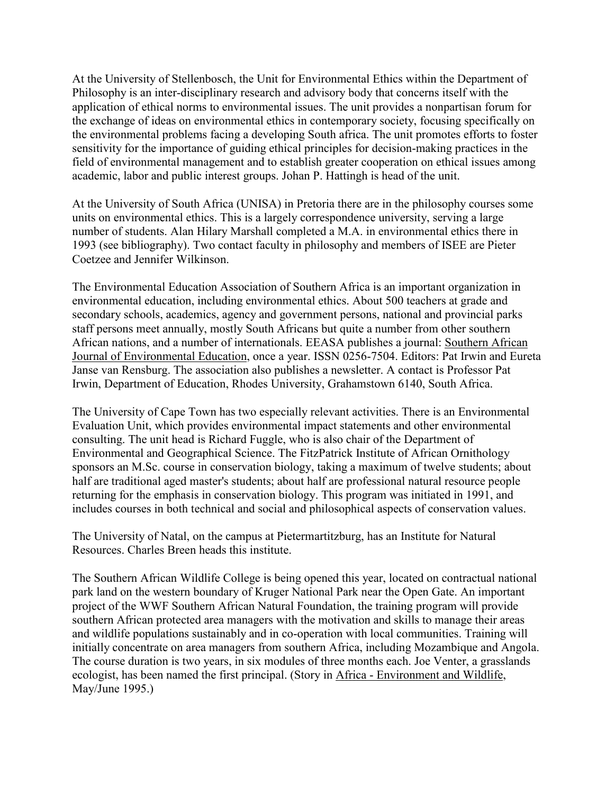At the University of Stellenbosch, the Unit for Environmental Ethics within the Department of Philosophy is an inter-disciplinary research and advisory body that concerns itself with the application of ethical norms to environmental issues. The unit provides a nonpartisan forum for the exchange of ideas on environmental ethics in contemporary society, focusing specifically on the environmental problems facing a developing South africa. The unit promotes efforts to foster sensitivity for the importance of guiding ethical principles for decision-making practices in the field of environmental management and to establish greater cooperation on ethical issues among academic, labor and public interest groups. Johan P. Hattingh is head of the unit.

At the University of South Africa (UNISA) in Pretoria there are in the philosophy courses some units on environmental ethics. This is a largely correspondence university, serving a large number of students. Alan Hilary Marshall completed a M.A. in environmental ethics there in 1993 (see bibliography). Two contact faculty in philosophy and members of ISEE are Pieter Coetzee and Jennifer Wilkinson.

The Environmental Education Association of Southern Africa is an important organization in environmental education, including environmental ethics. About 500 teachers at grade and secondary schools, academics, agency and government persons, national and provincial parks staff persons meet annually, mostly South Africans but quite a number from other southern African nations, and a number of internationals. EEASA publishes a journal: Southern African Journal of Environmental Education, once a year. ISSN 0256-7504. Editors: Pat Irwin and Eureta Janse van Rensburg. The association also publishes a newsletter. A contact is Professor Pat Irwin, Department of Education, Rhodes University, Grahamstown 6140, South Africa.

The University of Cape Town has two especially relevant activities. There is an Environmental Evaluation Unit, which provides environmental impact statements and other environmental consulting. The unit head is Richard Fuggle, who is also chair of the Department of Environmental and Geographical Science. The FitzPatrick Institute of African Ornithology sponsors an M.Sc. course in conservation biology, taking a maximum of twelve students; about half are traditional aged master's students; about half are professional natural resource people returning for the emphasis in conservation biology. This program was initiated in 1991, and includes courses in both technical and social and philosophical aspects of conservation values.

The University of Natal, on the campus at Pietermartitzburg, has an Institute for Natural Resources. Charles Breen heads this institute.

The Southern African Wildlife College is being opened this year, located on contractual national park land on the western boundary of Kruger National Park near the Open Gate. An important project of the WWF Southern African Natural Foundation, the training program will provide southern African protected area managers with the motivation and skills to manage their areas and wildlife populations sustainably and in co-operation with local communities. Training will initially concentrate on area managers from southern Africa, including Mozambique and Angola. The course duration is two years, in six modules of three months each. Joe Venter, a grasslands ecologist, has been named the first principal. (Story in Africa - Environment and Wildlife, May/June 1995.)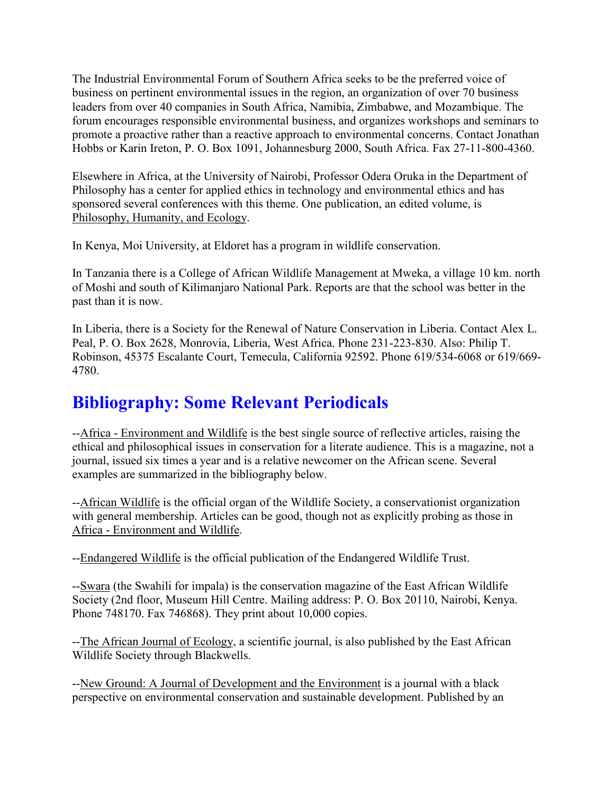The Industrial Environmental Forum of Southern Africa seeks to be the preferred voice of business on pertinent environmental issues in the region, an organization of over 70 business leaders from over 40 companies in South Africa, Namibia, Zimbabwe, and Mozambique. The forum encourages responsible environmental business, and organizes workshops and seminars to promote a proactive rather than a reactive approach to environmental concerns. Contact Jonathan Hobbs or Karin Ireton, P. O. Box 1091, Johannesburg 2000, South Africa. Fax 27-11-800-4360.

Elsewhere in Africa, at the University of Nairobi, Professor Odera Oruka in the Department of Philosophy has a center for applied ethics in technology and environmental ethics and has sponsored several conferences with this theme. One publication, an edited volume, is Philosophy, Humanity, and Ecology.

In Kenya, Moi University, at Eldoret has a program in wildlife conservation.

In Tanzania there is a College of African Wildlife Management at Mweka, a village 10 km. north of Moshi and south of Kilimanjaro National Park. Reports are that the school was better in the past than it is now.

In Liberia, there is a Society for the Renewal of Nature Conservation in Liberia. Contact Alex L. Peal, P. O. Box 2628, Monrovia, Liberia, West Africa. Phone 231-223-830. Also: Philip T. Robinson, 45375 Escalante Court, Temecula, California 92592. Phone 619/534-6068 or 619/669- 4780.

# **Bibliography: Some Relevant Periodicals**

--Africa - Environment and Wildlife is the best single source of reflective articles, raising the ethical and philosophical issues in conservation for a literate audience. This is a magazine, not a journal, issued six times a year and is a relative newcomer on the African scene. Several examples are summarized in the bibliography below.

--African Wildlife is the official organ of the Wildlife Society, a conservationist organization with general membership. Articles can be good, though not as explicitly probing as those in Africa - Environment and Wildlife.

--Endangered Wildlife is the official publication of the Endangered Wildlife Trust.

--Swara (the Swahili for impala) is the conservation magazine of the East African Wildlife Society (2nd floor, Museum Hill Centre. Mailing address: P. O. Box 20110, Nairobi, Kenya. Phone 748170. Fax 746868). They print about 10,000 copies.

--The African Journal of Ecology, a scientific journal, is also published by the East African Wildlife Society through Blackwells.

--New Ground: A Journal of Development and the Environment is a journal with a black perspective on environmental conservation and sustainable development. Published by an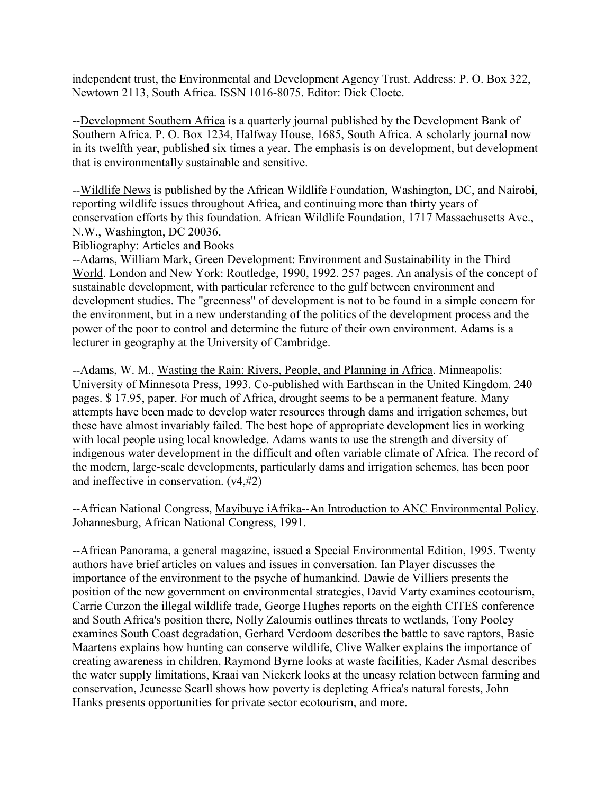independent trust, the Environmental and Development Agency Trust. Address: P. O. Box 322, Newtown 2113, South Africa. ISSN 1016-8075. Editor: Dick Cloete.

--Development Southern Africa is a quarterly journal published by the Development Bank of Southern Africa. P. O. Box 1234, Halfway House, 1685, South Africa. A scholarly journal now in its twelfth year, published six times a year. The emphasis is on development, but development that is environmentally sustainable and sensitive.

--Wildlife News is published by the African Wildlife Foundation, Washington, DC, and Nairobi, reporting wildlife issues throughout Africa, and continuing more than thirty years of conservation efforts by this foundation. African Wildlife Foundation, 1717 Massachusetts Ave., N.W., Washington, DC 20036.

Bibliography: Articles and Books

--Adams, William Mark, Green Development: Environment and Sustainability in the Third World. London and New York: Routledge, 1990, 1992. 257 pages. An analysis of the concept of sustainable development, with particular reference to the gulf between environment and development studies. The "greenness" of development is not to be found in a simple concern for the environment, but in a new understanding of the politics of the development process and the power of the poor to control and determine the future of their own environment. Adams is a lecturer in geography at the University of Cambridge.

--Adams, W. M., Wasting the Rain: Rivers, People, and Planning in Africa. Minneapolis: University of Minnesota Press, 1993. Co-published with Earthscan in the United Kingdom. 240 pages. \$ 17.95, paper. For much of Africa, drought seems to be a permanent feature. Many attempts have been made to develop water resources through dams and irrigation schemes, but these have almost invariably failed. The best hope of appropriate development lies in working with local people using local knowledge. Adams wants to use the strength and diversity of indigenous water development in the difficult and often variable climate of Africa. The record of the modern, large-scale developments, particularly dams and irrigation schemes, has been poor and ineffective in conservation. (v4,#2)

--African National Congress, Mayibuye iAfrika--An Introduction to ANC Environmental Policy. Johannesburg, African National Congress, 1991.

--African Panorama, a general magazine, issued a Special Environmental Edition, 1995. Twenty authors have brief articles on values and issues in conversation. Ian Player discusses the importance of the environment to the psyche of humankind. Dawie de Villiers presents the position of the new government on environmental strategies, David Varty examines ecotourism, Carrie Curzon the illegal wildlife trade, George Hughes reports on the eighth CITES conference and South Africa's position there, Nolly Zaloumis outlines threats to wetlands, Tony Pooley examines South Coast degradation, Gerhard Verdoom describes the battle to save raptors, Basie Maartens explains how hunting can conserve wildlife, Clive Walker explains the importance of creating awareness in children, Raymond Byrne looks at waste facilities, Kader Asmal describes the water supply limitations, Kraai van Niekerk looks at the uneasy relation between farming and conservation, Jeunesse Searll shows how poverty is depleting Africa's natural forests, John Hanks presents opportunities for private sector ecotourism, and more.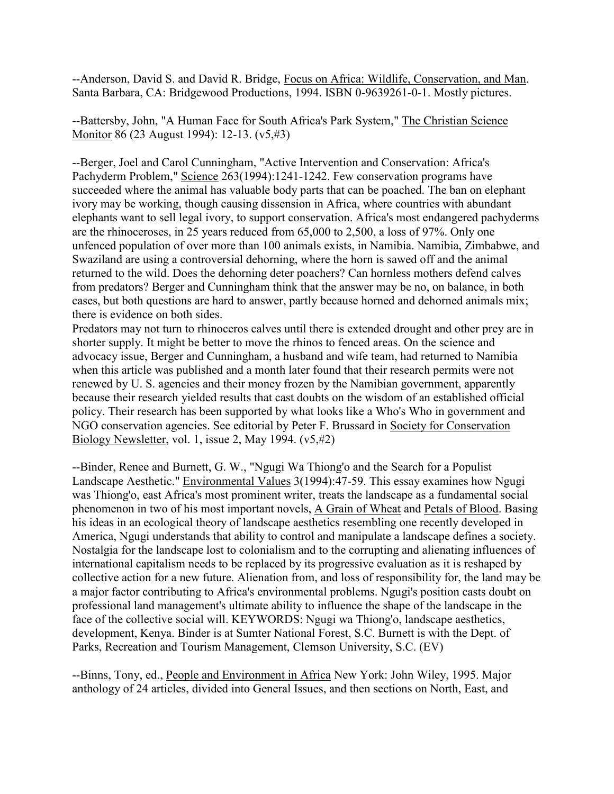--Anderson, David S. and David R. Bridge, Focus on Africa: Wildlife, Conservation, and Man. Santa Barbara, CA: Bridgewood Productions, 1994. ISBN 0-9639261-0-1. Mostly pictures.

--Battersby, John, "A Human Face for South Africa's Park System," The Christian Science Monitor 86 (23 August 1994): 12-13. (v5,#3)

--Berger, Joel and Carol Cunningham, "Active Intervention and Conservation: Africa's Pachyderm Problem," Science 263(1994):1241-1242. Few conservation programs have succeeded where the animal has valuable body parts that can be poached. The ban on elephant ivory may be working, though causing dissension in Africa, where countries with abundant elephants want to sell legal ivory, to support conservation. Africa's most endangered pachyderms are the rhinoceroses, in 25 years reduced from 65,000 to 2,500, a loss of 97%. Only one unfenced population of over more than 100 animals exists, in Namibia. Namibia, Zimbabwe, and Swaziland are using a controversial dehorning, where the horn is sawed off and the animal returned to the wild. Does the dehorning deter poachers? Can hornless mothers defend calves from predators? Berger and Cunningham think that the answer may be no, on balance, in both cases, but both questions are hard to answer, partly because horned and dehorned animals mix; there is evidence on both sides.

Predators may not turn to rhinoceros calves until there is extended drought and other prey are in shorter supply. It might be better to move the rhinos to fenced areas. On the science and advocacy issue, Berger and Cunningham, a husband and wife team, had returned to Namibia when this article was published and a month later found that their research permits were not renewed by U. S. agencies and their money frozen by the Namibian government, apparently because their research yielded results that cast doubts on the wisdom of an established official policy. Their research has been supported by what looks like a Who's Who in government and NGO conservation agencies. See editorial by Peter F. Brussard in Society for Conservation Biology Newsletter, vol. 1, issue 2, May 1994. (v5,#2)

--Binder, Renee and Burnett, G. W., "Ngugi Wa Thiong'o and the Search for a Populist Landscape Aesthetic." Environmental Values 3(1994):47-59. This essay examines how Ngugi was Thiong'o, east Africa's most prominent writer, treats the landscape as a fundamental social phenomenon in two of his most important novels, A Grain of Wheat and Petals of Blood. Basing his ideas in an ecological theory of landscape aesthetics resembling one recently developed in America, Ngugi understands that ability to control and manipulate a landscape defines a society. Nostalgia for the landscape lost to colonialism and to the corrupting and alienating influences of international capitalism needs to be replaced by its progressive evaluation as it is reshaped by collective action for a new future. Alienation from, and loss of responsibility for, the land may be a major factor contributing to Africa's environmental problems. Ngugi's position casts doubt on professional land management's ultimate ability to influence the shape of the landscape in the face of the collective social will. KEYWORDS: Ngugi wa Thiong'o, landscape aesthetics, development, Kenya. Binder is at Sumter National Forest, S.C. Burnett is with the Dept. of Parks, Recreation and Tourism Management, Clemson University, S.C. (EV)

--Binns, Tony, ed., People and Environment in Africa New York: John Wiley, 1995. Major anthology of 24 articles, divided into General Issues, and then sections on North, East, and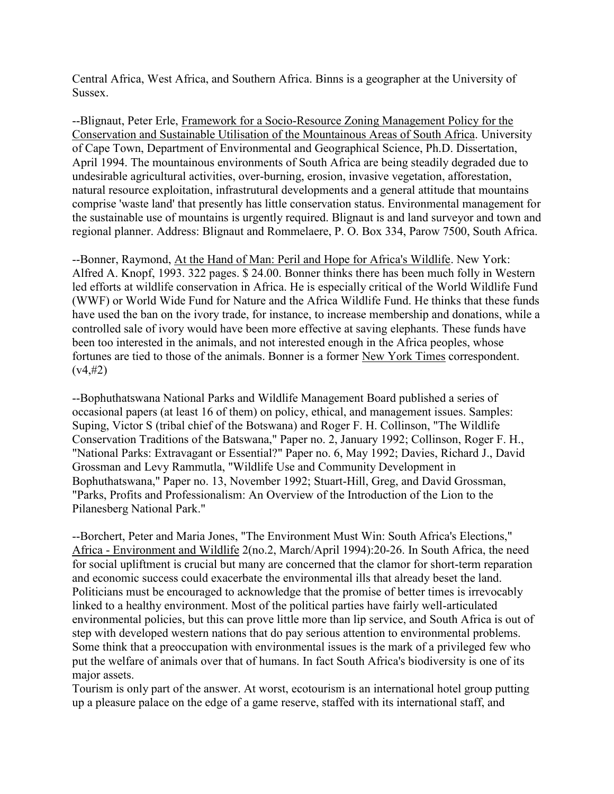Central Africa, West Africa, and Southern Africa. Binns is a geographer at the University of Sussex.

--Blignaut, Peter Erle, Framework for a Socio-Resource Zoning Management Policy for the Conservation and Sustainable Utilisation of the Mountainous Areas of South Africa. University of Cape Town, Department of Environmental and Geographical Science, Ph.D. Dissertation, April 1994. The mountainous environments of South Africa are being steadily degraded due to undesirable agricultural activities, over-burning, erosion, invasive vegetation, afforestation, natural resource exploitation, infrastrutural developments and a general attitude that mountains comprise 'waste land' that presently has little conservation status. Environmental management for the sustainable use of mountains is urgently required. Blignaut is and land surveyor and town and regional planner. Address: Blignaut and Rommelaere, P. O. Box 334, Parow 7500, South Africa.

--Bonner, Raymond, At the Hand of Man: Peril and Hope for Africa's Wildlife. New York: Alfred A. Knopf, 1993. 322 pages. \$ 24.00. Bonner thinks there has been much folly in Western led efforts at wildlife conservation in Africa. He is especially critical of the World Wildlife Fund (WWF) or World Wide Fund for Nature and the Africa Wildlife Fund. He thinks that these funds have used the ban on the ivory trade, for instance, to increase membership and donations, while a controlled sale of ivory would have been more effective at saving elephants. These funds have been too interested in the animals, and not interested enough in the Africa peoples, whose fortunes are tied to those of the animals. Bonner is a former New York Times correspondent.  $(v4, 42)$ 

--Bophuthatswana National Parks and Wildlife Management Board published a series of occasional papers (at least 16 of them) on policy, ethical, and management issues. Samples: Suping, Victor S (tribal chief of the Botswana) and Roger F. H. Collinson, "The Wildlife Conservation Traditions of the Batswana," Paper no. 2, January 1992; Collinson, Roger F. H., "National Parks: Extravagant or Essential?" Paper no. 6, May 1992; Davies, Richard J., David Grossman and Levy Rammutla, "Wildlife Use and Community Development in Bophuthatswana," Paper no. 13, November 1992; Stuart-Hill, Greg, and David Grossman, "Parks, Profits and Professionalism: An Overview of the Introduction of the Lion to the Pilanesberg National Park."

--Borchert, Peter and Maria Jones, "The Environment Must Win: South Africa's Elections," Africa - Environment and Wildlife 2(no.2, March/April 1994):20-26. In South Africa, the need for social upliftment is crucial but many are concerned that the clamor for short-term reparation and economic success could exacerbate the environmental ills that already beset the land. Politicians must be encouraged to acknowledge that the promise of better times is irrevocably linked to a healthy environment. Most of the political parties have fairly well-articulated environmental policies, but this can prove little more than lip service, and South Africa is out of step with developed western nations that do pay serious attention to environmental problems. Some think that a preoccupation with environmental issues is the mark of a privileged few who put the welfare of animals over that of humans. In fact South Africa's biodiversity is one of its major assets.

Tourism is only part of the answer. At worst, ecotourism is an international hotel group putting up a pleasure palace on the edge of a game reserve, staffed with its international staff, and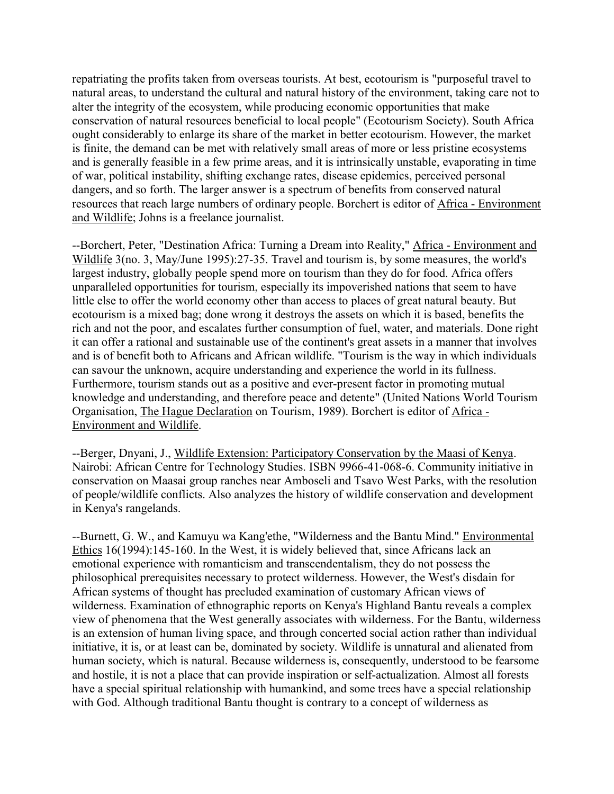repatriating the profits taken from overseas tourists. At best, ecotourism is "purposeful travel to natural areas, to understand the cultural and natural history of the environment, taking care not to alter the integrity of the ecosystem, while producing economic opportunities that make conservation of natural resources beneficial to local people" (Ecotourism Society). South Africa ought considerably to enlarge its share of the market in better ecotourism. However, the market is finite, the demand can be met with relatively small areas of more or less pristine ecosystems and is generally feasible in a few prime areas, and it is intrinsically unstable, evaporating in time of war, political instability, shifting exchange rates, disease epidemics, perceived personal dangers, and so forth. The larger answer is a spectrum of benefits from conserved natural resources that reach large numbers of ordinary people. Borchert is editor of Africa - Environment and Wildlife; Johns is a freelance journalist.

--Borchert, Peter, "Destination Africa: Turning a Dream into Reality," Africa - Environment and Wildlife 3(no. 3, May/June 1995):27-35. Travel and tourism is, by some measures, the world's largest industry, globally people spend more on tourism than they do for food. Africa offers unparalleled opportunities for tourism, especially its impoverished nations that seem to have little else to offer the world economy other than access to places of great natural beauty. But ecotourism is a mixed bag; done wrong it destroys the assets on which it is based, benefits the rich and not the poor, and escalates further consumption of fuel, water, and materials. Done right it can offer a rational and sustainable use of the continent's great assets in a manner that involves and is of benefit both to Africans and African wildlife. "Tourism is the way in which individuals can savour the unknown, acquire understanding and experience the world in its fullness. Furthermore, tourism stands out as a positive and ever-present factor in promoting mutual knowledge and understanding, and therefore peace and detente" (United Nations World Tourism Organisation, The Hague Declaration on Tourism, 1989). Borchert is editor of Africa - Environment and Wildlife.

--Berger, Dnyani, J., Wildlife Extension: Participatory Conservation by the Maasi of Kenya. Nairobi: African Centre for Technology Studies. ISBN 9966-41-068-6. Community initiative in conservation on Maasai group ranches near Amboseli and Tsavo West Parks, with the resolution of people/wildlife conflicts. Also analyzes the history of wildlife conservation and development in Kenya's rangelands.

--Burnett, G. W., and Kamuyu wa Kang'ethe, "Wilderness and the Bantu Mind." Environmental Ethics 16(1994):145-160. In the West, it is widely believed that, since Africans lack an emotional experience with romanticism and transcendentalism, they do not possess the philosophical prerequisites necessary to protect wilderness. However, the West's disdain for African systems of thought has precluded examination of customary African views of wilderness. Examination of ethnographic reports on Kenya's Highland Bantu reveals a complex view of phenomena that the West generally associates with wilderness. For the Bantu, wilderness is an extension of human living space, and through concerted social action rather than individual initiative, it is, or at least can be, dominated by society. Wildlife is unnatural and alienated from human society, which is natural. Because wilderness is, consequently, understood to be fearsome and hostile, it is not a place that can provide inspiration or self-actualization. Almost all forests have a special spiritual relationship with humankind, and some trees have a special relationship with God. Although traditional Bantu thought is contrary to a concept of wilderness as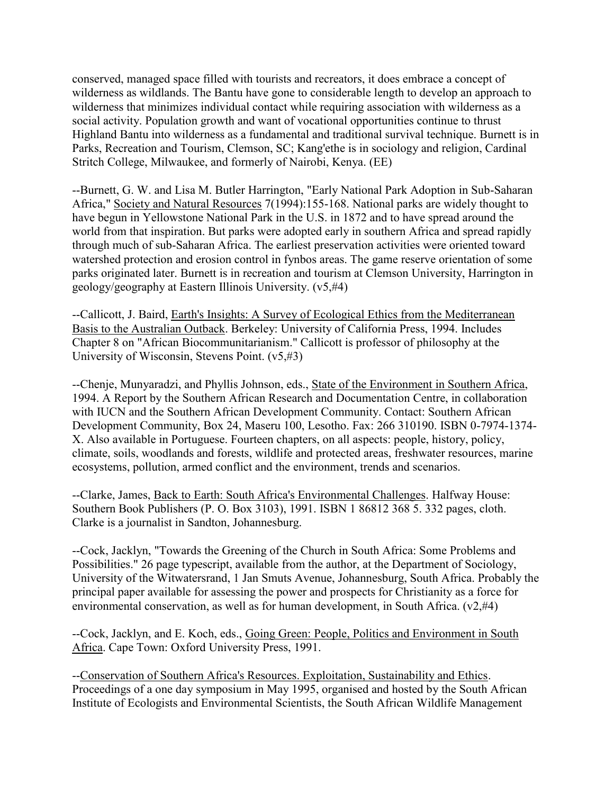conserved, managed space filled with tourists and recreators, it does embrace a concept of wilderness as wildlands. The Bantu have gone to considerable length to develop an approach to wilderness that minimizes individual contact while requiring association with wilderness as a social activity. Population growth and want of vocational opportunities continue to thrust Highland Bantu into wilderness as a fundamental and traditional survival technique. Burnett is in Parks, Recreation and Tourism, Clemson, SC; Kang'ethe is in sociology and religion, Cardinal Stritch College, Milwaukee, and formerly of Nairobi, Kenya. (EE)

--Burnett, G. W. and Lisa M. Butler Harrington, "Early National Park Adoption in Sub-Saharan Africa," Society and Natural Resources 7(1994):155-168. National parks are widely thought to have begun in Yellowstone National Park in the U.S. in 1872 and to have spread around the world from that inspiration. But parks were adopted early in southern Africa and spread rapidly through much of sub-Saharan Africa. The earliest preservation activities were oriented toward watershed protection and erosion control in fynbos areas. The game reserve orientation of some parks originated later. Burnett is in recreation and tourism at Clemson University, Harrington in geology/geography at Eastern Illinois University. (v5,#4)

--Callicott, J. Baird, Earth's Insights: A Survey of Ecological Ethics from the Mediterranean Basis to the Australian Outback. Berkeley: University of California Press, 1994. Includes Chapter 8 on "African Biocommunitarianism." Callicott is professor of philosophy at the University of Wisconsin, Stevens Point. (v5,#3)

--Chenje, Munyaradzi, and Phyllis Johnson, eds., State of the Environment in Southern Africa, 1994. A Report by the Southern African Research and Documentation Centre, in collaboration with IUCN and the Southern African Development Community. Contact: Southern African Development Community, Box 24, Maseru 100, Lesotho. Fax: 266 310190. ISBN 0-7974-1374- X. Also available in Portuguese. Fourteen chapters, on all aspects: people, history, policy, climate, soils, woodlands and forests, wildlife and protected areas, freshwater resources, marine ecosystems, pollution, armed conflict and the environment, trends and scenarios.

--Clarke, James, Back to Earth: South Africa's Environmental Challenges. Halfway House: Southern Book Publishers (P. O. Box 3103), 1991. ISBN 1 86812 368 5. 332 pages, cloth. Clarke is a journalist in Sandton, Johannesburg.

--Cock, Jacklyn, "Towards the Greening of the Church in South Africa: Some Problems and Possibilities." 26 page typescript, available from the author, at the Department of Sociology, University of the Witwatersrand, 1 Jan Smuts Avenue, Johannesburg, South Africa. Probably the principal paper available for assessing the power and prospects for Christianity as a force for environmental conservation, as well as for human development, in South Africa. (v2,#4)

--Cock, Jacklyn, and E. Koch, eds., Going Green: People, Politics and Environment in South Africa. Cape Town: Oxford University Press, 1991.

--Conservation of Southern Africa's Resources. Exploitation, Sustainability and Ethics. Proceedings of a one day symposium in May 1995, organised and hosted by the South African Institute of Ecologists and Environmental Scientists, the South African Wildlife Management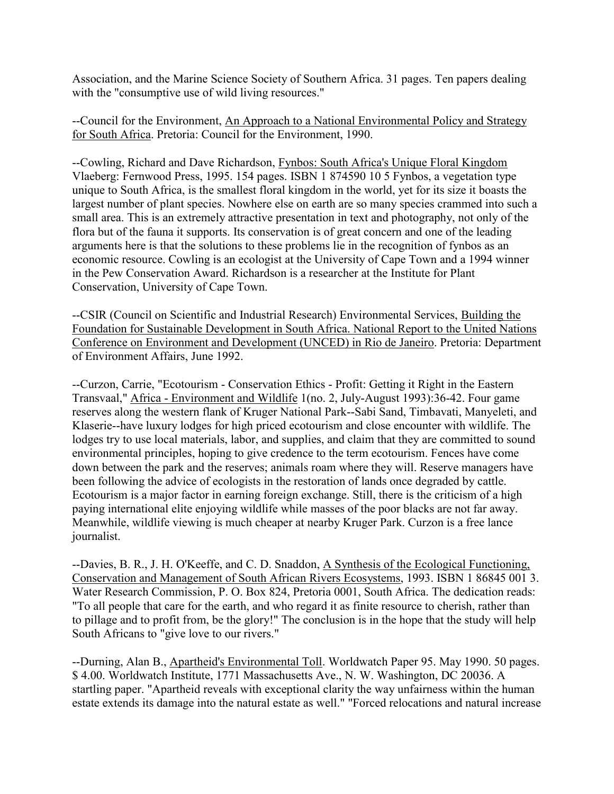Association, and the Marine Science Society of Southern Africa. 31 pages. Ten papers dealing with the "consumptive use of wild living resources."

--Council for the Environment, An Approach to a National Environmental Policy and Strategy for South Africa. Pretoria: Council for the Environment, 1990.

--Cowling, Richard and Dave Richardson, Fynbos: South Africa's Unique Floral Kingdom Vlaeberg: Fernwood Press, 1995. 154 pages. ISBN 1 874590 10 5 Fynbos, a vegetation type unique to South Africa, is the smallest floral kingdom in the world, yet for its size it boasts the largest number of plant species. Nowhere else on earth are so many species crammed into such a small area. This is an extremely attractive presentation in text and photography, not only of the flora but of the fauna it supports. Its conservation is of great concern and one of the leading arguments here is that the solutions to these problems lie in the recognition of fynbos as an economic resource. Cowling is an ecologist at the University of Cape Town and a 1994 winner in the Pew Conservation Award. Richardson is a researcher at the Institute for Plant Conservation, University of Cape Town.

--CSIR (Council on Scientific and Industrial Research) Environmental Services, Building the Foundation for Sustainable Development in South Africa. National Report to the United Nations Conference on Environment and Development (UNCED) in Rio de Janeiro. Pretoria: Department of Environment Affairs, June 1992.

--Curzon, Carrie, "Ecotourism - Conservation Ethics - Profit: Getting it Right in the Eastern Transvaal," Africa - Environment and Wildlife 1(no. 2, July-August 1993):36-42. Four game reserves along the western flank of Kruger National Park--Sabi Sand, Timbavati, Manyeleti, and Klaserie--have luxury lodges for high priced ecotourism and close encounter with wildlife. The lodges try to use local materials, labor, and supplies, and claim that they are committed to sound environmental principles, hoping to give credence to the term ecotourism. Fences have come down between the park and the reserves; animals roam where they will. Reserve managers have been following the advice of ecologists in the restoration of lands once degraded by cattle. Ecotourism is a major factor in earning foreign exchange. Still, there is the criticism of a high paying international elite enjoying wildlife while masses of the poor blacks are not far away. Meanwhile, wildlife viewing is much cheaper at nearby Kruger Park. Curzon is a free lance journalist.

--Davies, B. R., J. H. O'Keeffe, and C. D. Snaddon, A Synthesis of the Ecological Functioning, Conservation and Management of South African Rivers Ecosystems, 1993. ISBN 1 86845 001 3. Water Research Commission, P. O. Box 824, Pretoria 0001, South Africa. The dedication reads: "To all people that care for the earth, and who regard it as finite resource to cherish, rather than to pillage and to profit from, be the glory!" The conclusion is in the hope that the study will help South Africans to "give love to our rivers."

--Durning, Alan B., Apartheid's Environmental Toll. Worldwatch Paper 95. May 1990. 50 pages. \$ 4.00. Worldwatch Institute, 1771 Massachusetts Ave., N. W. Washington, DC 20036. A startling paper. "Apartheid reveals with exceptional clarity the way unfairness within the human estate extends its damage into the natural estate as well." "Forced relocations and natural increase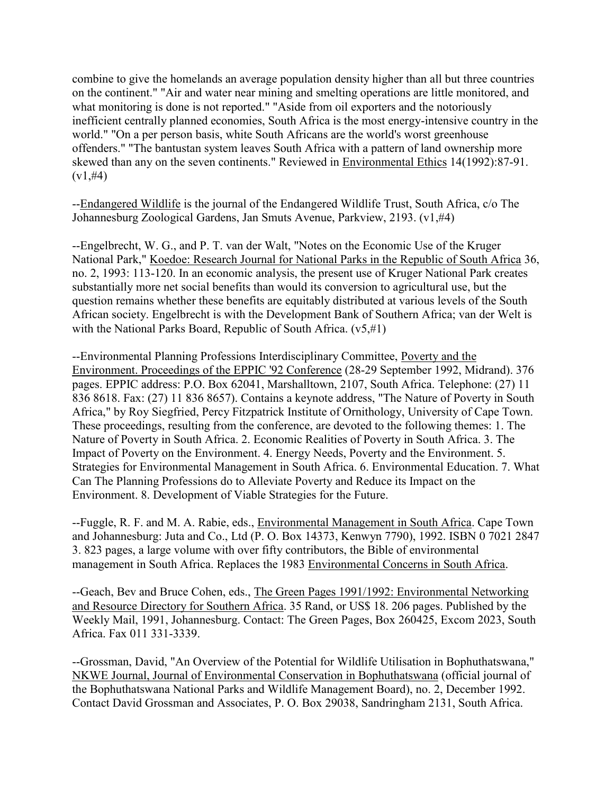combine to give the homelands an average population density higher than all but three countries on the continent." "Air and water near mining and smelting operations are little monitored, and what monitoring is done is not reported." "Aside from oil exporters and the notoriously inefficient centrally planned economies, South Africa is the most energy-intensive country in the world." "On a per person basis, white South Africans are the world's worst greenhouse offenders." "The bantustan system leaves South Africa with a pattern of land ownership more skewed than any on the seven continents." Reviewed in Environmental Ethics 14(1992):87-91.  $(v1, #4)$ 

--Endangered Wildlife is the journal of the Endangered Wildlife Trust, South Africa, c/o The Johannesburg Zoological Gardens, Jan Smuts Avenue, Parkview, 2193. (v1,#4)

--Engelbrecht, W. G., and P. T. van der Walt, "Notes on the Economic Use of the Kruger National Park," Koedoe: Research Journal for National Parks in the Republic of South Africa 36, no. 2, 1993: 113-120. In an economic analysis, the present use of Kruger National Park creates substantially more net social benefits than would its conversion to agricultural use, but the question remains whether these benefits are equitably distributed at various levels of the South African society. Engelbrecht is with the Development Bank of Southern Africa; van der Welt is with the National Parks Board, Republic of South Africa.  $(v5, \#1)$ 

--Environmental Planning Professions Interdisciplinary Committee, Poverty and the Environment. Proceedings of the EPPIC '92 Conference (28-29 September 1992, Midrand). 376 pages. EPPIC address: P.O. Box 62041, Marshalltown, 2107, South Africa. Telephone: (27) 11 836 8618. Fax: (27) 11 836 8657). Contains a keynote address, "The Nature of Poverty in South Africa," by Roy Siegfried, Percy Fitzpatrick Institute of Ornithology, University of Cape Town. These proceedings, resulting from the conference, are devoted to the following themes: 1. The Nature of Poverty in South Africa. 2. Economic Realities of Poverty in South Africa. 3. The Impact of Poverty on the Environment. 4. Energy Needs, Poverty and the Environment. 5. Strategies for Environmental Management in South Africa. 6. Environmental Education. 7. What Can The Planning Professions do to Alleviate Poverty and Reduce its Impact on the Environment. 8. Development of Viable Strategies for the Future.

--Fuggle, R. F. and M. A. Rabie, eds., Environmental Management in South Africa. Cape Town and Johannesburg: Juta and Co., Ltd (P. O. Box 14373, Kenwyn 7790), 1992. ISBN 0 7021 2847 3. 823 pages, a large volume with over fifty contributors, the Bible of environmental management in South Africa. Replaces the 1983 Environmental Concerns in South Africa.

--Geach, Bev and Bruce Cohen, eds., The Green Pages 1991/1992: Environmental Networking and Resource Directory for Southern Africa. 35 Rand, or US\$ 18. 206 pages. Published by the Weekly Mail, 1991, Johannesburg. Contact: The Green Pages, Box 260425, Excom 2023, South Africa. Fax 011 331-3339.

--Grossman, David, "An Overview of the Potential for Wildlife Utilisation in Bophuthatswana," NKWE Journal, Journal of Environmental Conservation in Bophuthatswana (official journal of the Bophuthatswana National Parks and Wildlife Management Board), no. 2, December 1992. Contact David Grossman and Associates, P. O. Box 29038, Sandringham 2131, South Africa.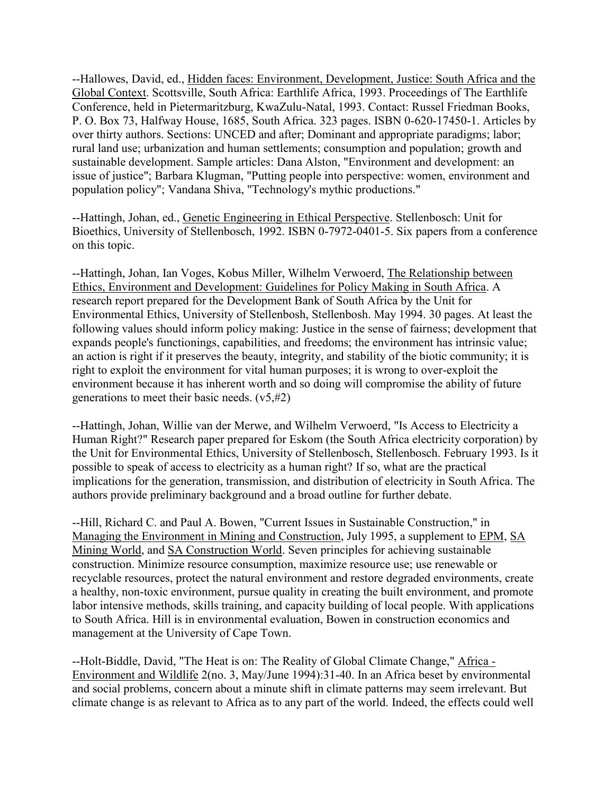--Hallowes, David, ed., Hidden faces: Environment, Development, Justice: South Africa and the Global Context. Scottsville, South Africa: Earthlife Africa, 1993. Proceedings of The Earthlife Conference, held in Pietermaritzburg, KwaZulu-Natal, 1993. Contact: Russel Friedman Books, P. O. Box 73, Halfway House, 1685, South Africa. 323 pages. ISBN 0-620-17450-1. Articles by over thirty authors. Sections: UNCED and after; Dominant and appropriate paradigms; labor; rural land use; urbanization and human settlements; consumption and population; growth and sustainable development. Sample articles: Dana Alston, "Environment and development: an issue of justice"; Barbara Klugman, "Putting people into perspective: women, environment and population policy"; Vandana Shiva, "Technology's mythic productions."

--Hattingh, Johan, ed., Genetic Engineering in Ethical Perspective. Stellenbosch: Unit for Bioethics, University of Stellenbosch, 1992. ISBN 0-7972-0401-5. Six papers from a conference on this topic.

--Hattingh, Johan, Ian Voges, Kobus Miller, Wilhelm Verwoerd, The Relationship between Ethics, Environment and Development: Guidelines for Policy Making in South Africa. A research report prepared for the Development Bank of South Africa by the Unit for Environmental Ethics, University of Stellenbosh, Stellenbosh. May 1994. 30 pages. At least the following values should inform policy making: Justice in the sense of fairness; development that expands people's functionings, capabilities, and freedoms; the environment has intrinsic value; an action is right if it preserves the beauty, integrity, and stability of the biotic community; it is right to exploit the environment for vital human purposes; it is wrong to over-exploit the environment because it has inherent worth and so doing will compromise the ability of future generations to meet their basic needs.  $(v5, #2)$ 

--Hattingh, Johan, Willie van der Merwe, and Wilhelm Verwoerd, "Is Access to Electricity a Human Right?" Research paper prepared for Eskom (the South Africa electricity corporation) by the Unit for Environmental Ethics, University of Stellenbosch, Stellenbosch. February 1993. Is it possible to speak of access to electricity as a human right? If so, what are the practical implications for the generation, transmission, and distribution of electricity in South Africa. The authors provide preliminary background and a broad outline for further debate.

--Hill, Richard C. and Paul A. Bowen, "Current Issues in Sustainable Construction," in Managing the Environment in Mining and Construction, July 1995, a supplement to EPM, SA Mining World, and SA Construction World. Seven principles for achieving sustainable construction. Minimize resource consumption, maximize resource use; use renewable or recyclable resources, protect the natural environment and restore degraded environments, create a healthy, non-toxic environment, pursue quality in creating the built environment, and promote labor intensive methods, skills training, and capacity building of local people. With applications to South Africa. Hill is in environmental evaluation, Bowen in construction economics and management at the University of Cape Town.

--Holt-Biddle, David, "The Heat is on: The Reality of Global Climate Change," Africa - Environment and Wildlife 2(no. 3, May/June 1994):31-40. In an Africa beset by environmental and social problems, concern about a minute shift in climate patterns may seem irrelevant. But climate change is as relevant to Africa as to any part of the world. Indeed, the effects could well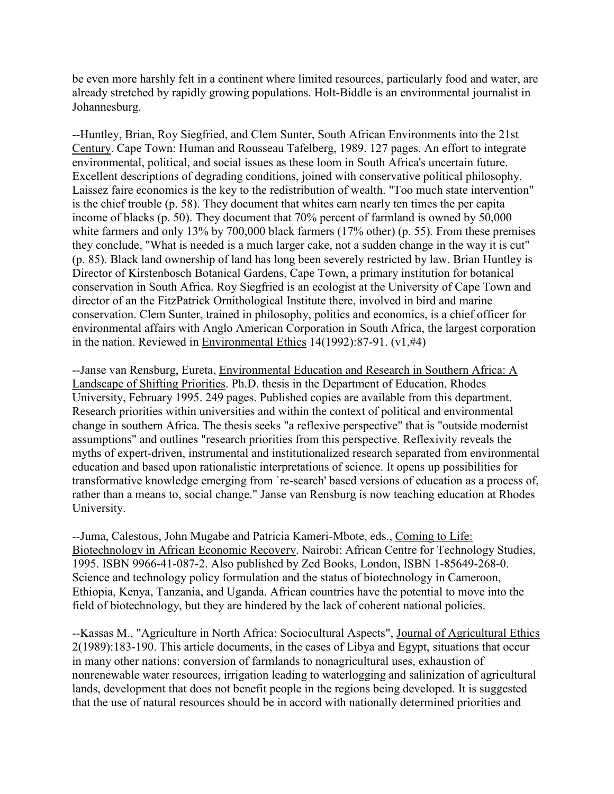be even more harshly felt in a continent where limited resources, particularly food and water, are already stretched by rapidly growing populations. Holt-Biddle is an environmental journalist in Johannesburg.

--Huntley, Brian, Roy Siegfried, and Clem Sunter, South African Environments into the 21st Century. Cape Town: Human and Rousseau Tafelberg, 1989. 127 pages. An effort to integrate environmental, political, and social issues as these loom in South Africa's uncertain future. Excellent descriptions of degrading conditions, joined with conservative political philosophy. Laissez faire economics is the key to the redistribution of wealth. "Too much state intervention" is the chief trouble (p. 58). They document that whites earn nearly ten times the per capita income of blacks (p. 50). They document that 70% percent of farmland is owned by 50,000 white farmers and only 13% by 700,000 black farmers (17% other) (p. 55). From these premises they conclude, "What is needed is a much larger cake, not a sudden change in the way it is cut" (p. 85). Black land ownership of land has long been severely restricted by law. Brian Huntley is Director of Kirstenbosch Botanical Gardens, Cape Town, a primary institution for botanical conservation in South Africa. Roy Siegfried is an ecologist at the University of Cape Town and director of an the FitzPatrick Ornithological Institute there, involved in bird and marine conservation. Clem Sunter, trained in philosophy, politics and economics, is a chief officer for environmental affairs with Anglo American Corporation in South Africa, the largest corporation in the nation. Reviewed in Environmental Ethics 14(1992):87-91. (v1,#4)

--Janse van Rensburg, Eureta, Environmental Education and Research in Southern Africa: A Landscape of Shifting Priorities. Ph.D. thesis in the Department of Education, Rhodes University, February 1995. 249 pages. Published copies are available from this department. Research priorities within universities and within the context of political and environmental change in southern Africa. The thesis seeks "a reflexive perspective" that is "outside modernist assumptions" and outlines "research priorities from this perspective. Reflexivity reveals the myths of expert-driven, instrumental and institutionalized research separated from environmental education and based upon rationalistic interpretations of science. It opens up possibilities for transformative knowledge emerging from `re-search' based versions of education as a process of, rather than a means to, social change." Janse van Rensburg is now teaching education at Rhodes University.

--Juma, Calestous, John Mugabe and Patricia Kameri-Mbote, eds., Coming to Life: Biotechnology in African Economic Recovery. Nairobi: African Centre for Technology Studies, 1995. ISBN 9966-41-087-2. Also published by Zed Books, London, ISBN 1-85649-268-0. Science and technology policy formulation and the status of biotechnology in Cameroon, Ethiopia, Kenya, Tanzania, and Uganda. African countries have the potential to move into the field of biotechnology, but they are hindered by the lack of coherent national policies.

--Kassas M., "Agriculture in North Africa: Sociocultural Aspects", Journal of Agricultural Ethics 2(1989):183-190. This article documents, in the cases of Libya and Egypt, situations that occur in many other nations: conversion of farmlands to nonagricultural uses, exhaustion of nonrenewable water resources, irrigation leading to waterlogging and salinization of agricultural lands, development that does not benefit people in the regions being developed. It is suggested that the use of natural resources should be in accord with nationally determined priorities and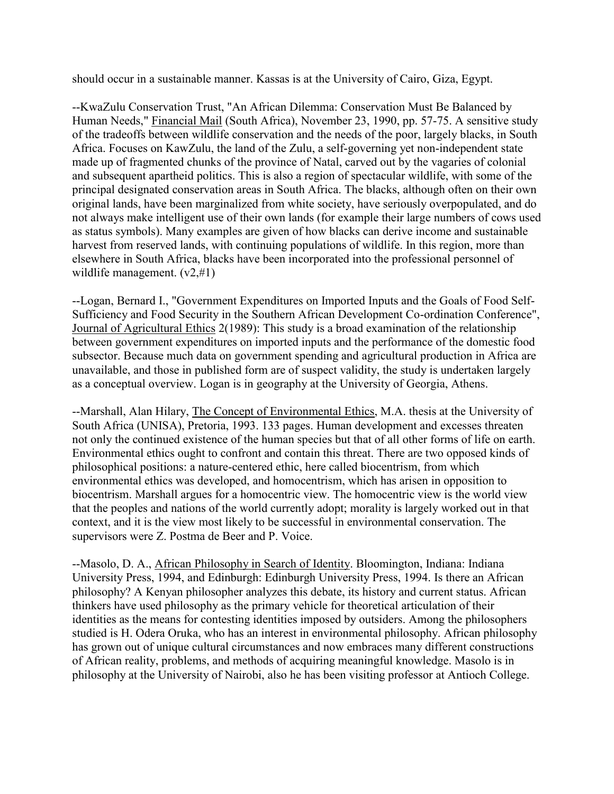should occur in a sustainable manner. Kassas is at the University of Cairo, Giza, Egypt.

--KwaZulu Conservation Trust, "An African Dilemma: Conservation Must Be Balanced by Human Needs," Financial Mail (South Africa), November 23, 1990, pp. 57-75. A sensitive study of the tradeoffs between wildlife conservation and the needs of the poor, largely blacks, in South Africa. Focuses on KawZulu, the land of the Zulu, a self-governing yet non-independent state made up of fragmented chunks of the province of Natal, carved out by the vagaries of colonial and subsequent apartheid politics. This is also a region of spectacular wildlife, with some of the principal designated conservation areas in South Africa. The blacks, although often on their own original lands, have been marginalized from white society, have seriously overpopulated, and do not always make intelligent use of their own lands (for example their large numbers of cows used as status symbols). Many examples are given of how blacks can derive income and sustainable harvest from reserved lands, with continuing populations of wildlife. In this region, more than elsewhere in South Africa, blacks have been incorporated into the professional personnel of wildlife management.  $(v2,\#1)$ 

--Logan, Bernard I., "Government Expenditures on Imported Inputs and the Goals of Food Self-Sufficiency and Food Security in the Southern African Development Co-ordination Conference", Journal of Agricultural Ethics 2(1989): This study is a broad examination of the relationship between government expenditures on imported inputs and the performance of the domestic food subsector. Because much data on government spending and agricultural production in Africa are unavailable, and those in published form are of suspect validity, the study is undertaken largely as a conceptual overview. Logan is in geography at the University of Georgia, Athens.

--Marshall, Alan Hilary, The Concept of Environmental Ethics, M.A. thesis at the University of South Africa (UNISA), Pretoria, 1993. 133 pages. Human development and excesses threaten not only the continued existence of the human species but that of all other forms of life on earth. Environmental ethics ought to confront and contain this threat. There are two opposed kinds of philosophical positions: a nature-centered ethic, here called biocentrism, from which environmental ethics was developed, and homocentrism, which has arisen in opposition to biocentrism. Marshall argues for a homocentric view. The homocentric view is the world view that the peoples and nations of the world currently adopt; morality is largely worked out in that context, and it is the view most likely to be successful in environmental conservation. The supervisors were Z. Postma de Beer and P. Voice.

--Masolo, D. A., African Philosophy in Search of Identity. Bloomington, Indiana: Indiana University Press, 1994, and Edinburgh: Edinburgh University Press, 1994. Is there an African philosophy? A Kenyan philosopher analyzes this debate, its history and current status. African thinkers have used philosophy as the primary vehicle for theoretical articulation of their identities as the means for contesting identities imposed by outsiders. Among the philosophers studied is H. Odera Oruka, who has an interest in environmental philosophy. African philosophy has grown out of unique cultural circumstances and now embraces many different constructions of African reality, problems, and methods of acquiring meaningful knowledge. Masolo is in philosophy at the University of Nairobi, also he has been visiting professor at Antioch College.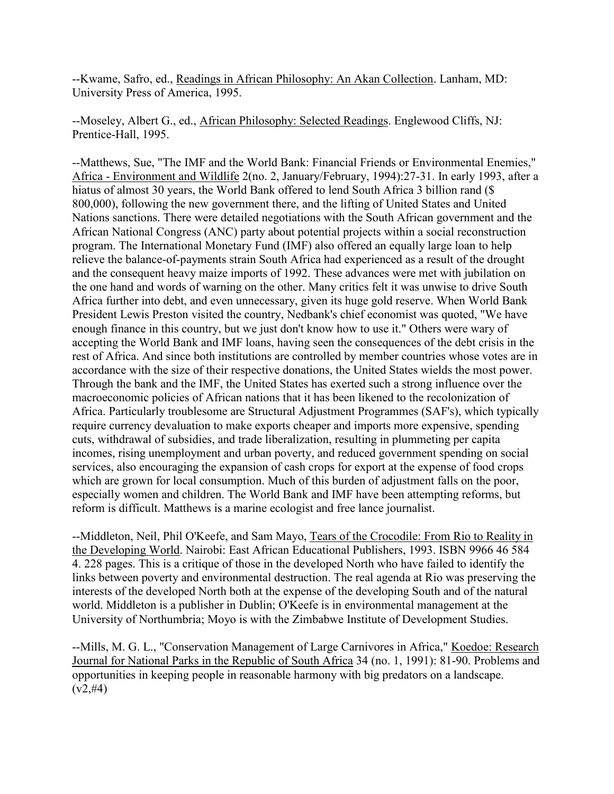--Kwame, Safro, ed., Readings in African Philosophy: An Akan Collection. Lanham, MD: University Press of America, 1995.

--Moseley, Albert G., ed., African Philosophy: Selected Readings. Englewood Cliffs, NJ: Prentice-Hall, 1995.

--Matthews, Sue, "The IMF and the World Bank: Financial Friends or Environmental Enemies," Africa - Environment and Wildlife 2(no. 2, January/February, 1994):27-31. In early 1993, after a hiatus of almost 30 years, the World Bank offered to lend South Africa 3 billion rand (\$ 800,000), following the new government there, and the lifting of United States and United Nations sanctions. There were detailed negotiations with the South African government and the African National Congress (ANC) party about potential projects within a social reconstruction program. The International Monetary Fund (IMF) also offered an equally large loan to help relieve the balance-of-payments strain South Africa had experienced as a result of the drought and the consequent heavy maize imports of 1992. These advances were met with jubilation on the one hand and words of warning on the other. Many critics felt it was unwise to drive South Africa further into debt, and even unnecessary, given its huge gold reserve. When World Bank President Lewis Preston visited the country, Nedbank's chief economist was quoted, "We have enough finance in this country, but we just don't know how to use it." Others were wary of accepting the World Bank and IMF loans, having seen the consequences of the debt crisis in the rest of Africa. And since both institutions are controlled by member countries whose votes are in accordance with the size of their respective donations, the United States wields the most power. Through the bank and the IMF, the United States has exerted such a strong influence over the macroeconomic policies of African nations that it has been likened to the recolonization of Africa. Particularly troublesome are Structural Adjustment Programmes (SAF's), which typically require currency devaluation to make exports cheaper and imports more expensive, spending cuts, withdrawal of subsidies, and trade liberalization, resulting in plummeting per capita incomes, rising unemployment and urban poverty, and reduced government spending on social services, also encouraging the expansion of cash crops for export at the expense of food crops which are grown for local consumption. Much of this burden of adjustment falls on the poor, especially women and children. The World Bank and IMF have been attempting reforms, but reform is difficult. Matthews is a marine ecologist and free lance journalist.

--Middleton, Neil, Phil O'Keefe, and Sam Mayo, Tears of the Crocodile: From Rio to Reality in the Developing World. Nairobi: East African Educational Publishers, 1993. ISBN 9966 46 584 4. 228 pages. This is a critique of those in the developed North who have failed to identify the links between poverty and environmental destruction. The real agenda at Rio was preserving the interests of the developed North both at the expense of the developing South and of the natural world. Middleton is a publisher in Dublin; O'Keefe is in environmental management at the University of Northumbria; Moyo is with the Zimbabwe Institute of Development Studies.

--Mills, M. G. L., "Conservation Management of Large Carnivores in Africa," Koedoe: Research Journal for National Parks in the Republic of South Africa 34 (no. 1, 1991): 81-90. Problems and opportunities in keeping people in reasonable harmony with big predators on a landscape.  $(v2, #4)$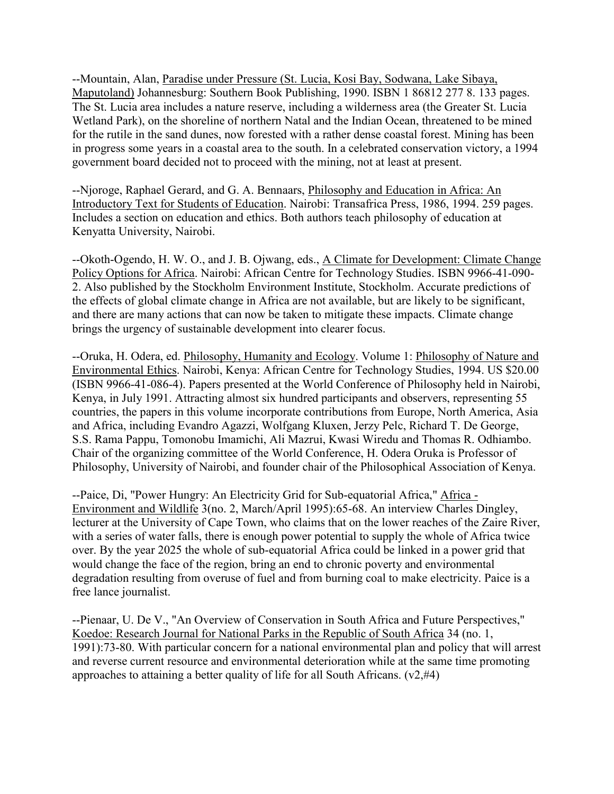--Mountain, Alan, Paradise under Pressure (St. Lucia, Kosi Bay, Sodwana, Lake Sibaya, Maputoland) Johannesburg: Southern Book Publishing, 1990. ISBN 1 86812 277 8. 133 pages. The St. Lucia area includes a nature reserve, including a wilderness area (the Greater St. Lucia Wetland Park), on the shoreline of northern Natal and the Indian Ocean, threatened to be mined for the rutile in the sand dunes, now forested with a rather dense coastal forest. Mining has been in progress some years in a coastal area to the south. In a celebrated conservation victory, a 1994 government board decided not to proceed with the mining, not at least at present.

--Njoroge, Raphael Gerard, and G. A. Bennaars, Philosophy and Education in Africa: An Introductory Text for Students of Education. Nairobi: Transafrica Press, 1986, 1994. 259 pages. Includes a section on education and ethics. Both authors teach philosophy of education at Kenyatta University, Nairobi.

--Okoth-Ogendo, H. W. O., and J. B. Ojwang, eds., A Climate for Development: Climate Change Policy Options for Africa. Nairobi: African Centre for Technology Studies. ISBN 9966-41-090- 2. Also published by the Stockholm Environment Institute, Stockholm. Accurate predictions of the effects of global climate change in Africa are not available, but are likely to be significant, and there are many actions that can now be taken to mitigate these impacts. Climate change brings the urgency of sustainable development into clearer focus.

--Oruka, H. Odera, ed. Philosophy, Humanity and Ecology. Volume 1: Philosophy of Nature and Environmental Ethics. Nairobi, Kenya: African Centre for Technology Studies, 1994. US \$20.00 (ISBN 9966-41-086-4). Papers presented at the World Conference of Philosophy held in Nairobi, Kenya, in July 1991. Attracting almost six hundred participants and observers, representing 55 countries, the papers in this volume incorporate contributions from Europe, North America, Asia and Africa, including Evandro Agazzi, Wolfgang Kluxen, Jerzy Pelc, Richard T. De George, S.S. Rama Pappu, Tomonobu Imamichi, Ali Mazrui, Kwasi Wiredu and Thomas R. Odhiambo. Chair of the organizing committee of the World Conference, H. Odera Oruka is Professor of Philosophy, University of Nairobi, and founder chair of the Philosophical Association of Kenya.

--Paice, Di, "Power Hungry: An Electricity Grid for Sub-equatorial Africa," Africa - Environment and Wildlife 3(no. 2, March/April 1995):65-68. An interview Charles Dingley, lecturer at the University of Cape Town, who claims that on the lower reaches of the Zaire River, with a series of water falls, there is enough power potential to supply the whole of Africa twice over. By the year 2025 the whole of sub-equatorial Africa could be linked in a power grid that would change the face of the region, bring an end to chronic poverty and environmental degradation resulting from overuse of fuel and from burning coal to make electricity. Paice is a free lance journalist.

--Pienaar, U. De V., "An Overview of Conservation in South Africa and Future Perspectives," Koedoe: Research Journal for National Parks in the Republic of South Africa 34 (no. 1, 1991):73-80. With particular concern for a national environmental plan and policy that will arrest and reverse current resource and environmental deterioration while at the same time promoting approaches to attaining a better quality of life for all South Africans.  $(v2, #4)$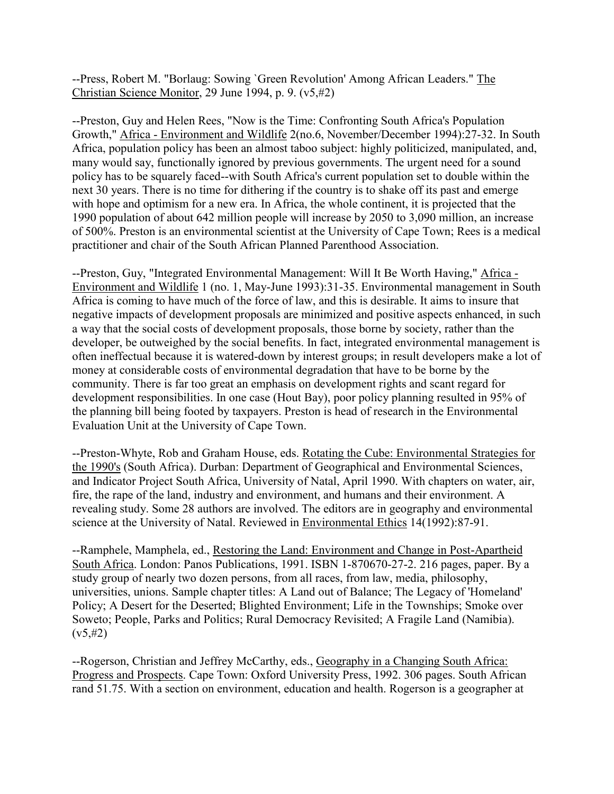--Press, Robert M. "Borlaug: Sowing `Green Revolution' Among African Leaders." The Christian Science Monitor, 29 June 1994, p. 9. (v5,#2)

--Preston, Guy and Helen Rees, "Now is the Time: Confronting South Africa's Population Growth," Africa - Environment and Wildlife 2(no.6, November/December 1994):27-32. In South Africa, population policy has been an almost taboo subject: highly politicized, manipulated, and, many would say, functionally ignored by previous governments. The urgent need for a sound policy has to be squarely faced--with South Africa's current population set to double within the next 30 years. There is no time for dithering if the country is to shake off its past and emerge with hope and optimism for a new era. In Africa, the whole continent, it is projected that the 1990 population of about 642 million people will increase by 2050 to 3,090 million, an increase of 500%. Preston is an environmental scientist at the University of Cape Town; Rees is a medical practitioner and chair of the South African Planned Parenthood Association.

--Preston, Guy, "Integrated Environmental Management: Will It Be Worth Having," Africa - Environment and Wildlife 1 (no. 1, May-June 1993):31-35. Environmental management in South Africa is coming to have much of the force of law, and this is desirable. It aims to insure that negative impacts of development proposals are minimized and positive aspects enhanced, in such a way that the social costs of development proposals, those borne by society, rather than the developer, be outweighed by the social benefits. In fact, integrated environmental management is often ineffectual because it is watered-down by interest groups; in result developers make a lot of money at considerable costs of environmental degradation that have to be borne by the community. There is far too great an emphasis on development rights and scant regard for development responsibilities. In one case (Hout Bay), poor policy planning resulted in 95% of the planning bill being footed by taxpayers. Preston is head of research in the Environmental Evaluation Unit at the University of Cape Town.

--Preston-Whyte, Rob and Graham House, eds. Rotating the Cube: Environmental Strategies for the 1990's (South Africa). Durban: Department of Geographical and Environmental Sciences, and Indicator Project South Africa, University of Natal, April 1990. With chapters on water, air, fire, the rape of the land, industry and environment, and humans and their environment. A revealing study. Some 28 authors are involved. The editors are in geography and environmental science at the University of Natal. Reviewed in Environmental Ethics 14(1992):87-91.

--Ramphele, Mamphela, ed., Restoring the Land: Environment and Change in Post-Apartheid South Africa. London: Panos Publications, 1991. ISBN 1-870670-27-2. 216 pages, paper. By a study group of nearly two dozen persons, from all races, from law, media, philosophy, universities, unions. Sample chapter titles: A Land out of Balance; The Legacy of 'Homeland' Policy; A Desert for the Deserted; Blighted Environment; Life in the Townships; Smoke over Soweto; People, Parks and Politics; Rural Democracy Revisited; A Fragile Land (Namibia).  $(v5, #2)$ 

--Rogerson, Christian and Jeffrey McCarthy, eds., Geography in a Changing South Africa: Progress and Prospects. Cape Town: Oxford University Press, 1992. 306 pages. South African rand 51.75. With a section on environment, education and health. Rogerson is a geographer at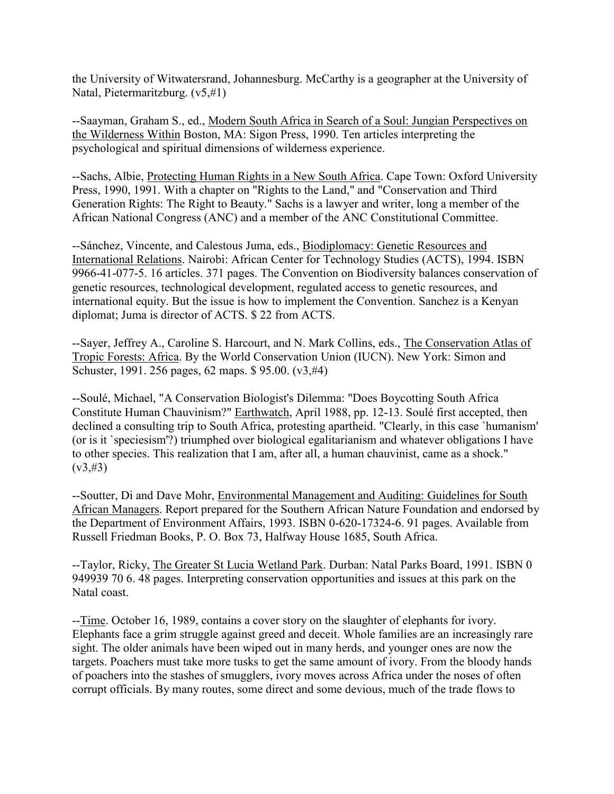the University of Witwatersrand, Johannesburg. McCarthy is a geographer at the University of Natal, Pietermaritzburg. (v5,#1)

--Saayman, Graham S., ed., Modern South Africa in Search of a Soul: Jungian Perspectives on the Wilderness Within Boston, MA: Sigon Press, 1990. Ten articles interpreting the psychological and spiritual dimensions of wilderness experience.

--Sachs, Albie, Protecting Human Rights in a New South Africa. Cape Town: Oxford University Press, 1990, 1991. With a chapter on "Rights to the Land," and "Conservation and Third Generation Rights: The Right to Beauty." Sachs is a lawyer and writer, long a member of the African National Congress (ANC) and a member of the ANC Constitutional Committee.

--Sánchez, Vincente, and Calestous Juma, eds., Biodiplomacy: Genetic Resources and International Relations. Nairobi: African Center for Technology Studies (ACTS), 1994. ISBN 9966-41-077-5. 16 articles. 371 pages. The Convention on Biodiversity balances conservation of genetic resources, technological development, regulated access to genetic resources, and international equity. But the issue is how to implement the Convention. Sanchez is a Kenyan diplomat; Juma is director of ACTS. \$ 22 from ACTS.

--Sayer, Jeffrey A., Caroline S. Harcourt, and N. Mark Collins, eds., The Conservation Atlas of Tropic Forests: Africa. By the World Conservation Union (IUCN). New York: Simon and Schuster, 1991. 256 pages, 62 maps. \$ 95.00. (v3,#4)

--Soulé, Michael, "A Conservation Biologist's Dilemma: "Does Boycotting South Africa Constitute Human Chauvinism?" Earthwatch, April 1988, pp. 12-13. Soulé first accepted, then declined a consulting trip to South Africa, protesting apartheid. "Clearly, in this case `humanism' (or is it `speciesism'?) triumphed over biological egalitarianism and whatever obligations I have to other species. This realization that I am, after all, a human chauvinist, came as a shock."  $(v3, #3)$ 

--Soutter, Di and Dave Mohr, Environmental Management and Auditing: Guidelines for South African Managers. Report prepared for the Southern African Nature Foundation and endorsed by the Department of Environment Affairs, 1993. ISBN 0-620-17324-6. 91 pages. Available from Russell Friedman Books, P. O. Box 73, Halfway House 1685, South Africa.

--Taylor, Ricky, The Greater St Lucia Wetland Park. Durban: Natal Parks Board, 1991. ISBN 0 949939 70 6. 48 pages. Interpreting conservation opportunities and issues at this park on the Natal coast.

--Time. October 16, 1989, contains a cover story on the slaughter of elephants for ivory. Elephants face a grim struggle against greed and deceit. Whole families are an increasingly rare sight. The older animals have been wiped out in many herds, and younger ones are now the targets. Poachers must take more tusks to get the same amount of ivory. From the bloody hands of poachers into the stashes of smugglers, ivory moves across Africa under the noses of often corrupt officials. By many routes, some direct and some devious, much of the trade flows to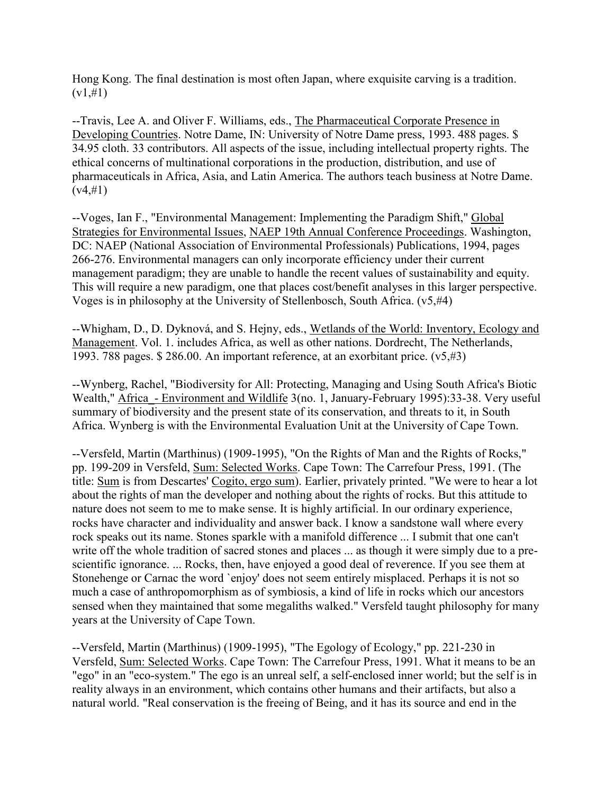Hong Kong. The final destination is most often Japan, where exquisite carving is a tradition.  $(v1, #1)$ 

--Travis, Lee A. and Oliver F. Williams, eds., The Pharmaceutical Corporate Presence in Developing Countries. Notre Dame, IN: University of Notre Dame press, 1993. 488 pages. \$ 34.95 cloth. 33 contributors. All aspects of the issue, including intellectual property rights. The ethical concerns of multinational corporations in the production, distribution, and use of pharmaceuticals in Africa, Asia, and Latin America. The authors teach business at Notre Dame.  $(v4,\#1)$ 

--Voges, Ian F., "Environmental Management: Implementing the Paradigm Shift," Global Strategies for Environmental Issues, NAEP 19th Annual Conference Proceedings. Washington, DC: NAEP (National Association of Environmental Professionals) Publications, 1994, pages 266-276. Environmental managers can only incorporate efficiency under their current management paradigm; they are unable to handle the recent values of sustainability and equity. This will require a new paradigm, one that places cost/benefit analyses in this larger perspective. Voges is in philosophy at the University of Stellenbosch, South Africa. (v5,#4)

--Whigham, D., D. Dyknová, and S. Hejny, eds., Wetlands of the World: Inventory, Ecology and Management. Vol. 1. includes Africa, as well as other nations. Dordrecht, The Netherlands, 1993. 788 pages. \$ 286.00. An important reference, at an exorbitant price. (v5,#3)

--Wynberg, Rachel, "Biodiversity for All: Protecting, Managing and Using South Africa's Biotic Wealth," Africa - Environment and Wildlife 3(no. 1, January-February 1995):33-38. Very useful summary of biodiversity and the present state of its conservation, and threats to it, in South Africa. Wynberg is with the Environmental Evaluation Unit at the University of Cape Town.

--Versfeld, Martin (Marthinus) (1909-1995), "On the Rights of Man and the Rights of Rocks," pp. 199-209 in Versfeld, Sum: Selected Works. Cape Town: The Carrefour Press, 1991. (The title: Sum is from Descartes' Cogito, ergo sum). Earlier, privately printed. "We were to hear a lot about the rights of man the developer and nothing about the rights of rocks. But this attitude to nature does not seem to me to make sense. It is highly artificial. In our ordinary experience, rocks have character and individuality and answer back. I know a sandstone wall where every rock speaks out its name. Stones sparkle with a manifold difference ... I submit that one can't write off the whole tradition of sacred stones and places ... as though it were simply due to a prescientific ignorance. ... Rocks, then, have enjoyed a good deal of reverence. If you see them at Stonehenge or Carnac the word `enjoy' does not seem entirely misplaced. Perhaps it is not so much a case of anthropomorphism as of symbiosis, a kind of life in rocks which our ancestors sensed when they maintained that some megaliths walked." Versfeld taught philosophy for many years at the University of Cape Town.

--Versfeld, Martin (Marthinus) (1909-1995), "The Egology of Ecology," pp. 221-230 in Versfeld, Sum: Selected Works. Cape Town: The Carrefour Press, 1991. What it means to be an "ego" in an "eco-system." The ego is an unreal self, a self-enclosed inner world; but the self is in reality always in an environment, which contains other humans and their artifacts, but also a natural world. "Real conservation is the freeing of Being, and it has its source and end in the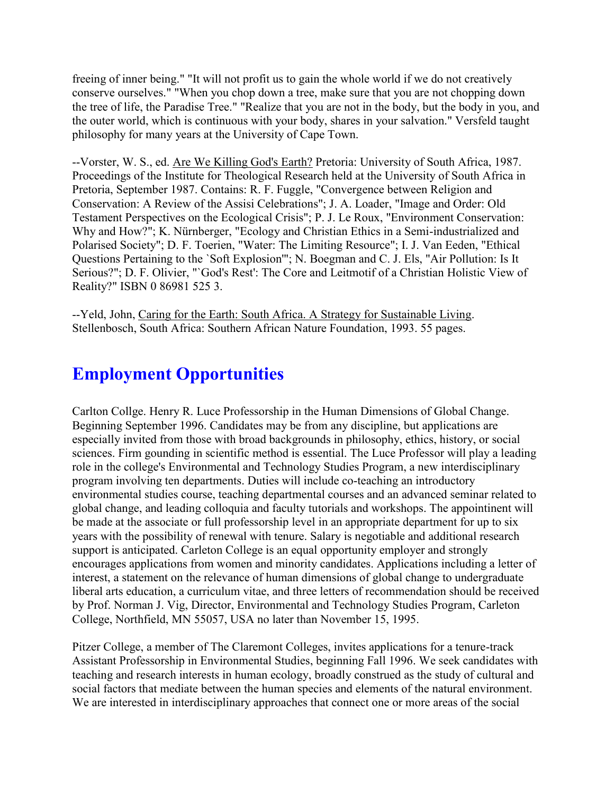freeing of inner being." "It will not profit us to gain the whole world if we do not creatively conserve ourselves." "When you chop down a tree, make sure that you are not chopping down the tree of life, the Paradise Tree." "Realize that you are not in the body, but the body in you, and the outer world, which is continuous with your body, shares in your salvation." Versfeld taught philosophy for many years at the University of Cape Town.

--Vorster, W. S., ed. Are We Killing God's Earth? Pretoria: University of South Africa, 1987. Proceedings of the Institute for Theological Research held at the University of South Africa in Pretoria, September 1987. Contains: R. F. Fuggle, "Convergence between Religion and Conservation: A Review of the Assisi Celebrations"; J. A. Loader, "Image and Order: Old Testament Perspectives on the Ecological Crisis"; P. J. Le Roux, "Environment Conservation: Why and How?"; K. Nürnberger, "Ecology and Christian Ethics in a Semi-industrialized and Polarised Society"; D. F. Toerien, "Water: The Limiting Resource"; I. J. Van Eeden, "Ethical Questions Pertaining to the `Soft Explosion'"; N. Boegman and C. J. Els, "Air Pollution: Is It Serious?"; D. F. Olivier, "`God's Rest': The Core and Leitmotif of a Christian Holistic View of Reality?" ISBN 0 86981 525 3.

--Yeld, John, Caring for the Earth: South Africa. A Strategy for Sustainable Living. Stellenbosch, South Africa: Southern African Nature Foundation, 1993. 55 pages.

# **Employment Opportunities**

Carlton Collge. Henry R. Luce Professorship in the Human Dimensions of Global Change. Beginning September 1996. Candidates may be from any discipline, but applications are especially invited from those with broad backgrounds in philosophy, ethics, history, or social sciences. Firm gounding in scientific method is essential. The Luce Professor will play a leading role in the college's Environmental and Technology Studies Program, a new interdisciplinary program involving ten departments. Duties will include co-teaching an introductory environmental studies course, teaching departmental courses and an advanced seminar related to global change, and leading colloquia and faculty tutorials and workshops. The appointinent will be made at the associate or full professorship level in an appropriate department for up to six years with the possibility of renewal with tenure. Salary is negotiable and additional research support is anticipated. Carleton College is an equal opportunity employer and strongly encourages applications from women and minority candidates. Applications including a letter of interest, a statement on the relevance of human dimensions of global change to undergraduate liberal arts education, a curriculum vitae, and three letters of recommendation should be received by Prof. Norman J. Vig, Director, Environmental and Technology Studies Program, Carleton College, Northfield, MN 55057, USA no later than November 15, 1995.

Pitzer College, a member of The Claremont Colleges, invites applications for a tenure-track Assistant Professorship in Environmental Studies, beginning Fall 1996. We seek candidates with teaching and research interests in human ecology, broadly construed as the study of cultural and social factors that mediate between the human species and elements of the natural environment. We are interested in interdisciplinary approaches that connect one or more areas of the social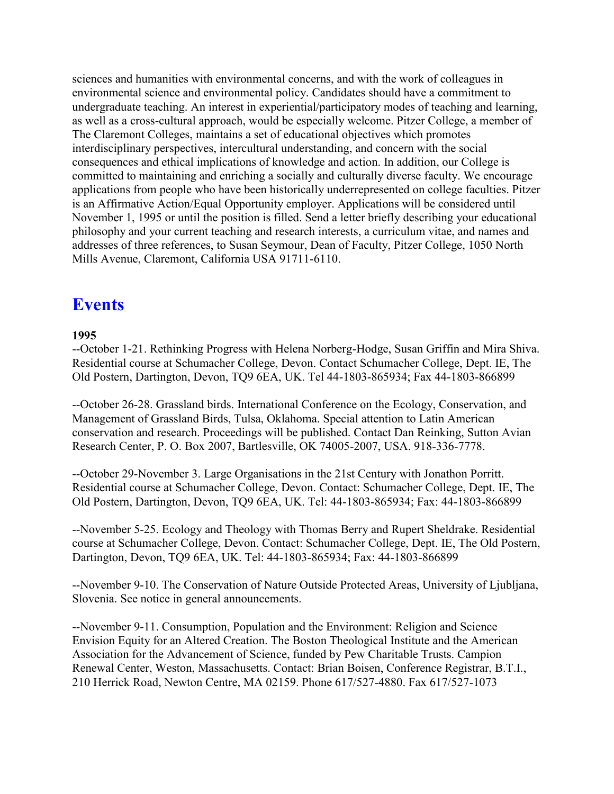sciences and humanities with environmental concerns, and with the work of colleagues in environmental science and environmental policy. Candidates should have a commitment to undergraduate teaching. An interest in experiential/participatory modes of teaching and learning, as well as a cross-cultural approach, would be especially welcome. Pitzer College, a member of The Claremont Colleges, maintains a set of educational objectives which promotes interdisciplinary perspectives, intercultural understanding, and concern with the social consequences and ethical implications of knowledge and action. In addition, our College is committed to maintaining and enriching a socially and culturally diverse faculty. We encourage applications from people who have been historically underrepresented on college faculties. Pitzer is an Affirmative Action/Equal Opportunity employer. Applications will be considered until November 1, 1995 or until the position is filled. Send a letter briefly describing your educational philosophy and your current teaching and research interests, a curriculum vitae, and names and addresses of three references, to Susan Seymour, Dean of Faculty, Pitzer College, 1050 North Mills Avenue, Claremont, California USA 91711-6110.

### **Events**

#### **1995**

--October 1-21. Rethinking Progress with Helena Norberg-Hodge, Susan Griffin and Mira Shiva. Residential course at Schumacher College, Devon. Contact Schumacher College, Dept. IE, The Old Postern, Dartington, Devon, TQ9 6EA, UK. Tel 44-1803-865934; Fax 44-1803-866899

--October 26-28. Grassland birds. International Conference on the Ecology, Conservation, and Management of Grassland Birds, Tulsa, Oklahoma. Special attention to Latin American conservation and research. Proceedings will be published. Contact Dan Reinking, Sutton Avian Research Center, P. O. Box 2007, Bartlesville, OK 74005-2007, USA. 918-336-7778.

--October 29-November 3. Large Organisations in the 21st Century with Jonathon Porritt. Residential course at Schumacher College, Devon. Contact: Schumacher College, Dept. IE, The Old Postern, Dartington, Devon, TQ9 6EA, UK. Tel: 44-1803-865934; Fax: 44-1803-866899

--November 5-25. Ecology and Theology with Thomas Berry and Rupert Sheldrake. Residential course at Schumacher College, Devon. Contact: Schumacher College, Dept. IE, The Old Postern, Dartington, Devon, TQ9 6EA, UK. Tel: 44-1803-865934; Fax: 44-1803-866899

--November 9-10. The Conservation of Nature Outside Protected Areas, University of Ljubljana, Slovenia. See notice in general announcements.

--November 9-11. Consumption, Population and the Environment: Religion and Science Envision Equity for an Altered Creation. The Boston Theological Institute and the American Association for the Advancement of Science, funded by Pew Charitable Trusts. Campion Renewal Center, Weston, Massachusetts. Contact: Brian Boisen, Conference Registrar, B.T.I., 210 Herrick Road, Newton Centre, MA 02159. Phone 617/527-4880. Fax 617/527-1073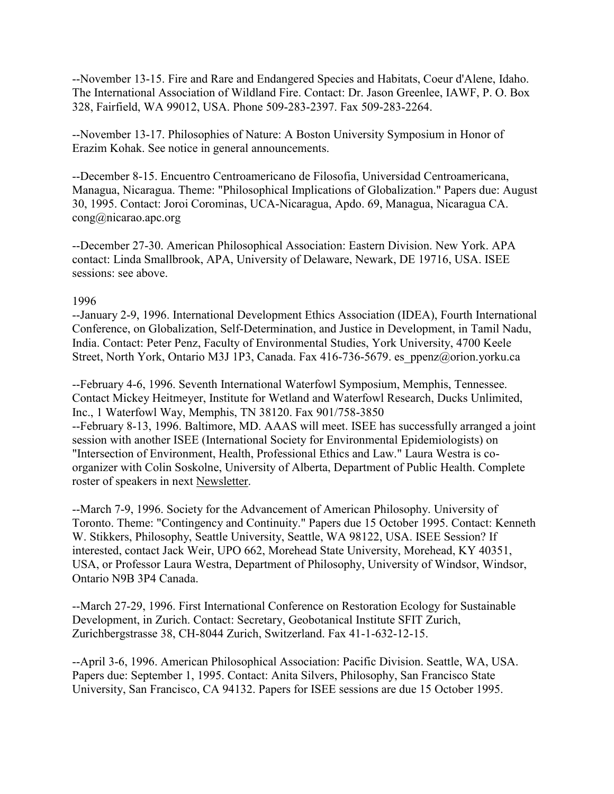--November 13-15. Fire and Rare and Endangered Species and Habitats, Coeur d'Alene, Idaho. The International Association of Wildland Fire. Contact: Dr. Jason Greenlee, IAWF, P. O. Box 328, Fairfield, WA 99012, USA. Phone 509-283-2397. Fax 509-283-2264.

--November 13-17. Philosophies of Nature: A Boston University Symposium in Honor of Erazim Kohak. See notice in general announcements.

--December 8-15. Encuentro Centroamericano de Filosofia, Universidad Centroamericana, Managua, Nicaragua. Theme: "Philosophical Implications of Globalization." Papers due: August 30, 1995. Contact: Joroi Corominas, UCA-Nicaragua, Apdo. 69, Managua, Nicaragua CA. cong@nicarao.apc.org

--December 27-30. American Philosophical Association: Eastern Division. New York. APA contact: Linda Smallbrook, APA, University of Delaware, Newark, DE 19716, USA. ISEE sessions: see above.

#### 1996

--January 2-9, 1996. International Development Ethics Association (IDEA), Fourth International Conference, on Globalization, Self-Determination, and Justice in Development, in Tamil Nadu, India. Contact: Peter Penz, Faculty of Environmental Studies, York University, 4700 Keele Street, North York, Ontario M3J 1P3, Canada. Fax 416-736-5679. es\_ppenz@orion.yorku.ca

--February 4-6, 1996. Seventh International Waterfowl Symposium, Memphis, Tennessee. Contact Mickey Heitmeyer, Institute for Wetland and Waterfowl Research, Ducks Unlimited, Inc., 1 Waterfowl Way, Memphis, TN 38120. Fax 901/758-3850 --February 8-13, 1996. Baltimore, MD. AAAS will meet. ISEE has successfully arranged a joint session with another ISEE (International Society for Environmental Epidemiologists) on "Intersection of Environment, Health, Professional Ethics and Law." Laura Westra is coorganizer with Colin Soskolne, University of Alberta, Department of Public Health. Complete roster of speakers in next Newsletter.

--March 7-9, 1996. Society for the Advancement of American Philosophy. University of Toronto. Theme: "Contingency and Continuity." Papers due 15 October 1995. Contact: Kenneth W. Stikkers, Philosophy, Seattle University, Seattle, WA 98122, USA. ISEE Session? If interested, contact Jack Weir, UPO 662, Morehead State University, Morehead, KY 40351, USA, or Professor Laura Westra, Department of Philosophy, University of Windsor, Windsor, Ontario N9B 3P4 Canada.

--March 27-29, 1996. First International Conference on Restoration Ecology for Sustainable Development, in Zurich. Contact: Secretary, Geobotanical Institute SFIT Zurich, Zurichbergstrasse 38, CH-8044 Zurich, Switzerland. Fax 41-1-632-12-15.

--April 3-6, 1996. American Philosophical Association: Pacific Division. Seattle, WA, USA. Papers due: September 1, 1995. Contact: Anita Silvers, Philosophy, San Francisco State University, San Francisco, CA 94132. Papers for ISEE sessions are due 15 October 1995.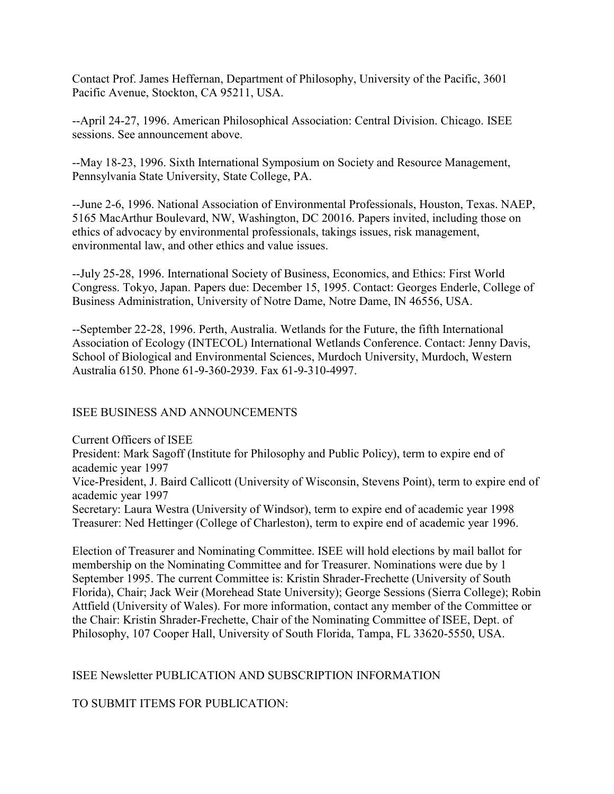Contact Prof. James Heffernan, Department of Philosophy, University of the Pacific, 3601 Pacific Avenue, Stockton, CA 95211, USA.

--April 24-27, 1996. American Philosophical Association: Central Division. Chicago. ISEE sessions. See announcement above.

--May 18-23, 1996. Sixth International Symposium on Society and Resource Management, Pennsylvania State University, State College, PA.

--June 2-6, 1996. National Association of Environmental Professionals, Houston, Texas. NAEP, 5165 MacArthur Boulevard, NW, Washington, DC 20016. Papers invited, including those on ethics of advocacy by environmental professionals, takings issues, risk management, environmental law, and other ethics and value issues.

--July 25-28, 1996. International Society of Business, Economics, and Ethics: First World Congress. Tokyo, Japan. Papers due: December 15, 1995. Contact: Georges Enderle, College of Business Administration, University of Notre Dame, Notre Dame, IN 46556, USA.

--September 22-28, 1996. Perth, Australia. Wetlands for the Future, the fifth International Association of Ecology (INTECOL) International Wetlands Conference. Contact: Jenny Davis, School of Biological and Environmental Sciences, Murdoch University, Murdoch, Western Australia 6150. Phone 61-9-360-2939. Fax 61-9-310-4997.

### ISEE BUSINESS AND ANNOUNCEMENTS

Current Officers of ISEE President: Mark Sagoff (Institute for Philosophy and Public Policy), term to expire end of academic year 1997 Vice-President, J. Baird Callicott (University of Wisconsin, Stevens Point), term to expire end of academic year 1997 Secretary: Laura Westra (University of Windsor), term to expire end of academic year 1998 Treasurer: Ned Hettinger (College of Charleston), term to expire end of academic year 1996.

Election of Treasurer and Nominating Committee. ISEE will hold elections by mail ballot for membership on the Nominating Committee and for Treasurer. Nominations were due by 1 September 1995. The current Committee is: Kristin Shrader-Frechette (University of South Florida), Chair; Jack Weir (Morehead State University); George Sessions (Sierra College); Robin Attfield (University of Wales). For more information, contact any member of the Committee or the Chair: Kristin Shrader-Frechette, Chair of the Nominating Committee of ISEE, Dept. of Philosophy, 107 Cooper Hall, University of South Florida, Tampa, FL 33620-5550, USA.

### ISEE Newsletter PUBLICATION AND SUBSCRIPTION INFORMATION

TO SUBMIT ITEMS FOR PUBLICATION: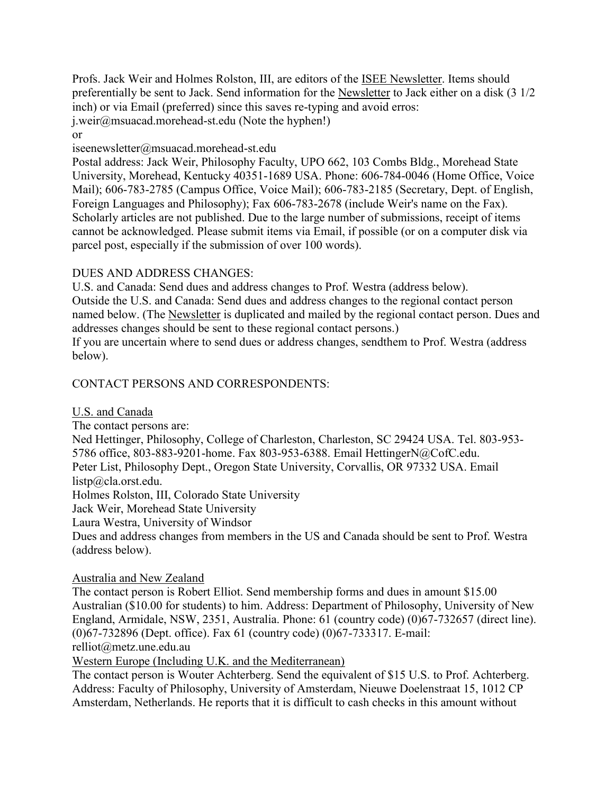Profs. Jack Weir and Holmes Rolston, III, are editors of the ISEE Newsletter. Items should preferentially be sent to Jack. Send information for the Newsletter to Jack either on a disk (3 1/2 inch) or via Email (preferred) since this saves re-typing and avoid erros: j.weir@msuacad.morehead-st.edu (Note the hyphen!)

or

iseenewsletter@msuacad.morehead-st.edu

Postal address: Jack Weir, Philosophy Faculty, UPO 662, 103 Combs Bldg., Morehead State University, Morehead, Kentucky 40351-1689 USA. Phone: 606-784-0046 (Home Office, Voice Mail); 606-783-2785 (Campus Office, Voice Mail); 606-783-2185 (Secretary, Dept. of English, Foreign Languages and Philosophy); Fax 606-783-2678 (include Weir's name on the Fax). Scholarly articles are not published. Due to the large number of submissions, receipt of items cannot be acknowledged. Please submit items via Email, if possible (or on a computer disk via parcel post, especially if the submission of over 100 words).

#### DUES AND ADDRESS CHANGES:

U.S. and Canada: Send dues and address changes to Prof. Westra (address below). Outside the U.S. and Canada: Send dues and address changes to the regional contact person named below. (The Newsletter is duplicated and mailed by the regional contact person. Dues and addresses changes should be sent to these regional contact persons.) If you are uncertain where to send dues or address changes, sendthem to Prof. Westra (address below).

### CONTACT PERSONS AND CORRESPONDENTS:

U.S. and Canada

The contact persons are:

Ned Hettinger, Philosophy, College of Charleston, Charleston, SC 29424 USA. Tel. 803-953- 5786 office, 803-883-9201-home. Fax 803-953-6388. Email HettingerN@CofC.edu. Peter List, Philosophy Dept., Oregon State University, Corvallis, OR 97332 USA. Email listp@cla.orst.edu.

Holmes Rolston, III, Colorado State University

Jack Weir, Morehead State University

Laura Westra, University of Windsor

Dues and address changes from members in the US and Canada should be sent to Prof. Westra (address below).

#### Australia and New Zealand

The contact person is Robert Elliot. Send membership forms and dues in amount \$15.00 Australian (\$10.00 for students) to him. Address: Department of Philosophy, University of New England, Armidale, NSW, 2351, Australia. Phone: 61 (country code) (0)67-732657 (direct line). (0)67-732896 (Dept. office). Fax 61 (country code) (0)67-733317. E-mail:

relliot@metz.une.edu.au

Western Europe (Including U.K. and the Mediterranean)

The contact person is Wouter Achterberg. Send the equivalent of \$15 U.S. to Prof. Achterberg. Address: Faculty of Philosophy, University of Amsterdam, Nieuwe Doelenstraat 15, 1012 CP Amsterdam, Netherlands. He reports that it is difficult to cash checks in this amount without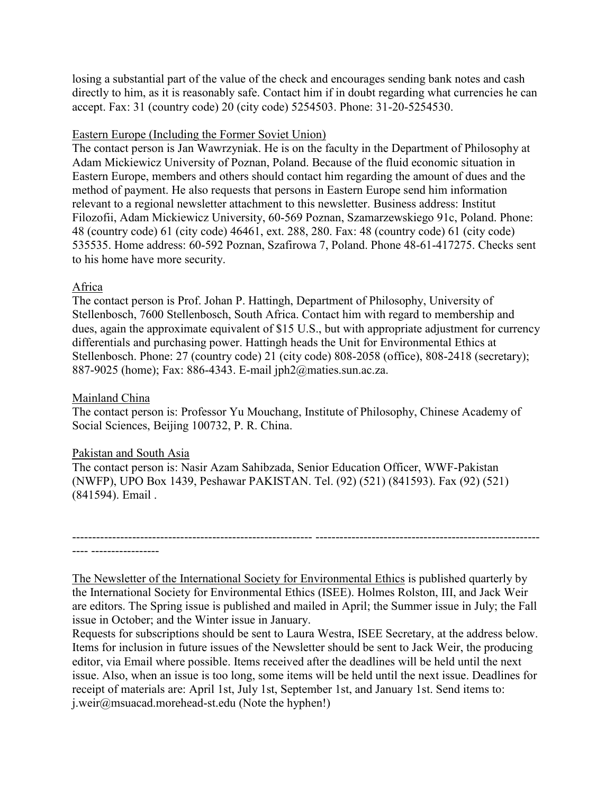losing a substantial part of the value of the check and encourages sending bank notes and cash directly to him, as it is reasonably safe. Contact him if in doubt regarding what currencies he can accept. Fax: 31 (country code) 20 (city code) 5254503. Phone: 31-20-5254530.

#### Eastern Europe (Including the Former Soviet Union)

The contact person is Jan Wawrzyniak. He is on the faculty in the Department of Philosophy at Adam Mickiewicz University of Poznan, Poland. Because of the fluid economic situation in Eastern Europe, members and others should contact him regarding the amount of dues and the method of payment. He also requests that persons in Eastern Europe send him information relevant to a regional newsletter attachment to this newsletter. Business address: Institut Filozofii, Adam Mickiewicz University, 60-569 Poznan, Szamarzewskiego 91c, Poland. Phone: 48 (country code) 61 (city code) 46461, ext. 288, 280. Fax: 48 (country code) 61 (city code) 535535. Home address: 60-592 Poznan, Szafirowa 7, Poland. Phone 48-61-417275. Checks sent to his home have more security.

#### Africa

The contact person is Prof. Johan P. Hattingh, Department of Philosophy, University of Stellenbosch, 7600 Stellenbosch, South Africa. Contact him with regard to membership and dues, again the approximate equivalent of \$15 U.S., but with appropriate adjustment for currency differentials and purchasing power. Hattingh heads the Unit for Environmental Ethics at Stellenbosch. Phone: 27 (country code) 21 (city code) 808-2058 (office), 808-2418 (secretary); 887-9025 (home); Fax: 886-4343. E-mail jph2@maties.sun.ac.za.

#### Mainland China

The contact person is: Professor Yu Mouchang, Institute of Philosophy, Chinese Academy of Social Sciences, Beijing 100732, P. R. China.

#### Pakistan and South Asia

The contact person is: Nasir Azam Sahibzada, Senior Education Officer, WWF-Pakistan (NWFP), UPO Box 1439, Peshawar PAKISTAN. Tel. (92) (521) (841593). Fax (92) (521) (841594). Email .

------------------------------------------------------------ -------------------------------------------------------- ---- -----------------

The Newsletter of the International Society for Environmental Ethics is published quarterly by the International Society for Environmental Ethics (ISEE). Holmes Rolston, III, and Jack Weir are editors. The Spring issue is published and mailed in April; the Summer issue in July; the Fall issue in October; and the Winter issue in January.

Requests for subscriptions should be sent to Laura Westra, ISEE Secretary, at the address below. Items for inclusion in future issues of the Newsletter should be sent to Jack Weir, the producing editor, via Email where possible. Items received after the deadlines will be held until the next issue. Also, when an issue is too long, some items will be held until the next issue. Deadlines for receipt of materials are: April 1st, July 1st, September 1st, and January 1st. Send items to: j.weir@msuacad.morehead-st.edu (Note the hyphen!)